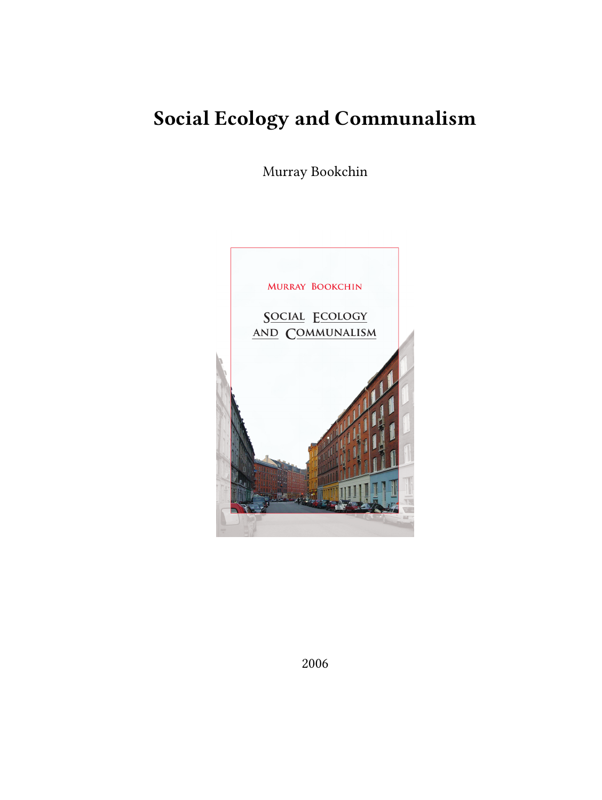# **Social Ecology and Communalism**

Murray Bookchin



2006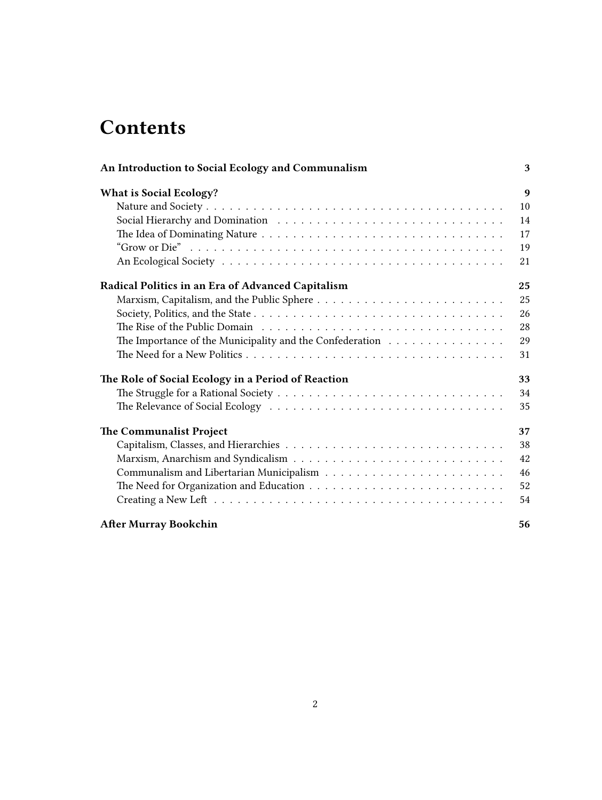## **Contents**

| An Introduction to Social Ecology and Communalism        | 3  |
|----------------------------------------------------------|----|
| <b>What is Social Ecology?</b>                           | 9  |
|                                                          | 10 |
|                                                          | 14 |
|                                                          | 17 |
|                                                          | 19 |
|                                                          | 21 |
| Radical Politics in an Era of Advanced Capitalism        | 25 |
|                                                          | 25 |
|                                                          | 26 |
|                                                          | 28 |
| The Importance of the Municipality and the Confederation | 29 |
|                                                          | 31 |
| The Role of Social Ecology in a Period of Reaction       | 33 |
|                                                          | 34 |
|                                                          | 35 |
| The Communalist Project                                  | 37 |
|                                                          | 38 |
|                                                          | 42 |
|                                                          | 46 |
|                                                          | 52 |
|                                                          | 54 |
| <b>After Murray Bookchin</b>                             | 56 |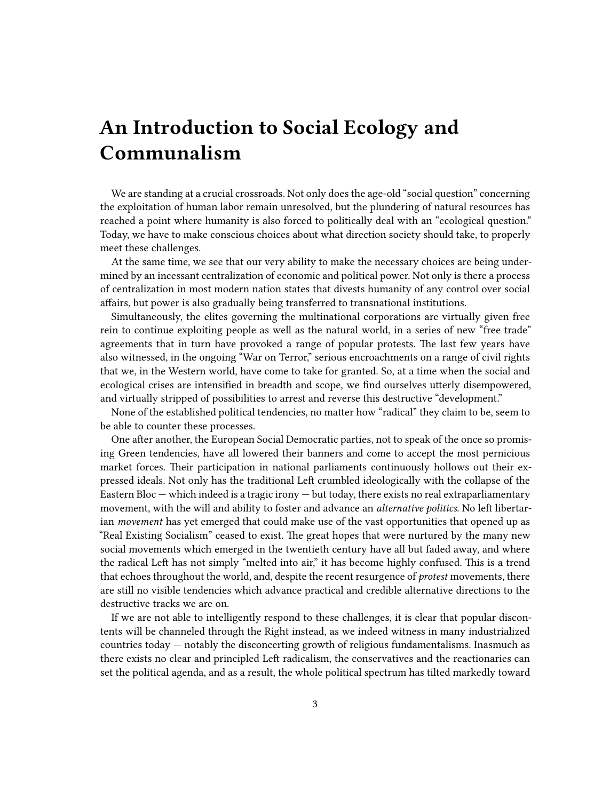## <span id="page-2-0"></span>**An Introduction to Social Ecology and Communalism**

We are standing at a crucial crossroads. Not only does the age-old "social question" concerning the exploitation of human labor remain unresolved, but the plundering of natural resources has reached a point where humanity is also forced to politically deal with an "ecological question." Today, we have to make conscious choices about what direction society should take, to properly meet these challenges.

At the same time, we see that our very ability to make the necessary choices are being undermined by an incessant centralization of economic and political power. Not only is there a process of centralization in most modern nation states that divests humanity of any control over social affairs, but power is also gradually being transferred to transnational institutions.

Simultaneously, the elites governing the multinational corporations are virtually given free rein to continue exploiting people as well as the natural world, in a series of new "free trade" agreements that in turn have provoked a range of popular protests. The last few years have also witnessed, in the ongoing "War on Terror," serious encroachments on a range of civil rights that we, in the Western world, have come to take for granted. So, at a time when the social and ecological crises are intensified in breadth and scope, we find ourselves utterly disempowered, and virtually stripped of possibilities to arrest and reverse this destructive "development."

None of the established political tendencies, no matter how "radical" they claim to be, seem to be able to counter these processes.

One after another, the European Social Democratic parties, not to speak of the once so promising Green tendencies, have all lowered their banners and come to accept the most pernicious market forces. Their participation in national parliaments continuously hollows out their expressed ideals. Not only has the traditional Left crumbled ideologically with the collapse of the Eastern Bloc — which indeed is a tragic irony — but today, there exists no real extraparliamentary movement, with the will and ability to foster and advance an *alternative politics*. No left libertarian *movement* has yet emerged that could make use of the vast opportunities that opened up as "Real Existing Socialism" ceased to exist. The great hopes that were nurtured by the many new social movements which emerged in the twentieth century have all but faded away, and where the radical Left has not simply "melted into air," it has become highly confused. This is a trend that echoes throughout the world, and, despite the recent resurgence of *protest* movements, there are still no visible tendencies which advance practical and credible alternative directions to the destructive tracks we are on.

If we are not able to intelligently respond to these challenges, it is clear that popular discontents will be channeled through the Right instead, as we indeed witness in many industrialized countries today — notably the disconcerting growth of religious fundamentalisms. Inasmuch as there exists no clear and principled Left radicalism, the conservatives and the reactionaries can set the political agenda, and as a result, the whole political spectrum has tilted markedly toward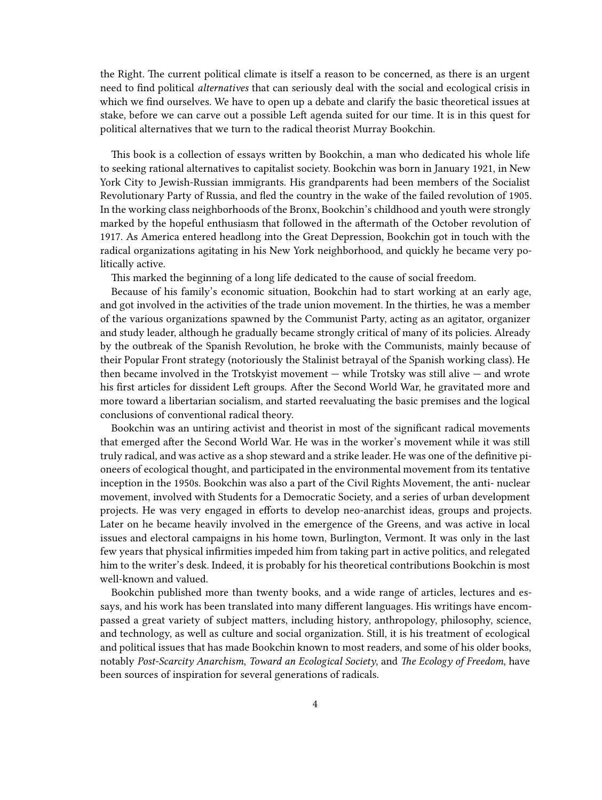the Right. The current political climate is itself a reason to be concerned, as there is an urgent need to find political *alternatives* that can seriously deal with the social and ecological crisis in which we find ourselves. We have to open up a debate and clarify the basic theoretical issues at stake, before we can carve out a possible Left agenda suited for our time. It is in this quest for political alternatives that we turn to the radical theorist Murray Bookchin.

This book is a collection of essays written by Bookchin, a man who dedicated his whole life to seeking rational alternatives to capitalist society. Bookchin was born in January 1921, in New York City to Jewish-Russian immigrants. His grandparents had been members of the Socialist Revolutionary Party of Russia, and fled the country in the wake of the failed revolution of 1905. In the working class neighborhoods of the Bronx, Bookchin's childhood and youth were strongly marked by the hopeful enthusiasm that followed in the aftermath of the October revolution of 1917. As America entered headlong into the Great Depression, Bookchin got in touch with the radical organizations agitating in his New York neighborhood, and quickly he became very politically active.

This marked the beginning of a long life dedicated to the cause of social freedom.

Because of his family's economic situation, Bookchin had to start working at an early age, and got involved in the activities of the trade union movement. In the thirties, he was a member of the various organizations spawned by the Communist Party, acting as an agitator, organizer and study leader, although he gradually became strongly critical of many of its policies. Already by the outbreak of the Spanish Revolution, he broke with the Communists, mainly because of their Popular Front strategy (notoriously the Stalinist betrayal of the Spanish working class). He then became involved in the Trotskyist movement — while Trotsky was still alive — and wrote his first articles for dissident Left groups. After the Second World War, he gravitated more and more toward a libertarian socialism, and started reevaluating the basic premises and the logical conclusions of conventional radical theory.

Bookchin was an untiring activist and theorist in most of the significant radical movements that emerged after the Second World War. He was in the worker's movement while it was still truly radical, and was active as a shop steward and a strike leader. He was one of the definitive pioneers of ecological thought, and participated in the environmental movement from its tentative inception in the 1950s. Bookchin was also a part of the Civil Rights Movement, the anti- nuclear movement, involved with Students for a Democratic Society, and a series of urban development projects. He was very engaged in efforts to develop neo-anarchist ideas, groups and projects. Later on he became heavily involved in the emergence of the Greens, and was active in local issues and electoral campaigns in his home town, Burlington, Vermont. It was only in the last few years that physical infirmities impeded him from taking part in active politics, and relegated him to the writer's desk. Indeed, it is probably for his theoretical contributions Bookchin is most well-known and valued.

Bookchin published more than twenty books, and a wide range of articles, lectures and essays, and his work has been translated into many different languages. His writings have encompassed a great variety of subject matters, including history, anthropology, philosophy, science, and technology, as well as culture and social organization. Still, it is his treatment of ecological and political issues that has made Bookchin known to most readers, and some of his older books, notably *Post-Scarcity Anarchism*, *Toward an Ecological Society*, and *The Ecology of Freedom*, have been sources of inspiration for several generations of radicals.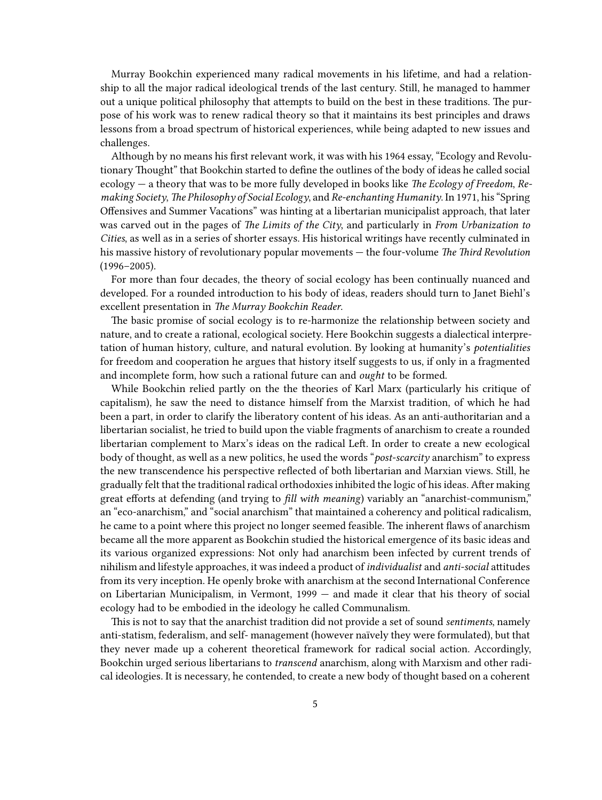Murray Bookchin experienced many radical movements in his lifetime, and had a relationship to all the major radical ideological trends of the last century. Still, he managed to hammer out a unique political philosophy that attempts to build on the best in these traditions. The purpose of his work was to renew radical theory so that it maintains its best principles and draws lessons from a broad spectrum of historical experiences, while being adapted to new issues and challenges.

Although by no means his first relevant work, it was with his 1964 essay, "Ecology and Revolutionary Thought" that Bookchin started to define the outlines of the body of ideas he called social ecology — a theory that was to be more fully developed in books like *The Ecology of Freedom*, *Remaking Society*, *The Philosophy of Social Ecology*, and *Re-enchanting Humanity*. In 1971, his "Spring Offensives and Summer Vacations" was hinting at a libertarian municipalist approach, that later was carved out in the pages of *The Limits of the City*, and particularly in *From Urbanization to Cities*, as well as in a series of shorter essays. His historical writings have recently culminated in his massive history of revolutionary popular movements — the four-volume *The Third Revolution* (1996–2005).

For more than four decades, the theory of social ecology has been continually nuanced and developed. For a rounded introduction to his body of ideas, readers should turn to Janet Biehl's excellent presentation in *The Murray Bookchin Reader*.

The basic promise of social ecology is to re-harmonize the relationship between society and nature, and to create a rational, ecological society. Here Bookchin suggests a dialectical interpretation of human history, culture, and natural evolution. By looking at humanity's *potentialities* for freedom and cooperation he argues that history itself suggests to us, if only in a fragmented and incomplete form, how such a rational future can and *ought* to be formed.

While Bookchin relied partly on the the theories of Karl Marx (particularly his critique of capitalism), he saw the need to distance himself from the Marxist tradition, of which he had been a part, in order to clarify the liberatory content of his ideas. As an anti-authoritarian and a libertarian socialist, he tried to build upon the viable fragments of anarchism to create a rounded libertarian complement to Marx's ideas on the radical Left. In order to create a new ecological body of thought, as well as a new politics, he used the words "*post-scarcity* anarchism" to express the new transcendence his perspective reflected of both libertarian and Marxian views. Still, he gradually felt that the traditional radical orthodoxies inhibited the logic of his ideas. After making great efforts at defending (and trying to *fill with meaning*) variably an "anarchist-communism," an "eco-anarchism," and "social anarchism" that maintained a coherency and political radicalism, he came to a point where this project no longer seemed feasible. The inherent flaws of anarchism became all the more apparent as Bookchin studied the historical emergence of its basic ideas and its various organized expressions: Not only had anarchism been infected by current trends of nihilism and lifestyle approaches, it was indeed a product of *individualist* and *anti-social* attitudes from its very inception. He openly broke with anarchism at the second International Conference on Libertarian Municipalism, in Vermont, 1999 — and made it clear that his theory of social ecology had to be embodied in the ideology he called Communalism.

This is not to say that the anarchist tradition did not provide a set of sound *sentiments*, namely anti-statism, federalism, and self- management (however naïvely they were formulated), but that they never made up a coherent theoretical framework for radical social action. Accordingly, Bookchin urged serious libertarians to *transcend* anarchism, along with Marxism and other radical ideologies. It is necessary, he contended, to create a new body of thought based on a coherent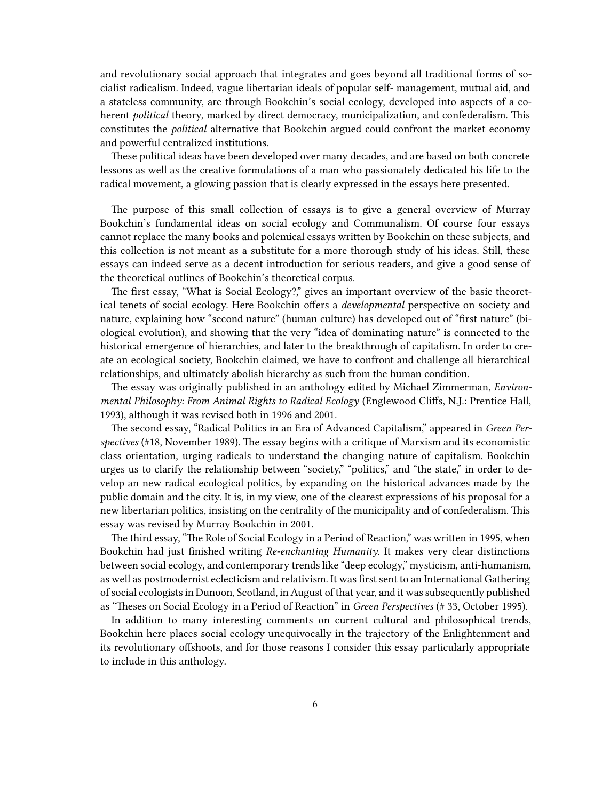and revolutionary social approach that integrates and goes beyond all traditional forms of socialist radicalism. Indeed, vague libertarian ideals of popular self- management, mutual aid, and a stateless community, are through Bookchin's social ecology, developed into aspects of a coherent *political* theory, marked by direct democracy, municipalization, and confederalism. This constitutes the *political* alternative that Bookchin argued could confront the market economy and powerful centralized institutions.

These political ideas have been developed over many decades, and are based on both concrete lessons as well as the creative formulations of a man who passionately dedicated his life to the radical movement, a glowing passion that is clearly expressed in the essays here presented.

The purpose of this small collection of essays is to give a general overview of Murray Bookchin's fundamental ideas on social ecology and Communalism. Of course four essays cannot replace the many books and polemical essays written by Bookchin on these subjects, and this collection is not meant as a substitute for a more thorough study of his ideas. Still, these essays can indeed serve as a decent introduction for serious readers, and give a good sense of the theoretical outlines of Bookchin's theoretical corpus.

The first essay, "What is Social Ecology?," gives an important overview of the basic theoretical tenets of social ecology. Here Bookchin offers a *developmental* perspective on society and nature, explaining how "second nature" (human culture) has developed out of "first nature" (biological evolution), and showing that the very "idea of dominating nature" is connected to the historical emergence of hierarchies, and later to the breakthrough of capitalism. In order to create an ecological society, Bookchin claimed, we have to confront and challenge all hierarchical relationships, and ultimately abolish hierarchy as such from the human condition.

The essay was originally published in an anthology edited by Michael Zimmerman, *Environmental Philosophy: From Animal Rights to Radical Ecology* (Englewood Cliffs, N.J.: Prentice Hall, 1993), although it was revised both in 1996 and 2001.

The second essay, "Radical Politics in an Era of Advanced Capitalism," appeared in *Green Perspectives* (#18, November 1989). The essay begins with a critique of Marxism and its economistic class orientation, urging radicals to understand the changing nature of capitalism. Bookchin urges us to clarify the relationship between "society," "politics," and "the state," in order to develop an new radical ecological politics, by expanding on the historical advances made by the public domain and the city. It is, in my view, one of the clearest expressions of his proposal for a new libertarian politics, insisting on the centrality of the municipality and of confederalism. This essay was revised by Murray Bookchin in 2001.

The third essay, "The Role of Social Ecology in a Period of Reaction," was written in 1995, when Bookchin had just finished writing *Re-enchanting Humanity*. It makes very clear distinctions between social ecology, and contemporary trends like "deep ecology," mysticism, anti-humanism, as well as postmodernist eclecticism and relativism. It was first sent to an International Gathering of social ecologists in Dunoon, Scotland, in August of that year, and it was subsequently published as "Theses on Social Ecology in a Period of Reaction" in *Green Perspectives* (# 33, October 1995).

In addition to many interesting comments on current cultural and philosophical trends, Bookchin here places social ecology unequivocally in the trajectory of the Enlightenment and its revolutionary offshoots, and for those reasons I consider this essay particularly appropriate to include in this anthology.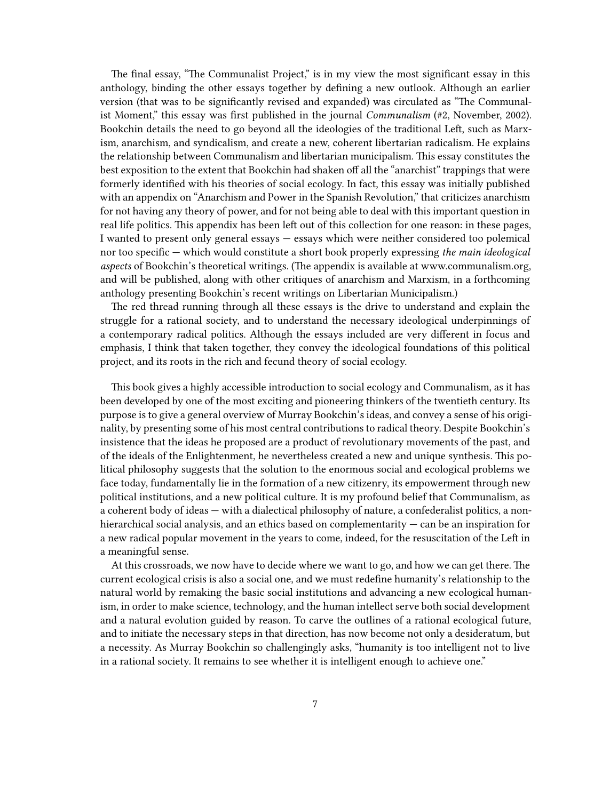The final essay, "The Communalist Project," is in my view the most significant essay in this anthology, binding the other essays together by defining a new outlook. Although an earlier version (that was to be significantly revised and expanded) was circulated as "The Communalist Moment," this essay was first published in the journal *Communalism* (#2, November, 2002). Bookchin details the need to go beyond all the ideologies of the traditional Left, such as Marxism, anarchism, and syndicalism, and create a new, coherent libertarian radicalism. He explains the relationship between Communalism and libertarian municipalism. This essay constitutes the best exposition to the extent that Bookchin had shaken off all the "anarchist" trappings that were formerly identified with his theories of social ecology. In fact, this essay was initially published with an appendix on "Anarchism and Power in the Spanish Revolution," that criticizes anarchism for not having any theory of power, and for not being able to deal with this important question in real life politics. This appendix has been left out of this collection for one reason: in these pages, I wanted to present only general essays — essays which were neither considered too polemical nor too specific — which would constitute a short book properly expressing *the main ideological aspects* of Bookchin's theoretical writings. (The appendix is available at [www.communalism.org](http://www.communalism.org), and will be published, along with other critiques of anarchism and Marxism, in a forthcoming anthology presenting Bookchin's recent writings on Libertarian Municipalism.)

The red thread running through all these essays is the drive to understand and explain the struggle for a rational society, and to understand the necessary ideological underpinnings of a contemporary radical politics. Although the essays included are very different in focus and emphasis, I think that taken together, they convey the ideological foundations of this political project, and its roots in the rich and fecund theory of social ecology.

This book gives a highly accessible introduction to social ecology and Communalism, as it has been developed by one of the most exciting and pioneering thinkers of the twentieth century. Its purpose is to give a general overview of Murray Bookchin's ideas, and convey a sense of his originality, by presenting some of his most central contributions to radical theory. Despite Bookchin's insistence that the ideas he proposed are a product of revolutionary movements of the past, and of the ideals of the Enlightenment, he nevertheless created a new and unique synthesis. This political philosophy suggests that the solution to the enormous social and ecological problems we face today, fundamentally lie in the formation of a new citizenry, its empowerment through new political institutions, and a new political culture. It is my profound belief that Communalism, as a coherent body of ideas — with a dialectical philosophy of nature, a confederalist politics, a nonhierarchical social analysis, and an ethics based on complementarity — can be an inspiration for a new radical popular movement in the years to come, indeed, for the resuscitation of the Left in a meaningful sense.

At this crossroads, we now have to decide where we want to go, and how we can get there. The current ecological crisis is also a social one, and we must redefine humanity's relationship to the natural world by remaking the basic social institutions and advancing a new ecological humanism, in order to make science, technology, and the human intellect serve both social development and a natural evolution guided by reason. To carve the outlines of a rational ecological future, and to initiate the necessary steps in that direction, has now become not only a desideratum, but a necessity. As Murray Bookchin so challengingly asks, "humanity is too intelligent not to live in a rational society. It remains to see whether it is intelligent enough to achieve one."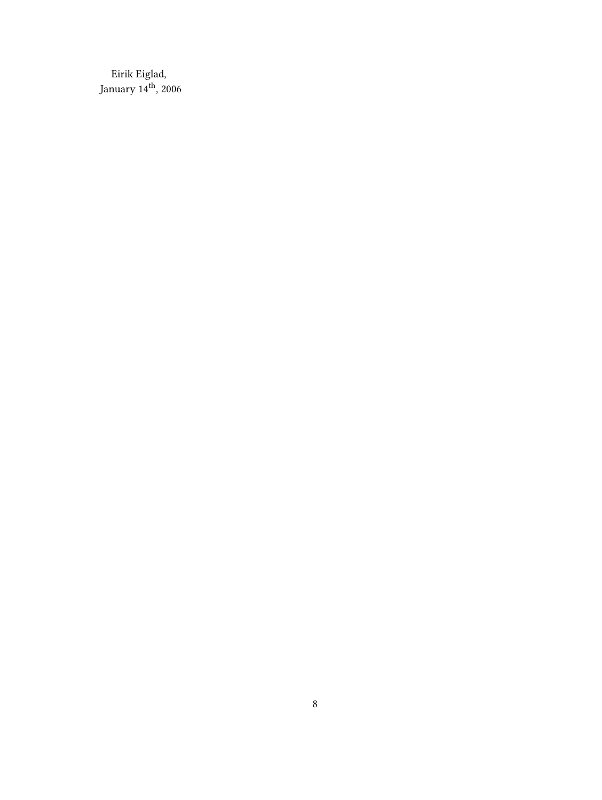Eirik Eiglad, January 14<sup>th</sup>, 2006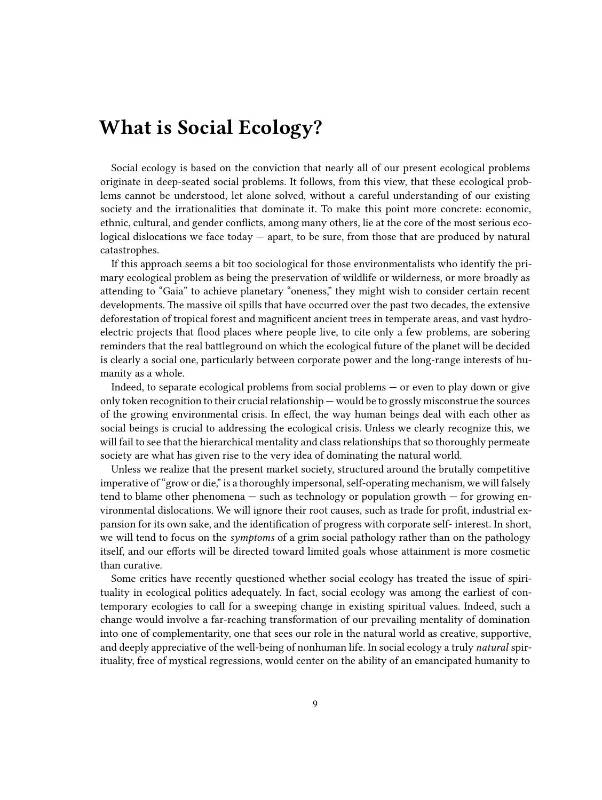### <span id="page-8-0"></span>**What is Social Ecology?**

Social ecology is based on the conviction that nearly all of our present ecological problems originate in deep-seated social problems. It follows, from this view, that these ecological problems cannot be understood, let alone solved, without a careful understanding of our existing society and the irrationalities that dominate it. To make this point more concrete: economic, ethnic, cultural, and gender conflicts, among many others, lie at the core of the most serious ecological dislocations we face today — apart, to be sure, from those that are produced by natural catastrophes.

If this approach seems a bit too sociological for those environmentalists who identify the primary ecological problem as being the preservation of wildlife or wilderness, or more broadly as attending to "Gaia" to achieve planetary "oneness," they might wish to consider certain recent developments. The massive oil spills that have occurred over the past two decades, the extensive deforestation of tropical forest and magnificent ancient trees in temperate areas, and vast hydroelectric projects that flood places where people live, to cite only a few problems, are sobering reminders that the real battleground on which the ecological future of the planet will be decided is clearly a social one, particularly between corporate power and the long-range interests of humanity as a whole.

Indeed, to separate ecological problems from social problems — or even to play down or give only token recognition to their crucial relationship — would be to grossly misconstrue the sources of the growing environmental crisis. In effect, the way human beings deal with each other as social beings is crucial to addressing the ecological crisis. Unless we clearly recognize this, we will fail to see that the hierarchical mentality and class relationships that so thoroughly permeate society are what has given rise to the very idea of dominating the natural world.

Unless we realize that the present market society, structured around the brutally competitive imperative of "grow or die," is a thoroughly impersonal, self-operating mechanism, we will falsely tend to blame other phenomena — such as technology or population growth — for growing environmental dislocations. We will ignore their root causes, such as trade for profit, industrial expansion for its own sake, and the identification of progress with corporate self- interest. In short, we will tend to focus on the *symptoms* of a grim social pathology rather than on the pathology itself, and our efforts will be directed toward limited goals whose attainment is more cosmetic than curative.

Some critics have recently questioned whether social ecology has treated the issue of spirituality in ecological politics adequately. In fact, social ecology was among the earliest of contemporary ecologies to call for a sweeping change in existing spiritual values. Indeed, such a change would involve a far-reaching transformation of our prevailing mentality of domination into one of complementarity, one that sees our role in the natural world as creative, supportive, and deeply appreciative of the well-being of nonhuman life. In social ecology a truly *natural* spirituality, free of mystical regressions, would center on the ability of an emancipated humanity to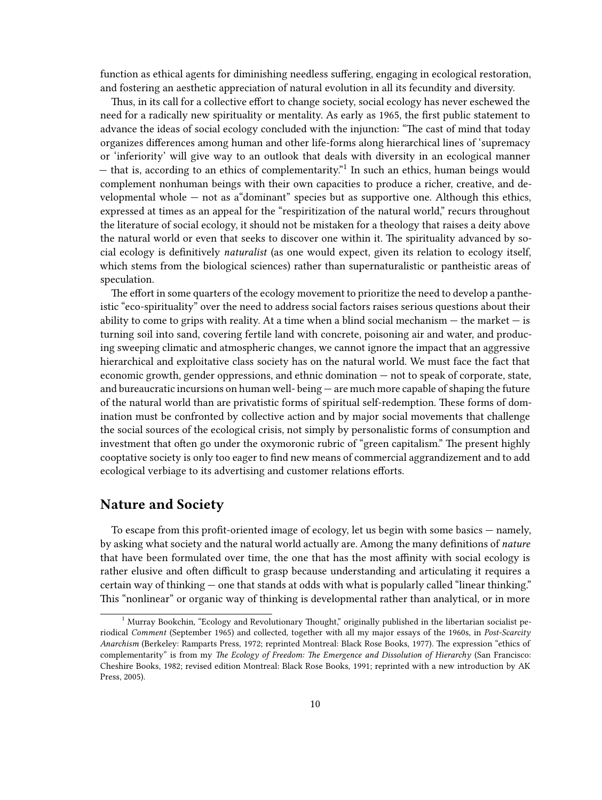function as ethical agents for diminishing needless suffering, engaging in ecological restoration, and fostering an aesthetic appreciation of natural evolution in all its fecundity and diversity.

Thus, in its call for a collective effort to change society, social ecology has never eschewed the need for a radically new spirituality or mentality. As early as 1965, the first public statement to advance the ideas of social ecology concluded with the injunction: "The cast of mind that today organizes differences among human and other life-forms along hierarchical lines of 'supremacy or 'inferiority' will give way to an outlook that deals with diversity in an ecological manner - that is, according to an ethics of complementarity."<sup>1</sup> In such an ethics, human beings would complement nonhuman beings with their own capacities to produce a richer, creative, and developmental whole — not as a"dominant" species but as supportive one. Although this ethics, expressed at times as an appeal for the "respiritization of the natural world," recurs throughout the literature of social ecology, it should not be mistaken for a theology that raises a deity above the natural world or even that seeks to discover one within it. The spirituality advanced by social ecology is definitively *naturalist* (as one would expect, given its relation to ecology itself, which stems from the biological sciences) rather than supernaturalistic or pantheistic areas of speculation.

The effort in some quarters of the ecology movement to prioritize the need to develop a pantheistic "eco-spirituality" over the need to address social factors raises serious questions about their ability to come to grips with reality. At a time when a blind social mechanism  $-$  the market  $-$  is turning soil into sand, covering fertile land with concrete, poisoning air and water, and producing sweeping climatic and atmospheric changes, we cannot ignore the impact that an aggressive hierarchical and exploitative class society has on the natural world. We must face the fact that economic growth, gender oppressions, and ethnic domination — not to speak of corporate, state, and bureaucratic incursions on human well- being — are much more capable of shaping the future of the natural world than are privatistic forms of spiritual self-redemption. These forms of domination must be confronted by collective action and by major social movements that challenge the social sources of the ecological crisis, not simply by personalistic forms of consumption and investment that often go under the oxymoronic rubric of "green capitalism." The present highly cooptative society is only too eager to find new means of commercial aggrandizement and to add ecological verbiage to its advertising and customer relations efforts.

#### <span id="page-9-0"></span>**Nature and Society**

To escape from this profit-oriented image of ecology, let us begin with some basics — namely, by asking what society and the natural world actually are. Among the many definitions of *nature* that have been formulated over time, the one that has the most affinity with social ecology is rather elusive and often difficult to grasp because understanding and articulating it requires a certain way of thinking — one that stands at odds with what is popularly called "linear thinking." This "nonlinear" or organic way of thinking is developmental rather than analytical, or in more

<sup>&</sup>lt;sup>1</sup> Murray Bookchin, "Ecology and Revolutionary Thought," originally published in the libertarian socialist periodical *Comment* (September 1965) and collected, together with all my major essays of the 1960s, in *Post-Scarcity Anarchism* (Berkeley: Ramparts Press, 1972; reprinted Montreal: Black Rose Books, 1977). The expression "ethics of complementarity" is from my *The Ecology of Freedom: The Emergence and Dissolution of Hierarchy* (San Francisco: Cheshire Books, 1982; revised edition Montreal: Black Rose Books, 1991; reprinted with a new introduction by AK Press, 2005).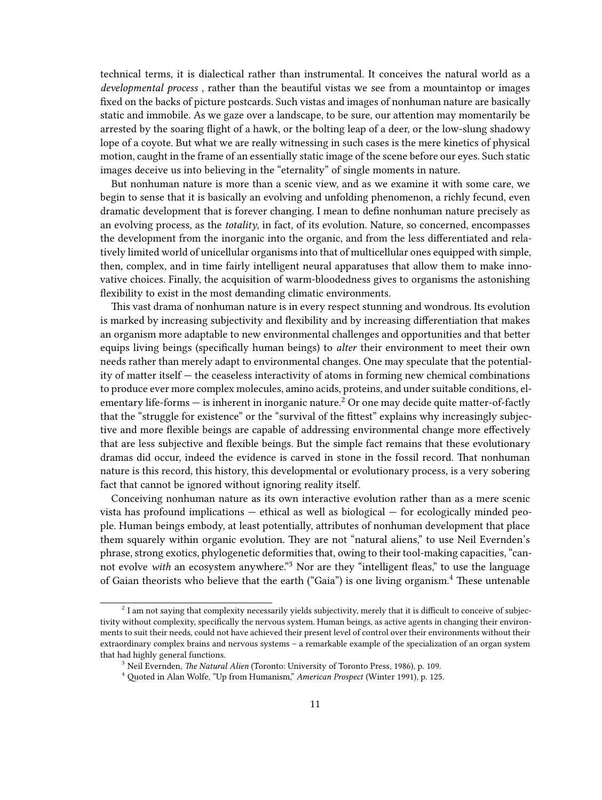technical terms, it is dialectical rather than instrumental. It conceives the natural world as a *developmental process* , rather than the beautiful vistas we see from a mountaintop or images fixed on the backs of picture postcards. Such vistas and images of nonhuman nature are basically static and immobile. As we gaze over a landscape, to be sure, our attention may momentarily be arrested by the soaring flight of a hawk, or the bolting leap of a deer, or the low-slung shadowy lope of a coyote. But what we are really witnessing in such cases is the mere kinetics of physical motion, caught in the frame of an essentially static image of the scene before our eyes. Such static images deceive us into believing in the "eternality" of single moments in nature.

But nonhuman nature is more than a scenic view, and as we examine it with some care, we begin to sense that it is basically an evolving and unfolding phenomenon, a richly fecund, even dramatic development that is forever changing. I mean to define nonhuman nature precisely as an evolving process, as the *totality*, in fact, of its evolution. Nature, so concerned, encompasses the development from the inorganic into the organic, and from the less differentiated and relatively limited world of unicellular organisms into that of multicellular ones equipped with simple, then, complex, and in time fairly intelligent neural apparatuses that allow them to make innovative choices. Finally, the acquisition of warm-bloodedness gives to organisms the astonishing flexibility to exist in the most demanding climatic environments.

This vast drama of nonhuman nature is in every respect stunning and wondrous. Its evolution is marked by increasing subjectivity and flexibility and by increasing differentiation that makes an organism more adaptable to new environmental challenges and opportunities and that better equips living beings (specifically human beings) to *alter* their environment to meet their own needs rather than merely adapt to environmental changes. One may speculate that the potentiality of matter itself — the ceaseless interactivity of atoms in forming new chemical combinations to produce ever more complex molecules, amino acids, proteins, and under suitable conditions, elementary life-forms  $-$  is inherent in inorganic nature.<sup>2</sup> Or one may decide quite matter-of-factly that the "struggle for existence" or the "survival of the fittest" explains why increasingly subjective and more flexible beings are capable of addressing environmental change more effectively that are less subjective and flexible beings. But the simple fact remains that these evolutionary dramas did occur, indeed the evidence is carved in stone in the fossil record. That nonhuman nature is this record, this history, this developmental or evolutionary process, is a very sobering fact that cannot be ignored without ignoring reality itself.

Conceiving nonhuman nature as its own interactive evolution rather than as a mere scenic vista has profound implications — ethical as well as biological — for ecologically minded people. Human beings embody, at least potentially, attributes of nonhuman development that place them squarely within organic evolution. They are not "natural aliens," to use Neil Evernden's phrase, strong exotics, phylogenetic deformities that, owing to their tool-making capacities, "cannot evolve *with* an ecosystem anywhere.<sup>"3</sup> Nor are they "intelligent fleas," to use the language of Gaian theorists who believe that the earth ("Gaia") is one living organism.<sup>4</sup> These untenable

 $^2$  I am not saying that complexity necessarily yields subjectivity, merely that it is difficult to conceive of subjectivity without complexity, specifically the nervous system. Human beings, as active agents in changing their environments to suit their needs, could not have achieved their present level of control over their environments without their extraordinary complex brains and nervous systems – a remarkable example of the specialization of an organ system that had highly general functions.

<sup>3</sup> Neil Evernden, *The Natural Alien* (Toronto: University of Toronto Press, 1986), p. 109.

<sup>4</sup> Quoted in Alan Wolfe, "Up from Humanism," *American Prospect* (Winter 1991), p. 125.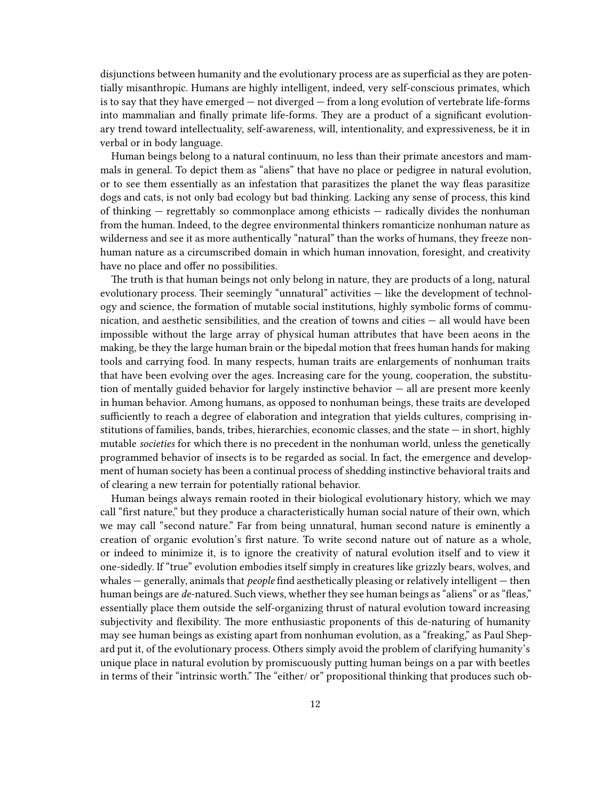disjunctions between humanity and the evolutionary process are as superficial as they are potentially misanthropic. Humans are highly intelligent, indeed, very self-conscious primates, which is to say that they have emerged — not diverged — from a long evolution of vertebrate life-forms into mammalian and finally primate life-forms. They are a product of a significant evolutionary trend toward intellectuality, self-awareness, will, intentionality, and expressiveness, be it in verbal or in body language.

Human beings belong to a natural continuum, no less than their primate ancestors and mammals in general. To depict them as "aliens" that have no place or pedigree in natural evolution, or to see them essentially as an infestation that parasitizes the planet the way fleas parasitize dogs and cats, is not only bad ecology but bad thinking. Lacking any sense of process, this kind of thinking — regrettably so commonplace among ethicists — radically divides the nonhuman from the human. Indeed, to the degree environmental thinkers romanticize nonhuman nature as wilderness and see it as more authentically "natural" than the works of humans, they freeze nonhuman nature as a circumscribed domain in which human innovation, foresight, and creativity have no place and offer no possibilities.

The truth is that human beings not only belong in nature, they are products of a long, natural evolutionary process. Their seemingly "unnatural" activities — like the development of technology and science, the formation of mutable social institutions, highly symbolic forms of communication, and aesthetic sensibilities, and the creation of towns and cities — all would have been impossible without the large array of physical human attributes that have been aeons in the making, be they the large human brain or the bipedal motion that frees human hands for making tools and carrying food. In many respects, human traits are enlargements of nonhuman traits that have been evolving over the ages. Increasing care for the young, cooperation, the substitution of mentally guided behavior for largely instinctive behavior — all are present more keenly in human behavior. Among humans, as opposed to nonhuman beings, these traits are developed sufficiently to reach a degree of elaboration and integration that yields cultures, comprising institutions of families, bands, tribes, hierarchies, economic classes, and the state — in short, highly mutable *societies* for which there is no precedent in the nonhuman world, unless the genetically programmed behavior of insects is to be regarded as social. In fact, the emergence and development of human society has been a continual process of shedding instinctive behavioral traits and of clearing a new terrain for potentially rational behavior.

Human beings always remain rooted in their biological evolutionary history, which we may call "first nature," but they produce a characteristically human social nature of their own, which we may call "second nature." Far from being unnatural, human second nature is eminently a creation of organic evolution's first nature. To write second nature out of nature as a whole, or indeed to minimize it, is to ignore the creativity of natural evolution itself and to view it one-sidedly. If "true" evolution embodies itself simply in creatures like grizzly bears, wolves, and whales — generally, animals that *people* find aesthetically pleasing or relatively intelligent — then human beings are *de*-natured. Such views, whether they see human beings as "aliens" or as "fleas," essentially place them outside the self-organizing thrust of natural evolution toward increasing subjectivity and flexibility. The more enthusiastic proponents of this de-naturing of humanity may see human beings as existing apart from nonhuman evolution, as a "freaking," as Paul Shepard put it, of the evolutionary process. Others simply avoid the problem of clarifying humanity's unique place in natural evolution by promiscuously putting human beings on a par with beetles in terms of their "intrinsic worth." The "either/ or" propositional thinking that produces such ob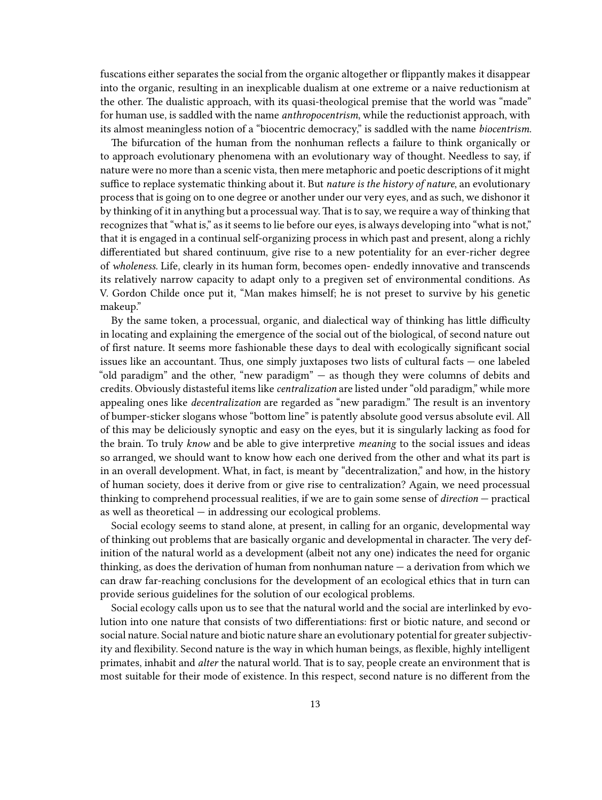fuscations either separates the social from the organic altogether or flippantly makes it disappear into the organic, resulting in an inexplicable dualism at one extreme or a naive reductionism at the other. The dualistic approach, with its quasi-theological premise that the world was "made" for human use, is saddled with the name *anthropocentrism*, while the reductionist approach, with its almost meaningless notion of a "biocentric democracy," is saddled with the name *biocentrism*.

The bifurcation of the human from the nonhuman reflects a failure to think organically or to approach evolutionary phenomena with an evolutionary way of thought. Needless to say, if nature were no more than a scenic vista, then mere metaphoric and poetic descriptions of it might suffice to replace systematic thinking about it. But *nature is the history of nature*, an evolutionary process that is going on to one degree or another under our very eyes, and as such, we dishonor it by thinking of it in anything but a processual way. That is to say, we require a way of thinking that recognizes that "what is," as it seems to lie before our eyes, is always developing into "what is not," that it is engaged in a continual self-organizing process in which past and present, along a richly differentiated but shared continuum, give rise to a new potentiality for an ever-richer degree of *wholeness*. Life, clearly in its human form, becomes open- endedly innovative and transcends its relatively narrow capacity to adapt only to a pregiven set of environmental conditions. As V. Gordon Childe once put it, "Man makes himself; he is not preset to survive by his genetic makeup."

By the same token, a processual, organic, and dialectical way of thinking has little difficulty in locating and explaining the emergence of the social out of the biological, of second nature out of first nature. It seems more fashionable these days to deal with ecologically significant social issues like an accountant. Thus, one simply juxtaposes two lists of cultural facts — one labeled "old paradigm" and the other, "new paradigm" — as though they were columns of debits and credits. Obviously distasteful items like *centralization* are listed under "old paradigm," while more appealing ones like *decentralization* are regarded as "new paradigm." The result is an inventory of bumper-sticker slogans whose "bottom line" is patently absolute good versus absolute evil. All of this may be deliciously synoptic and easy on the eyes, but it is singularly lacking as food for the brain. To truly *know* and be able to give interpretive *meaning* to the social issues and ideas so arranged, we should want to know how each one derived from the other and what its part is in an overall development. What, in fact, is meant by "decentralization," and how, in the history of human society, does it derive from or give rise to centralization? Again, we need processual thinking to comprehend processual realities, if we are to gain some sense of *direction* — practical as well as theoretical — in addressing our ecological problems.

Social ecology seems to stand alone, at present, in calling for an organic, developmental way of thinking out problems that are basically organic and developmental in character. The very definition of the natural world as a development (albeit not any one) indicates the need for organic thinking, as does the derivation of human from nonhuman nature  $-$  a derivation from which we can draw far-reaching conclusions for the development of an ecological ethics that in turn can provide serious guidelines for the solution of our ecological problems.

Social ecology calls upon us to see that the natural world and the social are interlinked by evolution into one nature that consists of two differentiations: first or biotic nature, and second or social nature. Social nature and biotic nature share an evolutionary potential for greater subjectivity and flexibility. Second nature is the way in which human beings, as flexible, highly intelligent primates, inhabit and *alter* the natural world. That is to say, people create an environment that is most suitable for their mode of existence. In this respect, second nature is no different from the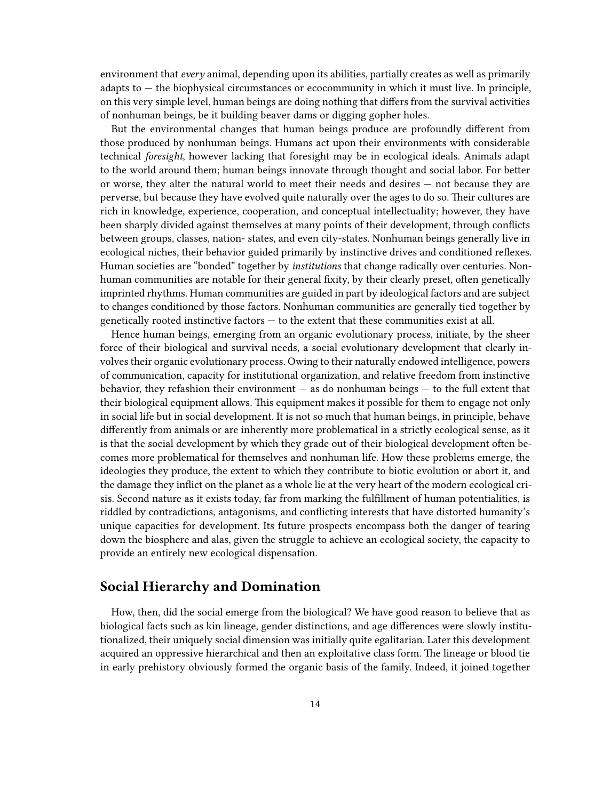environment that *every* animal, depending upon its abilities, partially creates as well as primarily adapts to  $-$  the biophysical circumstances or ecocommunity in which it must live. In principle, on this very simple level, human beings are doing nothing that differs from the survival activities of nonhuman beings, be it building beaver dams or digging gopher holes.

But the environmental changes that human beings produce are profoundly different from those produced by nonhuman beings. Humans act upon their environments with considerable technical *foresight*, however lacking that foresight may be in ecological ideals. Animals adapt to the world around them; human beings innovate through thought and social labor. For better or worse, they alter the natural world to meet their needs and desires — not because they are perverse, but because they have evolved quite naturally over the ages to do so. Their cultures are rich in knowledge, experience, cooperation, and conceptual intellectuality; however, they have been sharply divided against themselves at many points of their development, through conflicts between groups, classes, nation- states, and even city-states. Nonhuman beings generally live in ecological niches, their behavior guided primarily by instinctive drives and conditioned reflexes. Human societies are "bonded" together by *institutions* that change radically over centuries. Nonhuman communities are notable for their general fixity, by their clearly preset, often genetically imprinted rhythms. Human communities are guided in part by ideological factors and are subject to changes conditioned by those factors. Nonhuman communities are generally tied together by genetically rooted instinctive factors — to the extent that these communities exist at all.

Hence human beings, emerging from an organic evolutionary process, initiate, by the sheer force of their biological and survival needs, a social evolutionary development that clearly involves their organic evolutionary process. Owing to their naturally endowed intelligence, powers of communication, capacity for institutional organization, and relative freedom from instinctive behavior, they refashion their environment — as do nonhuman beings — to the full extent that their biological equipment allows. This equipment makes it possible for them to engage not only in social life but in social development. It is not so much that human beings, in principle, behave differently from animals or are inherently more problematical in a strictly ecological sense, as it is that the social development by which they grade out of their biological development often becomes more problematical for themselves and nonhuman life. How these problems emerge, the ideologies they produce, the extent to which they contribute to biotic evolution or abort it, and the damage they inflict on the planet as a whole lie at the very heart of the modern ecological crisis. Second nature as it exists today, far from marking the fulfillment of human potentialities, is riddled by contradictions, antagonisms, and conflicting interests that have distorted humanity's unique capacities for development. Its future prospects encompass both the danger of tearing down the biosphere and alas, given the struggle to achieve an ecological society, the capacity to provide an entirely new ecological dispensation.

#### <span id="page-13-0"></span>**Social Hierarchy and Domination**

How, then, did the social emerge from the biological? We have good reason to believe that as biological facts such as kin lineage, gender distinctions, and age differences were slowly institutionalized, their uniquely social dimension was initially quite egalitarian. Later this development acquired an oppressive hierarchical and then an exploitative class form. The lineage or blood tie in early prehistory obviously formed the organic basis of the family. Indeed, it joined together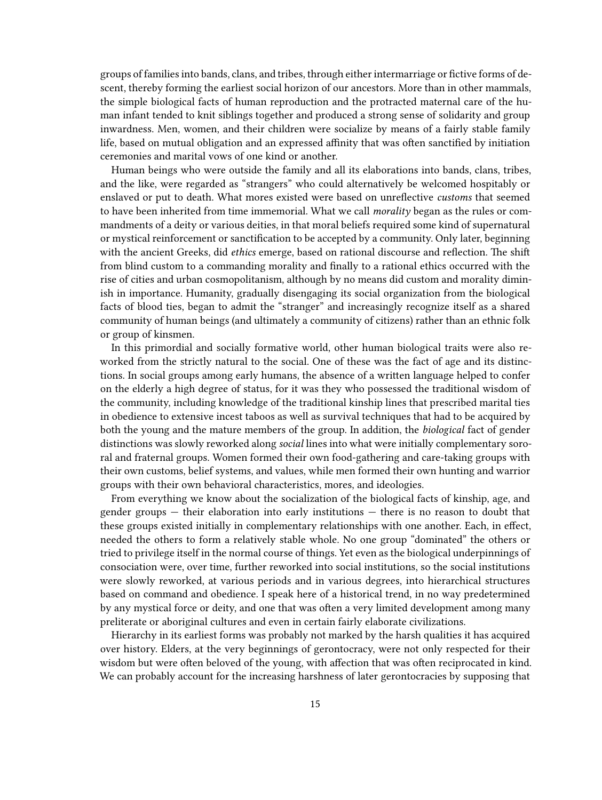groups of families into bands, clans, and tribes, through either intermarriage or fictive forms of descent, thereby forming the earliest social horizon of our ancestors. More than in other mammals, the simple biological facts of human reproduction and the protracted maternal care of the human infant tended to knit siblings together and produced a strong sense of solidarity and group inwardness. Men, women, and their children were socialize by means of a fairly stable family life, based on mutual obligation and an expressed affinity that was often sanctified by initiation ceremonies and marital vows of one kind or another.

Human beings who were outside the family and all its elaborations into bands, clans, tribes, and the like, were regarded as "strangers" who could alternatively be welcomed hospitably or enslaved or put to death. What mores existed were based on unreflective *customs* that seemed to have been inherited from time immemorial. What we call *morality* began as the rules or commandments of a deity or various deities, in that moral beliefs required some kind of supernatural or mystical reinforcement or sanctification to be accepted by a community. Only later, beginning with the ancient Greeks, did *ethics* emerge, based on rational discourse and reflection. The shift from blind custom to a commanding morality and finally to a rational ethics occurred with the rise of cities and urban cosmopolitanism, although by no means did custom and morality diminish in importance. Humanity, gradually disengaging its social organization from the biological facts of blood ties, began to admit the "stranger" and increasingly recognize itself as a shared community of human beings (and ultimately a community of citizens) rather than an ethnic folk or group of kinsmen.

In this primordial and socially formative world, other human biological traits were also reworked from the strictly natural to the social. One of these was the fact of age and its distinctions. In social groups among early humans, the absence of a written language helped to confer on the elderly a high degree of status, for it was they who possessed the traditional wisdom of the community, including knowledge of the traditional kinship lines that prescribed marital ties in obedience to extensive incest taboos as well as survival techniques that had to be acquired by both the young and the mature members of the group. In addition, the *biological* fact of gender distinctions was slowly reworked along *social* lines into what were initially complementary sororal and fraternal groups. Women formed their own food-gathering and care-taking groups with their own customs, belief systems, and values, while men formed their own hunting and warrior groups with their own behavioral characteristics, mores, and ideologies.

From everything we know about the socialization of the biological facts of kinship, age, and gender groups — their elaboration into early institutions — there is no reason to doubt that these groups existed initially in complementary relationships with one another. Each, in effect, needed the others to form a relatively stable whole. No one group "dominated" the others or tried to privilege itself in the normal course of things. Yet even as the biological underpinnings of consociation were, over time, further reworked into social institutions, so the social institutions were slowly reworked, at various periods and in various degrees, into hierarchical structures based on command and obedience. I speak here of a historical trend, in no way predetermined by any mystical force or deity, and one that was often a very limited development among many preliterate or aboriginal cultures and even in certain fairly elaborate civilizations.

Hierarchy in its earliest forms was probably not marked by the harsh qualities it has acquired over history. Elders, at the very beginnings of gerontocracy, were not only respected for their wisdom but were often beloved of the young, with affection that was often reciprocated in kind. We can probably account for the increasing harshness of later gerontocracies by supposing that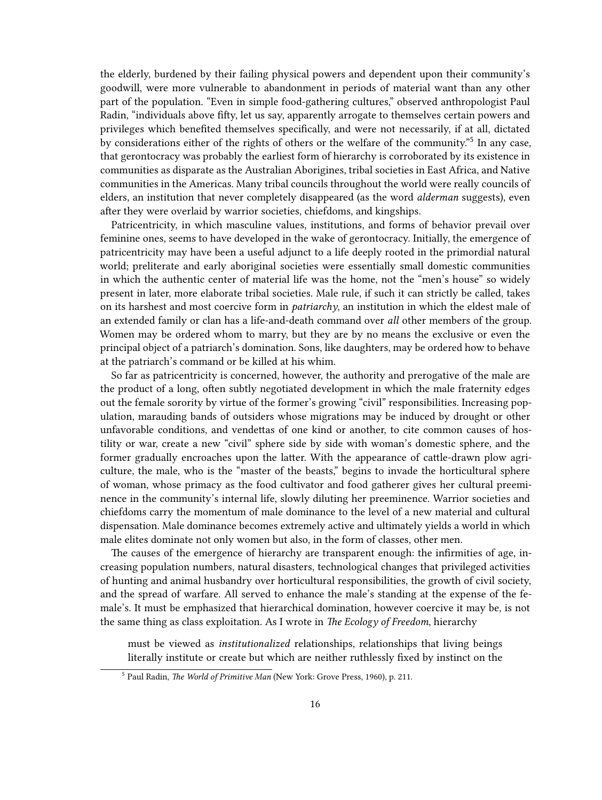the elderly, burdened by their failing physical powers and dependent upon their community's goodwill, were more vulnerable to abandonment in periods of material want than any other part of the population. "Even in simple food-gathering cultures," observed anthropologist Paul Radin, "individuals above fifty, let us say, apparently arrogate to themselves certain powers and privileges which benefited themselves specifically, and were not necessarily, if at all, dictated by considerations either of the rights of others or the welfare of the community."<sup>5</sup> In any case, that gerontocracy was probably the earliest form of hierarchy is corroborated by its existence in communities as disparate as the Australian Aborigines, tribal societies in East Africa, and Native communities in the Americas. Many tribal councils throughout the world were really councils of elders, an institution that never completely disappeared (as the word *alderman* suggests), even after they were overlaid by warrior societies, chiefdoms, and kingships.

Patricentricity, in which masculine values, institutions, and forms of behavior prevail over feminine ones, seems to have developed in the wake of gerontocracy. Initially, the emergence of patricentricity may have been a useful adjunct to a life deeply rooted in the primordial natural world; preliterate and early aboriginal societies were essentially small domestic communities in which the authentic center of material life was the home, not the "men's house" so widely present in later, more elaborate tribal societies. Male rule, if such it can strictly be called, takes on its harshest and most coercive form in *patriarchy*, an institution in which the eldest male of an extended family or clan has a life-and-death command over *all* other members of the group. Women may be ordered whom to marry, but they are by no means the exclusive or even the principal object of a patriarch's domination. Sons, like daughters, may be ordered how to behave at the patriarch's command or be killed at his whim.

So far as patricentricity is concerned, however, the authority and prerogative of the male are the product of a long, often subtly negotiated development in which the male fraternity edges out the female sorority by virtue of the former's growing "civil" responsibilities. Increasing population, marauding bands of outsiders whose migrations may be induced by drought or other unfavorable conditions, and vendettas of one kind or another, to cite common causes of hostility or war, create a new "civil" sphere side by side with woman's domestic sphere, and the former gradually encroaches upon the latter. With the appearance of cattle-drawn plow agriculture, the male, who is the "master of the beasts," begins to invade the horticultural sphere of woman, whose primacy as the food cultivator and food gatherer gives her cultural preeminence in the community's internal life, slowly diluting her preeminence. Warrior societies and chiefdoms carry the momentum of male dominance to the level of a new material and cultural dispensation. Male dominance becomes extremely active and ultimately yields a world in which male elites dominate not only women but also, in the form of classes, other men.

The causes of the emergence of hierarchy are transparent enough: the infirmities of age, increasing population numbers, natural disasters, technological changes that privileged activities of hunting and animal husbandry over horticultural responsibilities, the growth of civil society, and the spread of warfare. All served to enhance the male's standing at the expense of the female's. It must be emphasized that hierarchical domination, however coercive it may be, is not the same thing as class exploitation. As I wrote in *The Ecology of Freedom*, hierarchy

must be viewed as *institutionalized* relationships, relationships that living beings literally institute or create but which are neither ruthlessly fixed by instinct on the

<sup>5</sup> Paul Radin, *The World of Primitive Man* (New York: Grove Press, 1960), p. 211.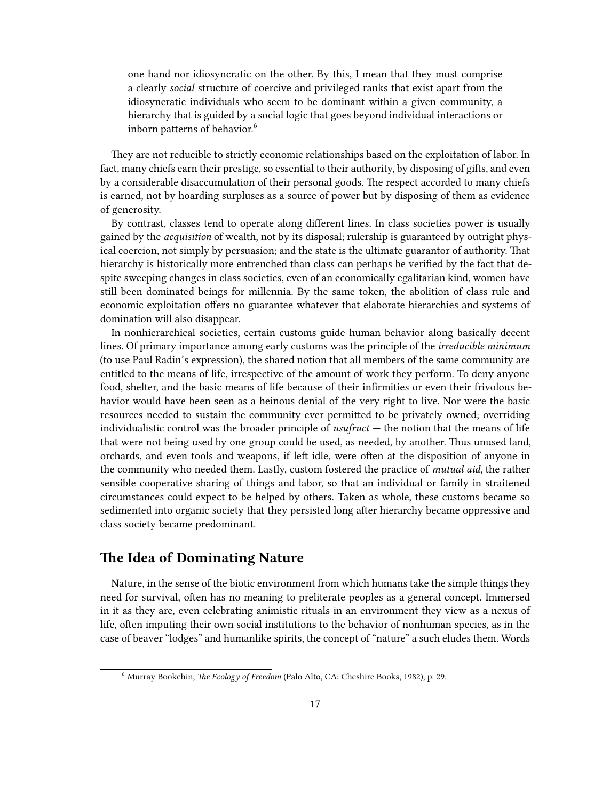one hand nor idiosyncratic on the other. By this, I mean that they must comprise a clearly *social* structure of coercive and privileged ranks that exist apart from the idiosyncratic individuals who seem to be dominant within a given community, a hierarchy that is guided by a social logic that goes beyond individual interactions or inborn patterns of behavior.<sup>6</sup>

They are not reducible to strictly economic relationships based on the exploitation of labor. In fact, many chiefs earn their prestige, so essential to their authority, by disposing of gifts, and even by a considerable disaccumulation of their personal goods. The respect accorded to many chiefs is earned, not by hoarding surpluses as a source of power but by disposing of them as evidence of generosity.

By contrast, classes tend to operate along different lines. In class societies power is usually gained by the *acquisition* of wealth, not by its disposal; rulership is guaranteed by outright physical coercion, not simply by persuasion; and the state is the ultimate guarantor of authority. That hierarchy is historically more entrenched than class can perhaps be verified by the fact that despite sweeping changes in class societies, even of an economically egalitarian kind, women have still been dominated beings for millennia. By the same token, the abolition of class rule and economic exploitation offers no guarantee whatever that elaborate hierarchies and systems of domination will also disappear.

In nonhierarchical societies, certain customs guide human behavior along basically decent lines. Of primary importance among early customs was the principle of the *irreducible minimum* (to use Paul Radin's expression), the shared notion that all members of the same community are entitled to the means of life, irrespective of the amount of work they perform. To deny anyone food, shelter, and the basic means of life because of their infirmities or even their frivolous behavior would have been seen as a heinous denial of the very right to live. Nor were the basic resources needed to sustain the community ever permitted to be privately owned; overriding individualistic control was the broader principle of *usufruct* — the notion that the means of life that were not being used by one group could be used, as needed, by another. Thus unused land, orchards, and even tools and weapons, if left idle, were often at the disposition of anyone in the community who needed them. Lastly, custom fostered the practice of *mutual aid*, the rather sensible cooperative sharing of things and labor, so that an individual or family in straitened circumstances could expect to be helped by others. Taken as whole, these customs became so sedimented into organic society that they persisted long after hierarchy became oppressive and class society became predominant.

#### <span id="page-16-0"></span>**The Idea of Dominating Nature**

Nature, in the sense of the biotic environment from which humans take the simple things they need for survival, often has no meaning to preliterate peoples as a general concept. Immersed in it as they are, even celebrating animistic rituals in an environment they view as a nexus of life, often imputing their own social institutions to the behavior of nonhuman species, as in the case of beaver "lodges" and humanlike spirits, the concept of "nature" a such eludes them. Words

<sup>6</sup> Murray Bookchin, *The Ecology of Freedom* (Palo Alto, CA: Cheshire Books, 1982), p. 29.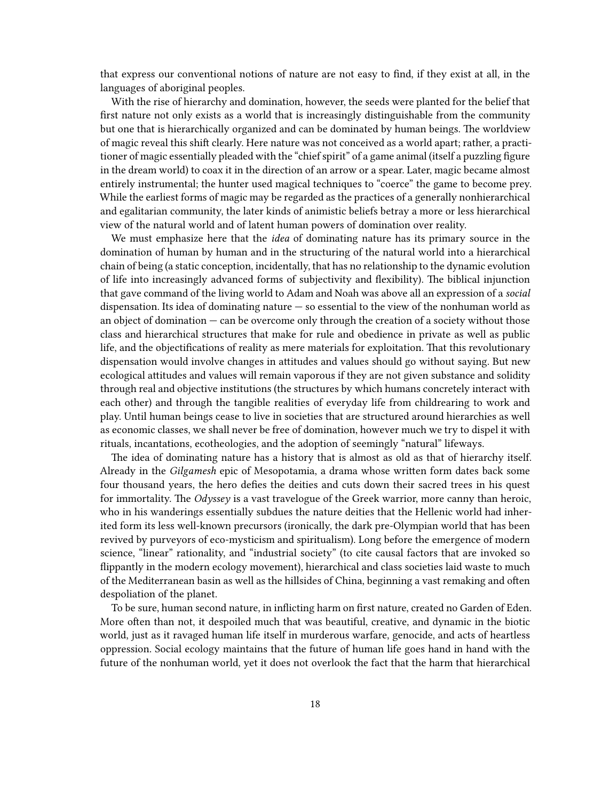that express our conventional notions of nature are not easy to find, if they exist at all, in the languages of aboriginal peoples.

With the rise of hierarchy and domination, however, the seeds were planted for the belief that first nature not only exists as a world that is increasingly distinguishable from the community but one that is hierarchically organized and can be dominated by human beings. The worldview of magic reveal this shift clearly. Here nature was not conceived as a world apart; rather, a practitioner of magic essentially pleaded with the "chief spirit" of a game animal (itself a puzzling figure in the dream world) to coax it in the direction of an arrow or a spear. Later, magic became almost entirely instrumental; the hunter used magical techniques to "coerce" the game to become prey. While the earliest forms of magic may be regarded as the practices of a generally nonhierarchical and egalitarian community, the later kinds of animistic beliefs betray a more or less hierarchical view of the natural world and of latent human powers of domination over reality.

We must emphasize here that the *idea* of dominating nature has its primary source in the domination of human by human and in the structuring of the natural world into a hierarchical chain of being (a static conception, incidentally, that has no relationship to the dynamic evolution of life into increasingly advanced forms of subjectivity and flexibility). The biblical injunction that gave command of the living world to Adam and Noah was above all an expression of a *social* dispensation. Its idea of dominating nature — so essential to the view of the nonhuman world as an object of domination  $-$  can be overcome only through the creation of a society without those class and hierarchical structures that make for rule and obedience in private as well as public life, and the objectifications of reality as mere materials for exploitation. That this revolutionary dispensation would involve changes in attitudes and values should go without saying. But new ecological attitudes and values will remain vaporous if they are not given substance and solidity through real and objective institutions (the structures by which humans concretely interact with each other) and through the tangible realities of everyday life from childrearing to work and play. Until human beings cease to live in societies that are structured around hierarchies as well as economic classes, we shall never be free of domination, however much we try to dispel it with rituals, incantations, ecotheologies, and the adoption of seemingly "natural" lifeways.

The idea of dominating nature has a history that is almost as old as that of hierarchy itself. Already in the *Gilgamesh* epic of Mesopotamia, a drama whose written form dates back some four thousand years, the hero defies the deities and cuts down their sacred trees in his quest for immortality. The *Odyssey* is a vast travelogue of the Greek warrior, more canny than heroic, who in his wanderings essentially subdues the nature deities that the Hellenic world had inherited form its less well-known precursors (ironically, the dark pre-Olympian world that has been revived by purveyors of eco-mysticism and spiritualism). Long before the emergence of modern science, "linear" rationality, and "industrial society" (to cite causal factors that are invoked so flippantly in the modern ecology movement), hierarchical and class societies laid waste to much of the Mediterranean basin as well as the hillsides of China, beginning a vast remaking and often despoliation of the planet.

To be sure, human second nature, in inflicting harm on first nature, created no Garden of Eden. More often than not, it despoiled much that was beautiful, creative, and dynamic in the biotic world, just as it ravaged human life itself in murderous warfare, genocide, and acts of heartless oppression. Social ecology maintains that the future of human life goes hand in hand with the future of the nonhuman world, yet it does not overlook the fact that the harm that hierarchical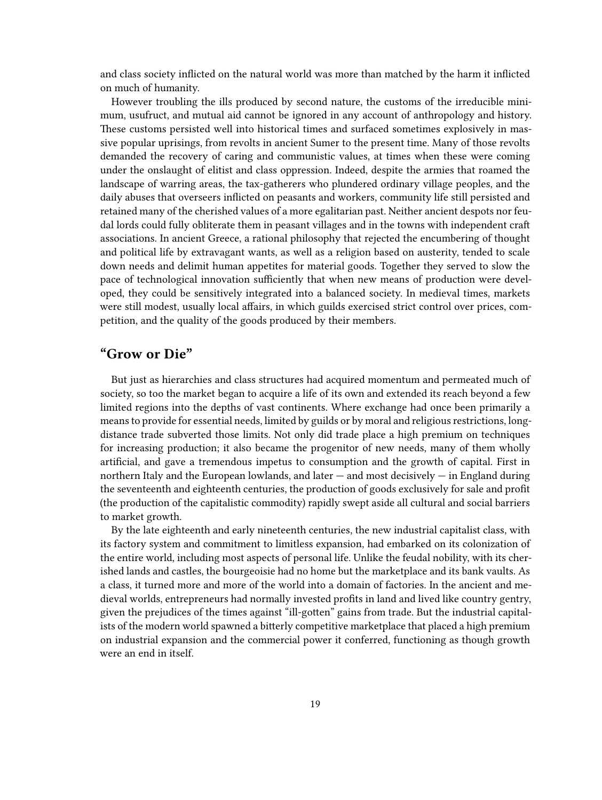and class society inflicted on the natural world was more than matched by the harm it inflicted on much of humanity.

However troubling the ills produced by second nature, the customs of the irreducible minimum, usufruct, and mutual aid cannot be ignored in any account of anthropology and history. These customs persisted well into historical times and surfaced sometimes explosively in massive popular uprisings, from revolts in ancient Sumer to the present time. Many of those revolts demanded the recovery of caring and communistic values, at times when these were coming under the onslaught of elitist and class oppression. Indeed, despite the armies that roamed the landscape of warring areas, the tax-gatherers who plundered ordinary village peoples, and the daily abuses that overseers inflicted on peasants and workers, community life still persisted and retained many of the cherished values of a more egalitarian past. Neither ancient despots nor feudal lords could fully obliterate them in peasant villages and in the towns with independent craft associations. In ancient Greece, a rational philosophy that rejected the encumbering of thought and political life by extravagant wants, as well as a religion based on austerity, tended to scale down needs and delimit human appetites for material goods. Together they served to slow the pace of technological innovation sufficiently that when new means of production were developed, they could be sensitively integrated into a balanced society. In medieval times, markets were still modest, usually local affairs, in which guilds exercised strict control over prices, competition, and the quality of the goods produced by their members.

#### <span id="page-18-0"></span>**"Grow or Die"**

But just as hierarchies and class structures had acquired momentum and permeated much of society, so too the market began to acquire a life of its own and extended its reach beyond a few limited regions into the depths of vast continents. Where exchange had once been primarily a means to provide for essential needs, limited by guilds or by moral and religious restrictions, longdistance trade subverted those limits. Not only did trade place a high premium on techniques for increasing production; it also became the progenitor of new needs, many of them wholly artificial, and gave a tremendous impetus to consumption and the growth of capital. First in northern Italy and the European lowlands, and later  $-$  and most decisively  $-$  in England during the seventeenth and eighteenth centuries, the production of goods exclusively for sale and profit (the production of the capitalistic commodity) rapidly swept aside all cultural and social barriers to market growth.

By the late eighteenth and early nineteenth centuries, the new industrial capitalist class, with its factory system and commitment to limitless expansion, had embarked on its colonization of the entire world, including most aspects of personal life. Unlike the feudal nobility, with its cherished lands and castles, the bourgeoisie had no home but the marketplace and its bank vaults. As a class, it turned more and more of the world into a domain of factories. In the ancient and medieval worlds, entrepreneurs had normally invested profits in land and lived like country gentry, given the prejudices of the times against "ill-gotten" gains from trade. But the industrial capitalists of the modern world spawned a bitterly competitive marketplace that placed a high premium on industrial expansion and the commercial power it conferred, functioning as though growth were an end in itself.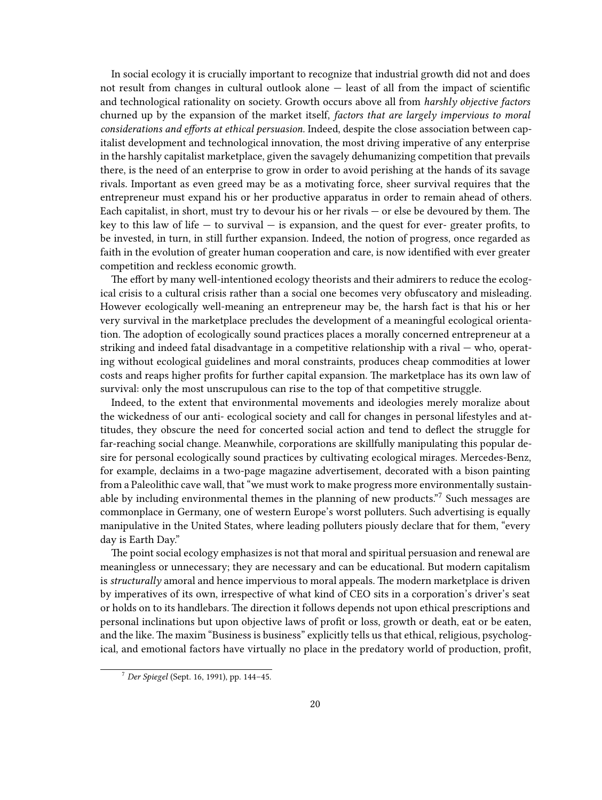In social ecology it is crucially important to recognize that industrial growth did not and does not result from changes in cultural outlook alone — least of all from the impact of scientific and technological rationality on society. Growth occurs above all from *harshly objective factors* churned up by the expansion of the market itself, *factors that are largely impervious to moral considerations and efforts at ethical persuasion.* Indeed, despite the close association between capitalist development and technological innovation, the most driving imperative of any enterprise in the harshly capitalist marketplace, given the savagely dehumanizing competition that prevails there, is the need of an enterprise to grow in order to avoid perishing at the hands of its savage rivals. Important as even greed may be as a motivating force, sheer survival requires that the entrepreneur must expand his or her productive apparatus in order to remain ahead of others. Each capitalist, in short, must try to devour his or her rivals — or else be devoured by them. The key to this law of life  $-$  to survival  $-$  is expansion, and the quest for ever- greater profits, to be invested, in turn, in still further expansion. Indeed, the notion of progress, once regarded as faith in the evolution of greater human cooperation and care, is now identified with ever greater competition and reckless economic growth.

The effort by many well-intentioned ecology theorists and their admirers to reduce the ecological crisis to a cultural crisis rather than a social one becomes very obfuscatory and misleading. However ecologically well-meaning an entrepreneur may be, the harsh fact is that his or her very survival in the marketplace precludes the development of a meaningful ecological orientation. The adoption of ecologically sound practices places a morally concerned entrepreneur at a striking and indeed fatal disadvantage in a competitive relationship with a rival — who, operating without ecological guidelines and moral constraints, produces cheap commodities at lower costs and reaps higher profits for further capital expansion. The marketplace has its own law of survival: only the most unscrupulous can rise to the top of that competitive struggle.

Indeed, to the extent that environmental movements and ideologies merely moralize about the wickedness of our anti- ecological society and call for changes in personal lifestyles and attitudes, they obscure the need for concerted social action and tend to deflect the struggle for far-reaching social change. Meanwhile, corporations are skillfully manipulating this popular desire for personal ecologically sound practices by cultivating ecological mirages. Mercedes-Benz, for example, declaims in a two-page magazine advertisement, decorated with a bison painting from a Paleolithic cave wall, that "we must work to make progress more environmentally sustainable by including environmental themes in the planning of new products."<sup>7</sup> Such messages are commonplace in Germany, one of western Europe's worst polluters. Such advertising is equally manipulative in the United States, where leading polluters piously declare that for them, "every day is Earth Day."

The point social ecology emphasizes is not that moral and spiritual persuasion and renewal are meaningless or unnecessary; they are necessary and can be educational. But modern capitalism is *structurally* amoral and hence impervious to moral appeals. The modern marketplace is driven by imperatives of its own, irrespective of what kind of CEO sits in a corporation's driver's seat or holds on to its handlebars. The direction it follows depends not upon ethical prescriptions and personal inclinations but upon objective laws of profit or loss, growth or death, eat or be eaten, and the like. The maxim "Business is business" explicitly tells us that ethical, religious, psychological, and emotional factors have virtually no place in the predatory world of production, profit,

<sup>7</sup> *Der Spiegel* (Sept. 16, 1991), pp. 144–45.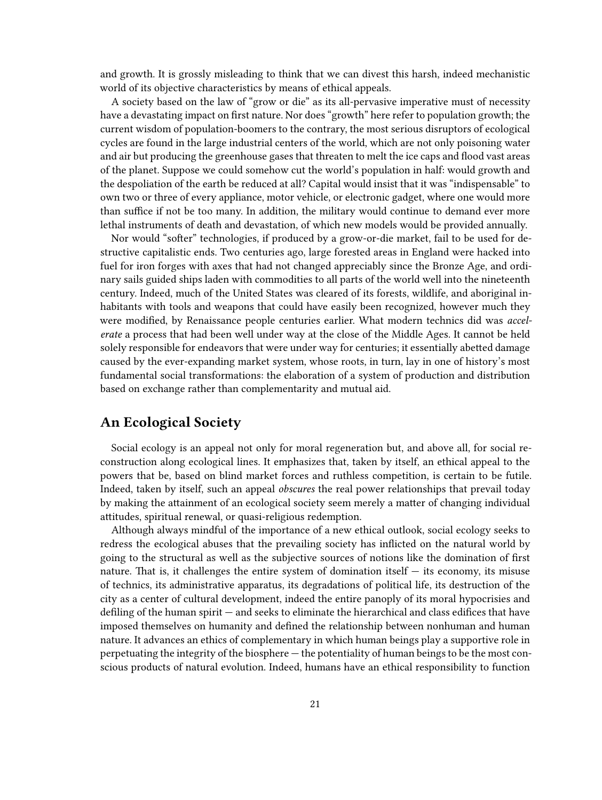and growth. It is grossly misleading to think that we can divest this harsh, indeed mechanistic world of its objective characteristics by means of ethical appeals.

A society based on the law of "grow or die" as its all-pervasive imperative must of necessity have a devastating impact on first nature. Nor does "growth" here refer to population growth; the current wisdom of population-boomers to the contrary, the most serious disruptors of ecological cycles are found in the large industrial centers of the world, which are not only poisoning water and air but producing the greenhouse gases that threaten to melt the ice caps and flood vast areas of the planet. Suppose we could somehow cut the world's population in half: would growth and the despoliation of the earth be reduced at all? Capital would insist that it was "indispensable" to own two or three of every appliance, motor vehicle, or electronic gadget, where one would more than suffice if not be too many. In addition, the military would continue to demand ever more lethal instruments of death and devastation, of which new models would be provided annually.

Nor would "softer" technologies, if produced by a grow-or-die market, fail to be used for destructive capitalistic ends. Two centuries ago, large forested areas in England were hacked into fuel for iron forges with axes that had not changed appreciably since the Bronze Age, and ordinary sails guided ships laden with commodities to all parts of the world well into the nineteenth century. Indeed, much of the United States was cleared of its forests, wildlife, and aboriginal inhabitants with tools and weapons that could have easily been recognized, however much they were modified, by Renaissance people centuries earlier. What modern technics did was *accelerate* a process that had been well under way at the close of the Middle Ages. It cannot be held solely responsible for endeavors that were under way for centuries; it essentially abetted damage caused by the ever-expanding market system, whose roots, in turn, lay in one of history's most fundamental social transformations: the elaboration of a system of production and distribution based on exchange rather than complementarity and mutual aid.

#### <span id="page-20-0"></span>**An Ecological Society**

Social ecology is an appeal not only for moral regeneration but, and above all, for social reconstruction along ecological lines. It emphasizes that, taken by itself, an ethical appeal to the powers that be, based on blind market forces and ruthless competition, is certain to be futile. Indeed, taken by itself, such an appeal *obscures* the real power relationships that prevail today by making the attainment of an ecological society seem merely a matter of changing individual attitudes, spiritual renewal, or quasi-religious redemption.

Although always mindful of the importance of a new ethical outlook, social ecology seeks to redress the ecological abuses that the prevailing society has inflicted on the natural world by going to the structural as well as the subjective sources of notions like the domination of first nature. That is, it challenges the entire system of domination itself  $-$  its economy, its misuse of technics, its administrative apparatus, its degradations of political life, its destruction of the city as a center of cultural development, indeed the entire panoply of its moral hypocrisies and defiling of the human spirit — and seeks to eliminate the hierarchical and class edifices that have imposed themselves on humanity and defined the relationship between nonhuman and human nature. It advances an ethics of complementary in which human beings play a supportive role in perpetuating the integrity of the biosphere — the potentiality of human beings to be the most conscious products of natural evolution. Indeed, humans have an ethical responsibility to function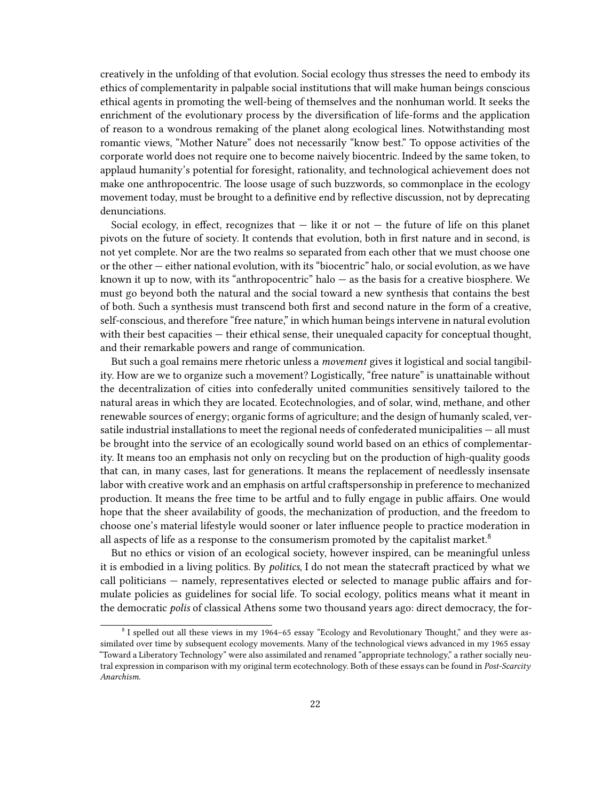creatively in the unfolding of that evolution. Social ecology thus stresses the need to embody its ethics of complementarity in palpable social institutions that will make human beings conscious ethical agents in promoting the well-being of themselves and the nonhuman world. It seeks the enrichment of the evolutionary process by the diversification of life-forms and the application of reason to a wondrous remaking of the planet along ecological lines. Notwithstanding most romantic views, "Mother Nature" does not necessarily "know best." To oppose activities of the corporate world does not require one to become naively biocentric. Indeed by the same token, to applaud humanity's potential for foresight, rationality, and technological achievement does not make one anthropocentric. The loose usage of such buzzwords, so commonplace in the ecology movement today, must be brought to a definitive end by reflective discussion, not by deprecating denunciations.

Social ecology, in effect, recognizes that  $-$  like it or not  $-$  the future of life on this planet pivots on the future of society. It contends that evolution, both in first nature and in second, is not yet complete. Nor are the two realms so separated from each other that we must choose one or the other — either national evolution, with its "biocentric" halo, or social evolution, as we have known it up to now, with its "anthropocentric" halo  $-$  as the basis for a creative biosphere. We must go beyond both the natural and the social toward a new synthesis that contains the best of both. Such a synthesis must transcend both first and second nature in the form of a creative, self-conscious, and therefore "free nature," in which human beings intervene in natural evolution with their best capacities — their ethical sense, their unequaled capacity for conceptual thought, and their remarkable powers and range of communication.

But such a goal remains mere rhetoric unless a *movement* gives it logistical and social tangibility. How are we to organize such a movement? Logistically, "free nature" is unattainable without the decentralization of cities into confederally united communities sensitively tailored to the natural areas in which they are located. Ecotechnologies, and of solar, wind, methane, and other renewable sources of energy; organic forms of agriculture; and the design of humanly scaled, versatile industrial installations to meet the regional needs of confederated municipalities — all must be brought into the service of an ecologically sound world based on an ethics of complementarity. It means too an emphasis not only on recycling but on the production of high-quality goods that can, in many cases, last for generations. It means the replacement of needlessly insensate labor with creative work and an emphasis on artful craftspersonship in preference to mechanized production. It means the free time to be artful and to fully engage in public affairs. One would hope that the sheer availability of goods, the mechanization of production, and the freedom to choose one's material lifestyle would sooner or later influence people to practice moderation in all aspects of life as a response to the consumerism promoted by the capitalist market.<sup>8</sup>

But no ethics or vision of an ecological society, however inspired, can be meaningful unless it is embodied in a living politics. By *politics*, I do not mean the statecraft practiced by what we call politicians — namely, representatives elected or selected to manage public affairs and formulate policies as guidelines for social life. To social ecology, politics means what it meant in the democratic *polis* of classical Athens some two thousand years ago: direct democracy, the for-

<sup>&</sup>lt;sup>8</sup> I spelled out all these views in my 1964–65 essay "Ecology and Revolutionary Thought," and they were assimilated over time by subsequent ecology movements. Many of the technological views advanced in my 1965 essay "Toward a Liberatory Technology" were also assimilated and renamed "appropriate technology," a rather socially neutral expression in comparison with my original term ecotechnology. Both of these essays can be found in *Post-Scarcity Anarchism*.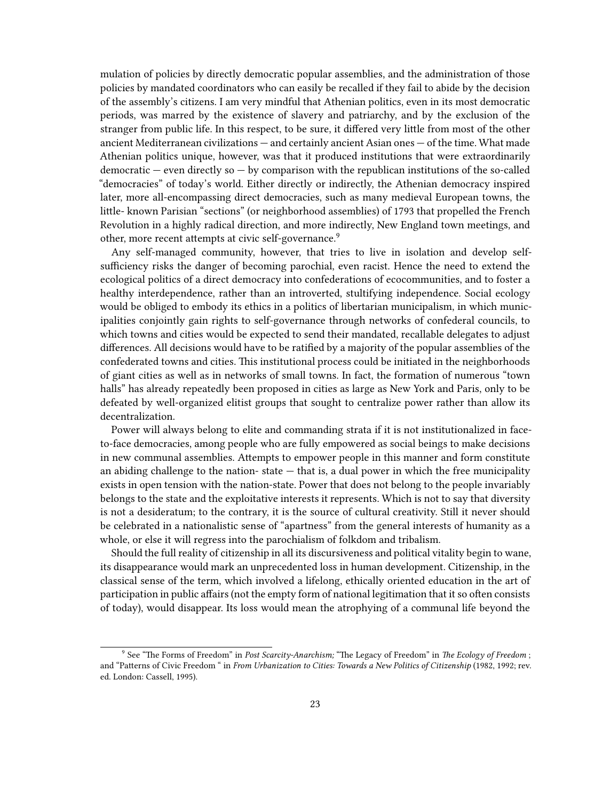mulation of policies by directly democratic popular assemblies, and the administration of those policies by mandated coordinators who can easily be recalled if they fail to abide by the decision of the assembly's citizens. I am very mindful that Athenian politics, even in its most democratic periods, was marred by the existence of slavery and patriarchy, and by the exclusion of the stranger from public life. In this respect, to be sure, it differed very little from most of the other ancient Mediterranean civilizations — and certainly ancient Asian ones — of the time. What made Athenian politics unique, however, was that it produced institutions that were extraordinarily democratic  $-$  even directly so  $-$  by comparison with the republican institutions of the so-called "democracies" of today's world. Either directly or indirectly, the Athenian democracy inspired later, more all-encompassing direct democracies, such as many medieval European towns, the little- known Parisian "sections" (or neighborhood assemblies) of 1793 that propelled the French Revolution in a highly radical direction, and more indirectly, New England town meetings, and other, more recent attempts at civic self-governance.<sup>9</sup>

Any self-managed community, however, that tries to live in isolation and develop selfsufficiency risks the danger of becoming parochial, even racist. Hence the need to extend the ecological politics of a direct democracy into confederations of ecocommunities, and to foster a healthy interdependence, rather than an introverted, stultifying independence. Social ecology would be obliged to embody its ethics in a politics of libertarian municipalism, in which municipalities conjointly gain rights to self-governance through networks of confederal councils, to which towns and cities would be expected to send their mandated, recallable delegates to adjust differences. All decisions would have to be ratified by a majority of the popular assemblies of the confederated towns and cities. This institutional process could be initiated in the neighborhoods of giant cities as well as in networks of small towns. In fact, the formation of numerous "town halls" has already repeatedly been proposed in cities as large as New York and Paris, only to be defeated by well-organized elitist groups that sought to centralize power rather than allow its decentralization.

Power will always belong to elite and commanding strata if it is not institutionalized in faceto-face democracies, among people who are fully empowered as social beings to make decisions in new communal assemblies. Attempts to empower people in this manner and form constitute an abiding challenge to the nation- $state - that$  is, a dual power in which the free municipality exists in open tension with the nation-state. Power that does not belong to the people invariably belongs to the state and the exploitative interests it represents. Which is not to say that diversity is not a desideratum; to the contrary, it is the source of cultural creativity. Still it never should be celebrated in a nationalistic sense of "apartness" from the general interests of humanity as a whole, or else it will regress into the parochialism of folkdom and tribalism.

Should the full reality of citizenship in all its discursiveness and political vitality begin to wane, its disappearance would mark an unprecedented loss in human development. Citizenship, in the classical sense of the term, which involved a lifelong, ethically oriented education in the art of participation in public affairs (not the empty form of national legitimation that it so often consists of today), would disappear. Its loss would mean the atrophying of a communal life beyond the

<sup>9</sup> See "The Forms of Freedom" in *Post Scarcity-Anarchism;* "The Legacy of Freedom" in *The Ecology of Freedom* ; and "Patterns of Civic Freedom " in *From Urbanization to Cities: Towards a New Politics of Citizenship* (1982, 1992; rev. ed. London: Cassell, 1995).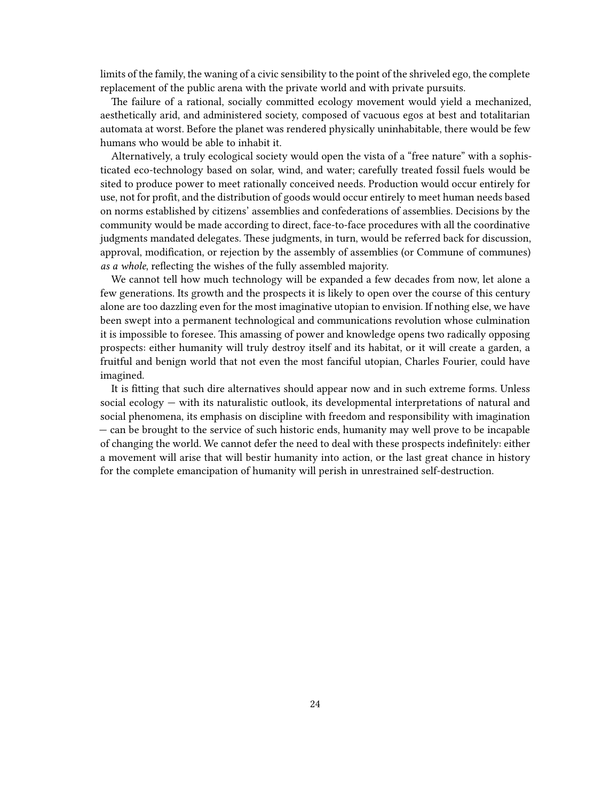limits of the family, the waning of a civic sensibility to the point of the shriveled ego, the complete replacement of the public arena with the private world and with private pursuits.

The failure of a rational, socially committed ecology movement would yield a mechanized, aesthetically arid, and administered society, composed of vacuous egos at best and totalitarian automata at worst. Before the planet was rendered physically uninhabitable, there would be few humans who would be able to inhabit it.

Alternatively, a truly ecological society would open the vista of a "free nature" with a sophisticated eco-technology based on solar, wind, and water; carefully treated fossil fuels would be sited to produce power to meet rationally conceived needs. Production would occur entirely for use, not for profit, and the distribution of goods would occur entirely to meet human needs based on norms established by citizens' assemblies and confederations of assemblies. Decisions by the community would be made according to direct, face-to-face procedures with all the coordinative judgments mandated delegates. These judgments, in turn, would be referred back for discussion, approval, modification, or rejection by the assembly of assemblies (or Commune of communes) *as a whole*, reflecting the wishes of the fully assembled majority.

We cannot tell how much technology will be expanded a few decades from now, let alone a few generations. Its growth and the prospects it is likely to open over the course of this century alone are too dazzling even for the most imaginative utopian to envision. If nothing else, we have been swept into a permanent technological and communications revolution whose culmination it is impossible to foresee. This amassing of power and knowledge opens two radically opposing prospects: either humanity will truly destroy itself and its habitat, or it will create a garden, a fruitful and benign world that not even the most fanciful utopian, Charles Fourier, could have imagined.

It is fitting that such dire alternatives should appear now and in such extreme forms. Unless social ecology — with its naturalistic outlook, its developmental interpretations of natural and social phenomena, its emphasis on discipline with freedom and responsibility with imagination — can be brought to the service of such historic ends, humanity may well prove to be incapable of changing the world. We cannot defer the need to deal with these prospects indefinitely: either a movement will arise that will bestir humanity into action, or the last great chance in history for the complete emancipation of humanity will perish in unrestrained self-destruction.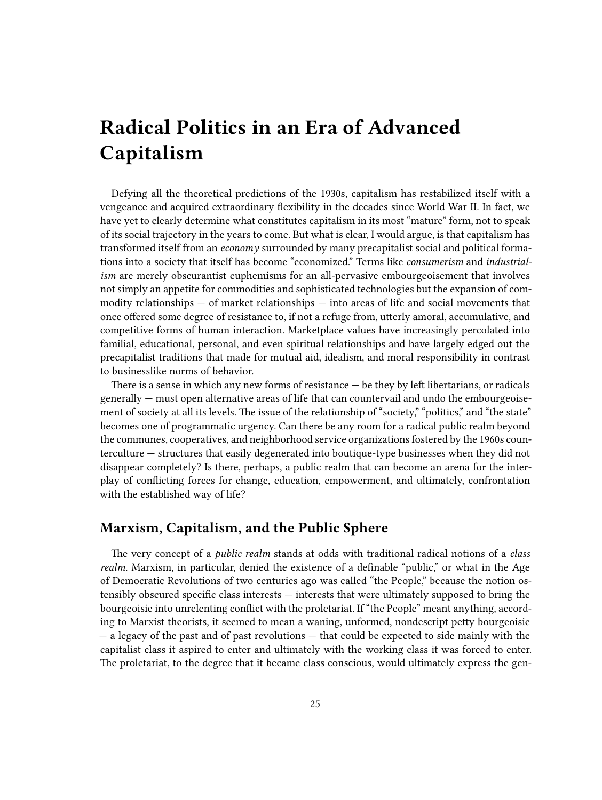## <span id="page-24-0"></span>**Radical Politics in an Era of Advanced Capitalism**

Defying all the theoretical predictions of the 1930s, capitalism has restabilized itself with a vengeance and acquired extraordinary flexibility in the decades since World War II. In fact, we have yet to clearly determine what constitutes capitalism in its most "mature" form, not to speak of its social trajectory in the years to come. But what is clear, I would argue, is that capitalism has transformed itself from an *economy* surrounded by many precapitalist social and political formations into a society that itself has become "economized." Terms like *consumerism* and *industrialism* are merely obscurantist euphemisms for an all-pervasive embourgeoisement that involves not simply an appetite for commodities and sophisticated technologies but the expansion of commodity relationships  $-$  of market relationships  $-$  into areas of life and social movements that once offered some degree of resistance to, if not a refuge from, utterly amoral, accumulative, and competitive forms of human interaction. Marketplace values have increasingly percolated into familial, educational, personal, and even spiritual relationships and have largely edged out the precapitalist traditions that made for mutual aid, idealism, and moral responsibility in contrast to businesslike norms of behavior.

There is a sense in which any new forms of resistance  $-$  be they by left libertarians, or radicals generally — must open alternative areas of life that can countervail and undo the embourgeoisement of society at all its levels. The issue of the relationship of "society," "politics," and "the state" becomes one of programmatic urgency. Can there be any room for a radical public realm beyond the communes, cooperatives, and neighborhood service organizations fostered by the 1960s counterculture — structures that easily degenerated into boutique-type businesses when they did not disappear completely? Is there, perhaps, a public realm that can become an arena for the interplay of conflicting forces for change, education, empowerment, and ultimately, confrontation with the established way of life?

#### <span id="page-24-1"></span>**Marxism, Capitalism, and the Public Sphere**

The very concept of a *public realm* stands at odds with traditional radical notions of a *class realm*. Marxism, in particular, denied the existence of a definable "public," or what in the Age of Democratic Revolutions of two centuries ago was called "the People," because the notion ostensibly obscured specific class interests — interests that were ultimately supposed to bring the bourgeoisie into unrelenting conflict with the proletariat. If "the People" meant anything, according to Marxist theorists, it seemed to mean a waning, unformed, nondescript petty bourgeoisie  $-$  a legacy of the past and of past revolutions  $-$  that could be expected to side mainly with the capitalist class it aspired to enter and ultimately with the working class it was forced to enter. The proletariat, to the degree that it became class conscious, would ultimately express the gen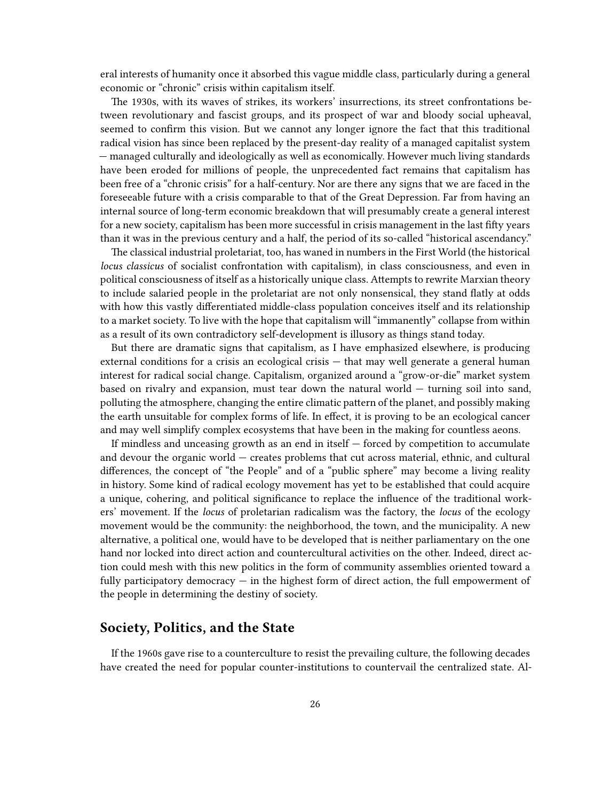eral interests of humanity once it absorbed this vague middle class, particularly during a general economic or "chronic" crisis within capitalism itself.

The 1930s, with its waves of strikes, its workers' insurrections, its street confrontations between revolutionary and fascist groups, and its prospect of war and bloody social upheaval, seemed to confirm this vision. But we cannot any longer ignore the fact that this traditional radical vision has since been replaced by the present-day reality of a managed capitalist system — managed culturally and ideologically as well as economically. However much living standards have been eroded for millions of people, the unprecedented fact remains that capitalism has been free of a "chronic crisis" for a half-century. Nor are there any signs that we are faced in the foreseeable future with a crisis comparable to that of the Great Depression. Far from having an internal source of long-term economic breakdown that will presumably create a general interest for a new society, capitalism has been more successful in crisis management in the last fifty years than it was in the previous century and a half, the period of its so-called "historical ascendancy."

The classical industrial proletariat, too, has waned in numbers in the First World (the historical *locus classicus* of socialist confrontation with capitalism), in class consciousness, and even in political consciousness of itself as a historically unique class. Attempts to rewrite Marxian theory to include salaried people in the proletariat are not only nonsensical, they stand flatly at odds with how this vastly differentiated middle-class population conceives itself and its relationship to a market society. To live with the hope that capitalism will "immanently" collapse from within as a result of its own contradictory self-development is illusory as things stand today.

But there are dramatic signs that capitalism, as I have emphasized elsewhere, is producing external conditions for a crisis an ecological crisis — that may well generate a general human interest for radical social change. Capitalism, organized around a "grow-or-die" market system based on rivalry and expansion, must tear down the natural world — turning soil into sand, polluting the atmosphere, changing the entire climatic pattern of the planet, and possibly making the earth unsuitable for complex forms of life. In effect, it is proving to be an ecological cancer and may well simplify complex ecosystems that have been in the making for countless aeons.

If mindless and unceasing growth as an end in itself — forced by competition to accumulate and devour the organic world — creates problems that cut across material, ethnic, and cultural differences, the concept of "the People" and of a "public sphere" may become a living reality in history. Some kind of radical ecology movement has yet to be established that could acquire a unique, cohering, and political significance to replace the influence of the traditional workers' movement. If the *locus* of proletarian radicalism was the factory, the *locus* of the ecology movement would be the community: the neighborhood, the town, and the municipality. A new alternative, a political one, would have to be developed that is neither parliamentary on the one hand nor locked into direct action and countercultural activities on the other. Indeed, direct action could mesh with this new politics in the form of community assemblies oriented toward a fully participatory democracy  $-$  in the highest form of direct action, the full empowerment of the people in determining the destiny of society.

#### <span id="page-25-0"></span>**Society, Politics, and the State**

If the 1960s gave rise to a counterculture to resist the prevailing culture, the following decades have created the need for popular counter-institutions to countervail the centralized state. Al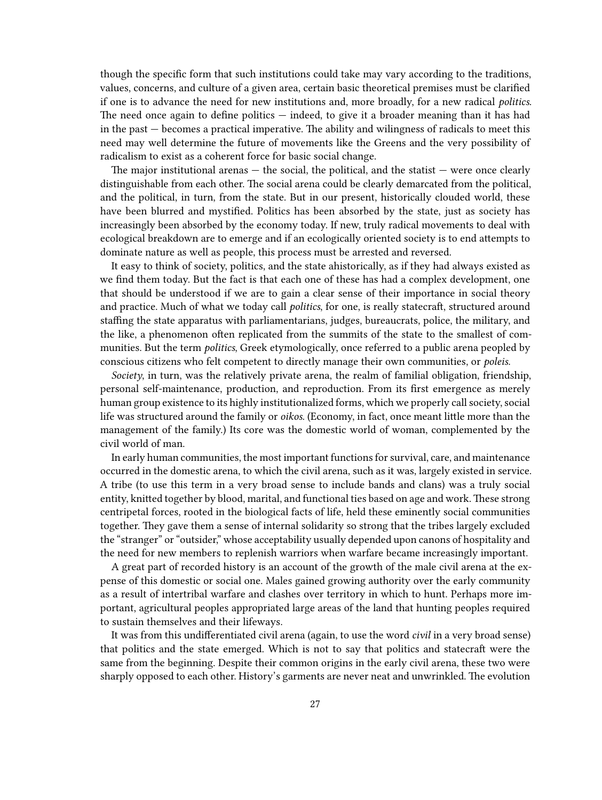though the specific form that such institutions could take may vary according to the traditions, values, concerns, and culture of a given area, certain basic theoretical premises must be clarified if one is to advance the need for new institutions and, more broadly, for a new radical *politics*. The need once again to define politics — indeed, to give it a broader meaning than it has had in the past — becomes a practical imperative. The ability and wilingness of radicals to meet this need may well determine the future of movements like the Greens and the very possibility of radicalism to exist as a coherent force for basic social change.

The major institutional arenas  $-$  the social, the political, and the statist  $-$  were once clearly distinguishable from each other. The social arena could be clearly demarcated from the political, and the political, in turn, from the state. But in our present, historically clouded world, these have been blurred and mystified. Politics has been absorbed by the state, just as society has increasingly been absorbed by the economy today. If new, truly radical movements to deal with ecological breakdown are to emerge and if an ecologically oriented society is to end attempts to dominate nature as well as people, this process must be arrested and reversed.

It easy to think of society, politics, and the state ahistorically, as if they had always existed as we find them today. But the fact is that each one of these has had a complex development, one that should be understood if we are to gain a clear sense of their importance in social theory and practice. Much of what we today call *politics*, for one, is really statecraft, structured around staffing the state apparatus with parliamentarians, judges, bureaucrats, police, the military, and the like, a phenomenon often replicated from the summits of the state to the smallest of communities. But the term *politics*, Greek etymologically, once referred to a public arena peopled by conscious citizens who felt competent to directly manage their own communities, or *poleis*.

*Society*, in turn, was the relatively private arena, the realm of familial obligation, friendship, personal self-maintenance, production, and reproduction. From its first emergence as merely human group existence to its highly institutionalized forms, which we properly call society, social life was structured around the family or *oikos*. (Economy, in fact, once meant little more than the management of the family.) Its core was the domestic world of woman, complemented by the civil world of man.

In early human communities, the most important functions for survival, care, and maintenance occurred in the domestic arena, to which the civil arena, such as it was, largely existed in service. A tribe (to use this term in a very broad sense to include bands and clans) was a truly social entity, knitted together by blood, marital, and functional ties based on age and work. These strong centripetal forces, rooted in the biological facts of life, held these eminently social communities together. They gave them a sense of internal solidarity so strong that the tribes largely excluded the "stranger" or "outsider," whose acceptability usually depended upon canons of hospitality and the need for new members to replenish warriors when warfare became increasingly important.

A great part of recorded history is an account of the growth of the male civil arena at the expense of this domestic or social one. Males gained growing authority over the early community as a result of intertribal warfare and clashes over territory in which to hunt. Perhaps more important, agricultural peoples appropriated large areas of the land that hunting peoples required to sustain themselves and their lifeways.

It was from this undifferentiated civil arena (again, to use the word *civil* in a very broad sense) that politics and the state emerged. Which is not to say that politics and statecraft were the same from the beginning. Despite their common origins in the early civil arena, these two were sharply opposed to each other. History's garments are never neat and unwrinkled. The evolution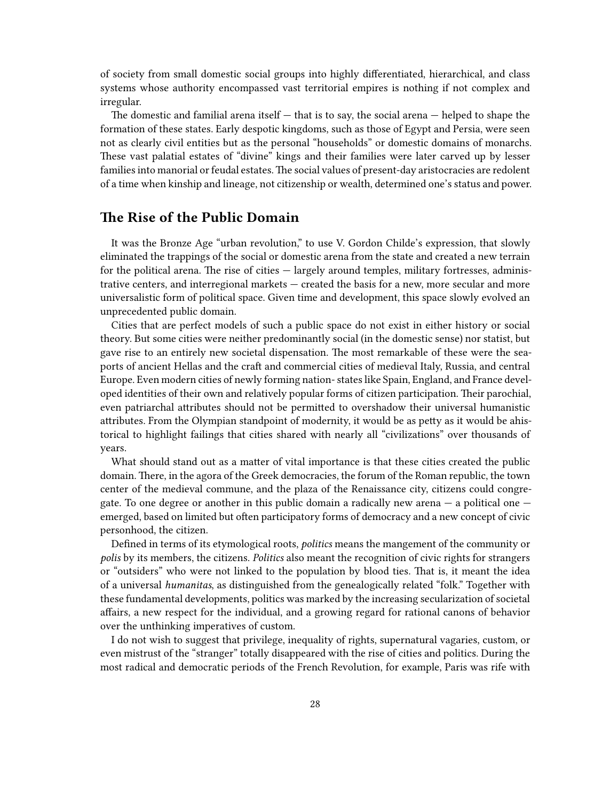of society from small domestic social groups into highly differentiated, hierarchical, and class systems whose authority encompassed vast territorial empires is nothing if not complex and irregular.

The domestic and familial arena itself  $-$  that is to say, the social arena  $-$  helped to shape the formation of these states. Early despotic kingdoms, such as those of Egypt and Persia, were seen not as clearly civil entities but as the personal "households" or domestic domains of monarchs. These vast palatial estates of "divine" kings and their families were later carved up by lesser families into manorial or feudal estates. The social values of present-day aristocracies are redolent of a time when kinship and lineage, not citizenship or wealth, determined one's status and power.

#### <span id="page-27-0"></span>**The Rise of the Public Domain**

It was the Bronze Age "urban revolution," to use V. Gordon Childe's expression, that slowly eliminated the trappings of the social or domestic arena from the state and created a new terrain for the political arena. The rise of cities — largely around temples, military fortresses, administrative centers, and interregional markets — created the basis for a new, more secular and more universalistic form of political space. Given time and development, this space slowly evolved an unprecedented public domain.

Cities that are perfect models of such a public space do not exist in either history or social theory. But some cities were neither predominantly social (in the domestic sense) nor statist, but gave rise to an entirely new societal dispensation. The most remarkable of these were the seaports of ancient Hellas and the craft and commercial cities of medieval Italy, Russia, and central Europe. Even modern cities of newly forming nation- states like Spain, England, and France developed identities of their own and relatively popular forms of citizen participation. Their parochial, even patriarchal attributes should not be permitted to overshadow their universal humanistic attributes. From the Olympian standpoint of modernity, it would be as petty as it would be ahistorical to highlight failings that cities shared with nearly all "civilizations" over thousands of years.

What should stand out as a matter of vital importance is that these cities created the public domain. There, in the agora of the Greek democracies, the forum of the Roman republic, the town center of the medieval commune, and the plaza of the Renaissance city, citizens could congregate. To one degree or another in this public domain a radically new arena  $-$  a political one  $$ emerged, based on limited but often participatory forms of democracy and a new concept of civic personhood, the citizen.

Defined in terms of its etymological roots, *politics* means the mangement of the community or *polis* by its members, the citizens. *Politics* also meant the recognition of civic rights for strangers or "outsiders" who were not linked to the population by blood ties. That is, it meant the idea of a universal *humanitas*, as distinguished from the genealogically related "folk." Together with these fundamental developments, politics was marked by the increasing secularization of societal affairs, a new respect for the individual, and a growing regard for rational canons of behavior over the unthinking imperatives of custom.

I do not wish to suggest that privilege, inequality of rights, supernatural vagaries, custom, or even mistrust of the "stranger" totally disappeared with the rise of cities and politics. During the most radical and democratic periods of the French Revolution, for example, Paris was rife with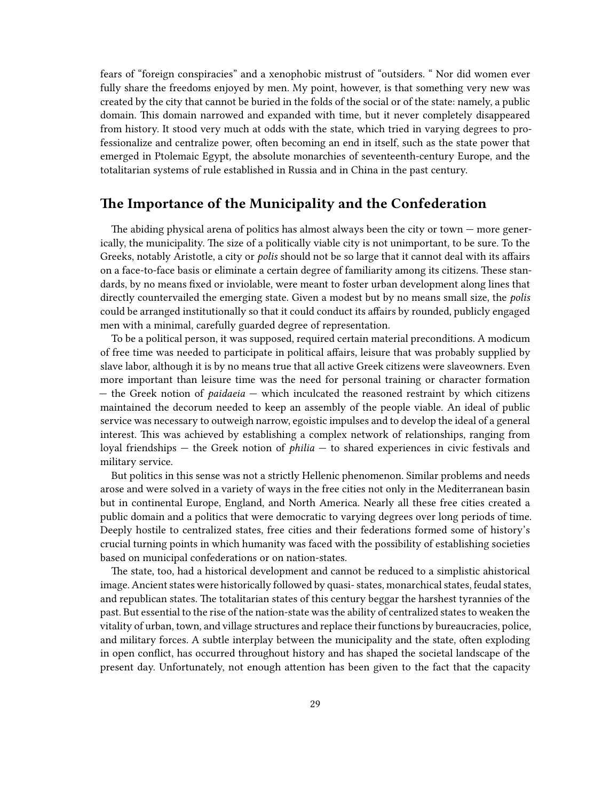fears of "foreign conspiracies" and a xenophobic mistrust of "outsiders. " Nor did women ever fully share the freedoms enjoyed by men. My point, however, is that something very new was created by the city that cannot be buried in the folds of the social or of the state: namely, a public domain. This domain narrowed and expanded with time, but it never completely disappeared from history. It stood very much at odds with the state, which tried in varying degrees to professionalize and centralize power, often becoming an end in itself, such as the state power that emerged in Ptolemaic Egypt, the absolute monarchies of seventeenth-century Europe, and the totalitarian systems of rule established in Russia and in China in the past century.

#### <span id="page-28-0"></span>**The Importance of the Municipality and the Confederation**

The abiding physical arena of politics has almost always been the city or town  $-$  more generically, the municipality. The size of a politically viable city is not unimportant, to be sure. To the Greeks, notably Aristotle, a city or *polis* should not be so large that it cannot deal with its affairs on a face-to-face basis or eliminate a certain degree of familiarity among its citizens. These standards, by no means fixed or inviolable, were meant to foster urban development along lines that directly countervailed the emerging state. Given a modest but by no means small size, the *polis* could be arranged institutionally so that it could conduct its affairs by rounded, publicly engaged men with a minimal, carefully guarded degree of representation.

To be a political person, it was supposed, required certain material preconditions. A modicum of free time was needed to participate in political affairs, leisure that was probably supplied by slave labor, although it is by no means true that all active Greek citizens were slaveowners. Even more important than leisure time was the need for personal training or character formation — the Greek notion of *paidaeia* — which inculcated the reasoned restraint by which citizens maintained the decorum needed to keep an assembly of the people viable. An ideal of public service was necessary to outweigh narrow, egoistic impulses and to develop the ideal of a general interest. This was achieved by establishing a complex network of relationships, ranging from loyal friendships — the Greek notion of *philia* — to shared experiences in civic festivals and military service.

But politics in this sense was not a strictly Hellenic phenomenon. Similar problems and needs arose and were solved in a variety of ways in the free cities not only in the Mediterranean basin but in continental Europe, England, and North America. Nearly all these free cities created a public domain and a politics that were democratic to varying degrees over long periods of time. Deeply hostile to centralized states, free cities and their federations formed some of history's crucial turning points in which humanity was faced with the possibility of establishing societies based on municipal confederations or on nation-states.

The state, too, had a historical development and cannot be reduced to a simplistic ahistorical image. Ancient states were historically followed by quasi- states, monarchical states, feudal states, and republican states. The totalitarian states of this century beggar the harshest tyrannies of the past. But essential to the rise of the nation-state was the ability of centralized states to weaken the vitality of urban, town, and village structures and replace their functions by bureaucracies, police, and military forces. A subtle interplay between the municipality and the state, often exploding in open conflict, has occurred throughout history and has shaped the societal landscape of the present day. Unfortunately, not enough attention has been given to the fact that the capacity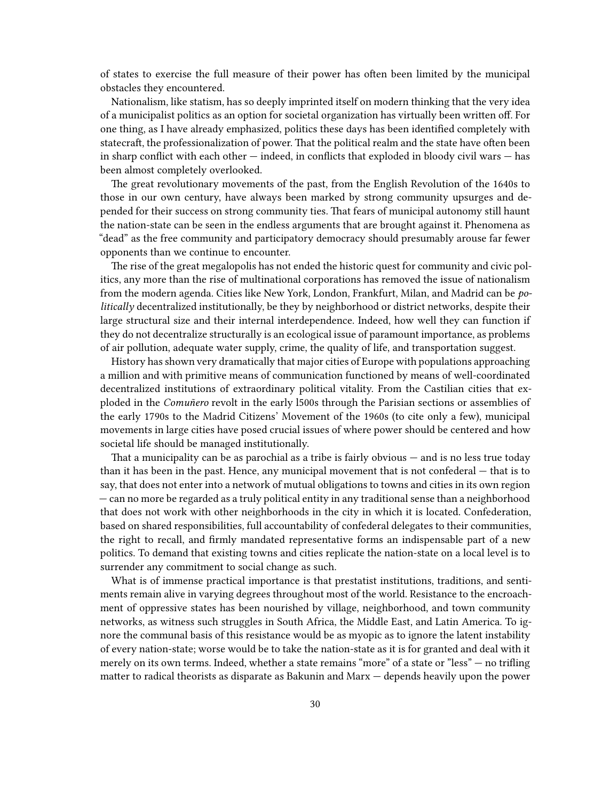of states to exercise the full measure of their power has often been limited by the municipal obstacles they encountered.

Nationalism, like statism, has so deeply imprinted itself on modern thinking that the very idea of a municipalist politics as an option for societal organization has virtually been written off. For one thing, as I have already emphasized, politics these days has been identified completely with statecraft, the professionalization of power. That the political realm and the state have often been in sharp conflict with each other  $-$  indeed, in conflicts that exploded in bloody civil wars  $-$  has been almost completely overlooked.

The great revolutionary movements of the past, from the English Revolution of the 1640s to those in our own century, have always been marked by strong community upsurges and depended for their success on strong community ties. That fears of municipal autonomy still haunt the nation-state can be seen in the endless arguments that are brought against it. Phenomena as "dead" as the free community and participatory democracy should presumably arouse far fewer opponents than we continue to encounter.

The rise of the great megalopolis has not ended the historic quest for community and civic politics, any more than the rise of multinational corporations has removed the issue of nationalism from the modern agenda. Cities like New York, London, Frankfurt, Milan, and Madrid can be *politically* decentralized institutionally, be they by neighborhood or district networks, despite their large structural size and their internal interdependence. Indeed, how well they can function if they do not decentralize structurally is an ecological issue of paramount importance, as problems of air pollution, adequate water supply, crime, the quality of life, and transportation suggest.

History has shown very dramatically that major cities of Europe with populations approaching a million and with primitive means of communication functioned by means of well-coordinated decentralized institutions of extraordinary political vitality. From the Castilian cities that exploded in the *Comuñero* revolt in the early l500s through the Parisian sections or assemblies of the early 1790s to the Madrid Citizens' Movement of the 1960s (to cite only a few), municipal movements in large cities have posed crucial issues of where power should be centered and how societal life should be managed institutionally.

That a municipality can be as parochial as a tribe is fairly obvious  $-$  and is no less true today than it has been in the past. Hence, any municipal movement that is not confederal — that is to say, that does not enter into a network of mutual obligations to towns and cities in its own region — can no more be regarded as a truly political entity in any traditional sense than a neighborhood that does not work with other neighborhoods in the city in which it is located. Confederation, based on shared responsibilities, full accountability of confederal delegates to their communities, the right to recall, and firmly mandated representative forms an indispensable part of a new politics. To demand that existing towns and cities replicate the nation-state on a local level is to surrender any commitment to social change as such.

What is of immense practical importance is that prestatist institutions, traditions, and sentiments remain alive in varying degrees throughout most of the world. Resistance to the encroachment of oppressive states has been nourished by village, neighborhood, and town community networks, as witness such struggles in South Africa, the Middle East, and Latin America. To ignore the communal basis of this resistance would be as myopic as to ignore the latent instability of every nation-state; worse would be to take the nation-state as it is for granted and deal with it merely on its own terms. Indeed, whether a state remains "more" of a state or "less" — no trifling matter to radical theorists as disparate as Bakunin and Marx — depends heavily upon the power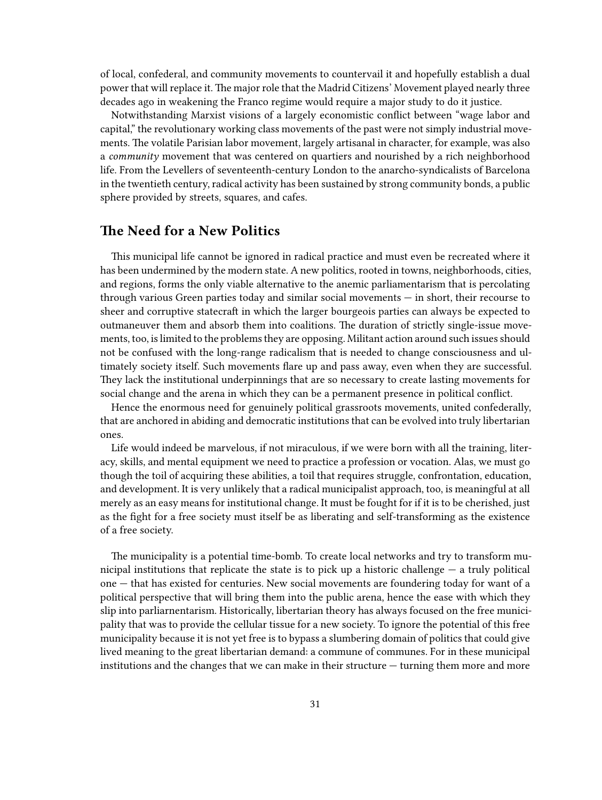of local, confederal, and community movements to countervail it and hopefully establish a dual power that will replace it. The major role that the Madrid Citizens' Movement played nearly three decades ago in weakening the Franco regime would require a major study to do it justice.

Notwithstanding Marxist visions of a largely economistic conflict between "wage labor and capital," the revolutionary working class movements of the past were not simply industrial movements. The volatile Parisian labor movement, largely artisanal in character, for example, was also a *community* movement that was centered on quartiers and nourished by a rich neighborhood life. From the Levellers of seventeenth-century London to the anarcho-syndicalists of Barcelona in the twentieth century, radical activity has been sustained by strong community bonds, a public sphere provided by streets, squares, and cafes.

#### <span id="page-30-0"></span>**The Need for a New Politics**

This municipal life cannot be ignored in radical practice and must even be recreated where it has been undermined by the modern state. A new politics, rooted in towns, neighborhoods, cities, and regions, forms the only viable alternative to the anemic parliamentarism that is percolating through various Green parties today and similar social movements — in short, their recourse to sheer and corruptive statecraft in which the larger bourgeois parties can always be expected to outmaneuver them and absorb them into coalitions. The duration of strictly single-issue movements, too, is limited to the problems they are opposing. Militant action around such issues should not be confused with the long-range radicalism that is needed to change consciousness and ultimately society itself. Such movements flare up and pass away, even when they are successful. They lack the institutional underpinnings that are so necessary to create lasting movements for social change and the arena in which they can be a permanent presence in political conflict.

Hence the enormous need for genuinely political grassroots movements, united confederally, that are anchored in abiding and democratic institutions that can be evolved into truly libertarian ones.

Life would indeed be marvelous, if not miraculous, if we were born with all the training, literacy, skills, and mental equipment we need to practice a profession or vocation. Alas, we must go though the toil of acquiring these abilities, a toil that requires struggle, confrontation, education, and development. It is very unlikely that a radical municipalist approach, too, is meaningful at all merely as an easy means for institutional change. It must be fought for if it is to be cherished, just as the fight for a free society must itself be as liberating and self-transforming as the existence of a free society.

The municipality is a potential time-bomb. To create local networks and try to transform municipal institutions that replicate the state is to pick up a historic challenge  $-$  a truly political one — that has existed for centuries. New social movements are foundering today for want of a political perspective that will bring them into the public arena, hence the ease with which they slip into parliarnentarism. Historically, libertarian theory has always focused on the free municipality that was to provide the cellular tissue for a new society. To ignore the potential of this free municipality because it is not yet free is to bypass a slumbering domain of politics that could give lived meaning to the great libertarian demand: a commune of communes. For in these municipal institutions and the changes that we can make in their structure — turning them more and more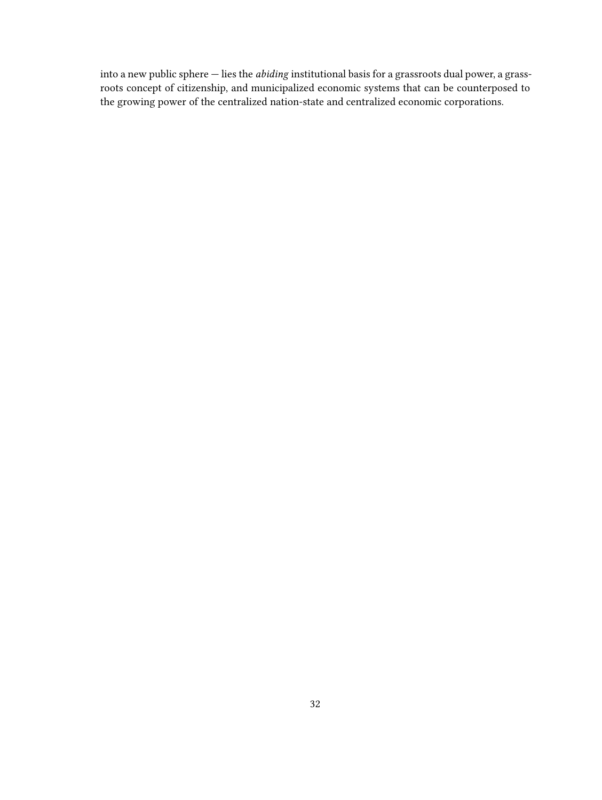into a new public sphere — lies the *abiding* institutional basis for a grassroots dual power, a grassroots concept of citizenship, and municipalized economic systems that can be counterposed to the growing power of the centralized nation-state and centralized economic corporations.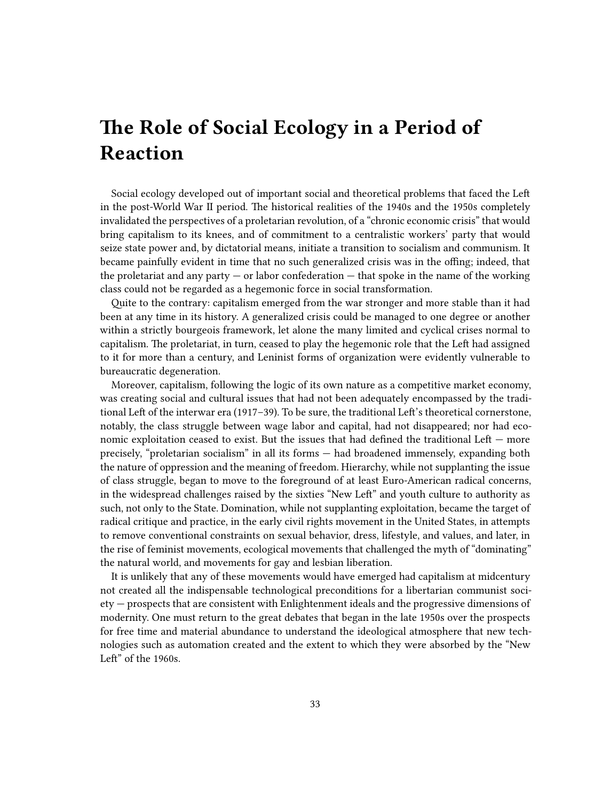## <span id="page-32-0"></span>**The Role of Social Ecology in a Period of Reaction**

Social ecology developed out of important social and theoretical problems that faced the Left in the post-World War II period. The historical realities of the 1940s and the 1950s completely invalidated the perspectives of a proletarian revolution, of a "chronic economic crisis" that would bring capitalism to its knees, and of commitment to a centralistic workers' party that would seize state power and, by dictatorial means, initiate a transition to socialism and communism. It became painfully evident in time that no such generalized crisis was in the offing; indeed, that the proletariat and any party  $-$  or labor confederation  $-$  that spoke in the name of the working class could not be regarded as a hegemonic force in social transformation.

Quite to the contrary: capitalism emerged from the war stronger and more stable than it had been at any time in its history. A generalized crisis could be managed to one degree or another within a strictly bourgeois framework, let alone the many limited and cyclical crises normal to capitalism. The proletariat, in turn, ceased to play the hegemonic role that the Left had assigned to it for more than a century, and Leninist forms of organization were evidently vulnerable to bureaucratic degeneration.

Moreover, capitalism, following the logic of its own nature as a competitive market economy, was creating social and cultural issues that had not been adequately encompassed by the traditional Left of the interwar era (1917–39). To be sure, the traditional Left's theoretical cornerstone, notably, the class struggle between wage labor and capital, had not disappeared; nor had economic exploitation ceased to exist. But the issues that had defined the traditional Left — more precisely, "proletarian socialism" in all its forms — had broadened immensely, expanding both the nature of oppression and the meaning of freedom. Hierarchy, while not supplanting the issue of class struggle, began to move to the foreground of at least Euro-American radical concerns, in the widespread challenges raised by the sixties "New Left" and youth culture to authority as such, not only to the State. Domination, while not supplanting exploitation, became the target of radical critique and practice, in the early civil rights movement in the United States, in attempts to remove conventional constraints on sexual behavior, dress, lifestyle, and values, and later, in the rise of feminist movements, ecological movements that challenged the myth of "dominating" the natural world, and movements for gay and lesbian liberation.

It is unlikely that any of these movements would have emerged had capitalism at midcentury not created all the indispensable technological preconditions for a libertarian communist society — prospects that are consistent with Enlightenment ideals and the progressive dimensions of modernity. One must return to the great debates that began in the late 1950s over the prospects for free time and material abundance to understand the ideological atmosphere that new technologies such as automation created and the extent to which they were absorbed by the "New Left" of the 1960s.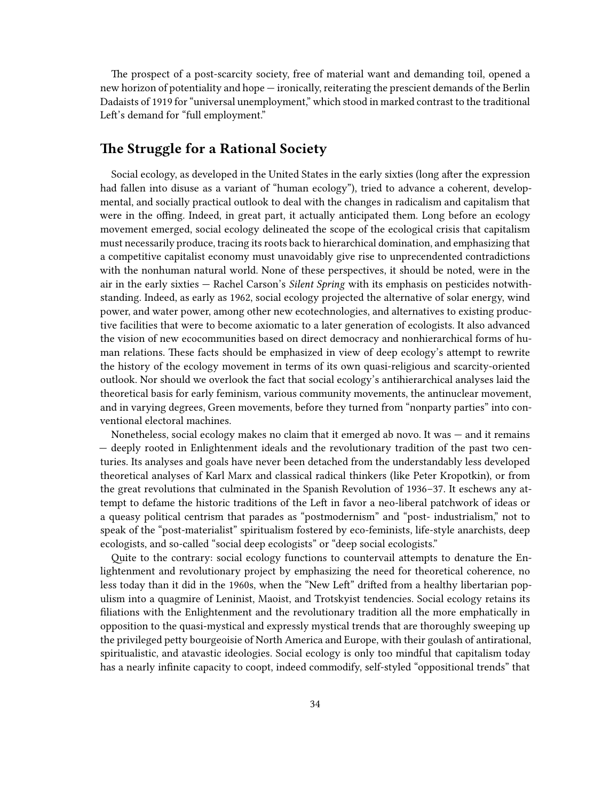The prospect of a post-scarcity society, free of material want and demanding toil, opened a new horizon of potentiality and hope — ironically, reiterating the prescient demands of the Berlin Dadaists of 1919 for "universal unemployment," which stood in marked contrast to the traditional Left's demand for "full employment."

#### <span id="page-33-0"></span>**The Struggle for a Rational Society**

Social ecology, as developed in the United States in the early sixties (long after the expression had fallen into disuse as a variant of "human ecology"), tried to advance a coherent, developmental, and socially practical outlook to deal with the changes in radicalism and capitalism that were in the offing. Indeed, in great part, it actually anticipated them. Long before an ecology movement emerged, social ecology delineated the scope of the ecological crisis that capitalism must necessarily produce, tracing its roots back to hierarchical domination, and emphasizing that a competitive capitalist economy must unavoidably give rise to unprecendented contradictions with the nonhuman natural world. None of these perspectives, it should be noted, were in the air in the early sixties — Rachel Carson's *Silent Spring* with its emphasis on pesticides notwithstanding. Indeed, as early as 1962, social ecology projected the alternative of solar energy, wind power, and water power, among other new ecotechnologies, and alternatives to existing productive facilities that were to become axiomatic to a later generation of ecologists. It also advanced the vision of new ecocommunities based on direct democracy and nonhierarchical forms of human relations. These facts should be emphasized in view of deep ecology's attempt to rewrite the history of the ecology movement in terms of its own quasi-religious and scarcity-oriented outlook. Nor should we overlook the fact that social ecology's antihierarchical analyses laid the theoretical basis for early feminism, various community movements, the antinuclear movement, and in varying degrees, Green movements, before they turned from "nonparty parties" into conventional electoral machines.

Nonetheless, social ecology makes no claim that it emerged ab novo. It was  $-$  and it remains — deeply rooted in Enlightenment ideals and the revolutionary tradition of the past two centuries. Its analyses and goals have never been detached from the understandably less developed theoretical analyses of Karl Marx and classical radical thinkers (like Peter Kropotkin), or from the great revolutions that culminated in the Spanish Revolution of 1936–37. It eschews any attempt to defame the historic traditions of the Left in favor a neo-liberal patchwork of ideas or a queasy political centrism that parades as "postmodernism" and "post- industrialism," not to speak of the "post-materialist" spiritualism fostered by eco-feminists, life-style anarchists, deep ecologists, and so-called "social deep ecologists" or "deep social ecologists."

Quite to the contrary: social ecology functions to countervail attempts to denature the Enlightenment and revolutionary project by emphasizing the need for theoretical coherence, no less today than it did in the 1960s, when the "New Left" drifted from a healthy libertarian populism into a quagmire of Leninist, Maoist, and Trotskyist tendencies. Social ecology retains its filiations with the Enlightenment and the revolutionary tradition all the more emphatically in opposition to the quasi-mystical and expressly mystical trends that are thoroughly sweeping up the privileged petty bourgeoisie of North America and Europe, with their goulash of antirational, spiritualistic, and atavastic ideologies. Social ecology is only too mindful that capitalism today has a nearly infinite capacity to coopt, indeed commodify, self-styled "oppositional trends" that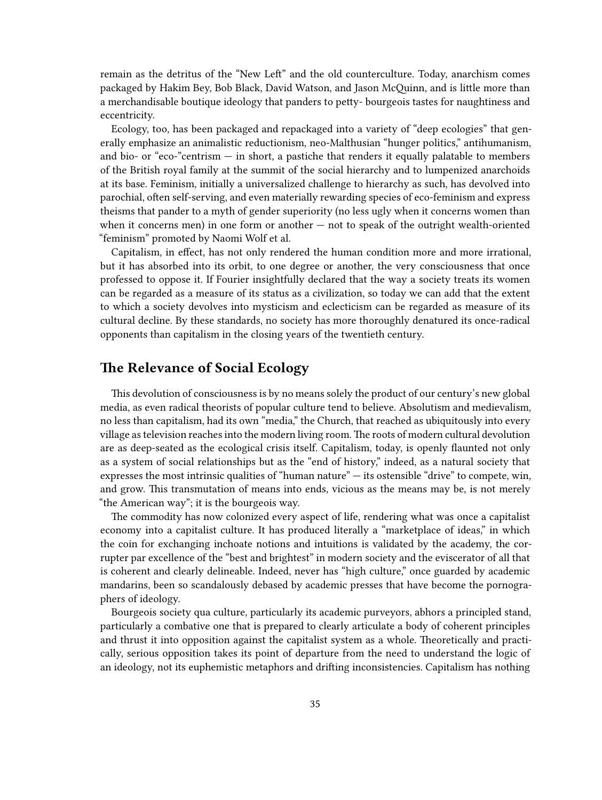remain as the detritus of the "New Left" and the old counterculture. Today, anarchism comes packaged by Hakim Bey, Bob Black, David Watson, and Jason McQuinn, and is little more than a merchandisable boutique ideology that panders to petty- bourgeois tastes for naughtiness and eccentricity.

Ecology, too, has been packaged and repackaged into a variety of "deep ecologies" that generally emphasize an animalistic reductionism, neo-Malthusian "hunger politics," antihumanism, and bio- or "eco-"centrism  $-$  in short, a pastiche that renders it equally palatable to members of the British royal family at the summit of the social hierarchy and to lumpenized anarchoids at its base. Feminism, initially a universalized challenge to hierarchy as such, has devolved into parochial, often self-serving, and even materially rewarding species of eco-feminism and express theisms that pander to a myth of gender superiority (no less ugly when it concerns women than when it concerns men) in one form or another — not to speak of the outright wealth-oriented "feminism" promoted by Naomi Wolf et al.

Capitalism, in effect, has not only rendered the human condition more and more irrational, but it has absorbed into its orbit, to one degree or another, the very consciousness that once professed to oppose it. If Fourier insightfully declared that the way a society treats its women can be regarded as a measure of its status as a civilization, so today we can add that the extent to which a society devolves into mysticism and eclecticism can be regarded as measure of its cultural decline. By these standards, no society has more thoroughly denatured its once-radical opponents than capitalism in the closing years of the twentieth century.

#### <span id="page-34-0"></span>**The Relevance of Social Ecology**

This devolution of consciousness is by no means solely the product of our century's new global media, as even radical theorists of popular culture tend to believe. Absolutism and medievalism, no less than capitalism, had its own "media," the Church, that reached as ubiquitously into every village as television reaches into the modern living room. The roots of modern cultural devolution are as deep-seated as the ecological crisis itself. Capitalism, today, is openly flaunted not only as a system of social relationships but as the "end of history," indeed, as a natural society that expresses the most intrinsic qualities of "human nature" — its ostensible "drive" to compete, win, and grow. This transmutation of means into ends, vicious as the means may be, is not merely "the American way"; it is the bourgeois way.

The commodity has now colonized every aspect of life, rendering what was once a capitalist economy into a capitalist culture. It has produced literally a "marketplace of ideas," in which the coin for exchanging inchoate notions and intuitions is validated by the academy, the corrupter par excellence of the "best and brightest" in modern society and the eviscerator of all that is coherent and clearly delineable. Indeed, never has "high culture," once guarded by academic mandarins, been so scandalously debased by academic presses that have become the pornographers of ideology.

Bourgeois society qua culture, particularly its academic purveyors, abhors a principled stand, particularly a combative one that is prepared to clearly articulate a body of coherent principles and thrust it into opposition against the capitalist system as a whole. Theoretically and practically, serious opposition takes its point of departure from the need to understand the logic of an ideology, not its euphemistic metaphors and drifting inconsistencies. Capitalism has nothing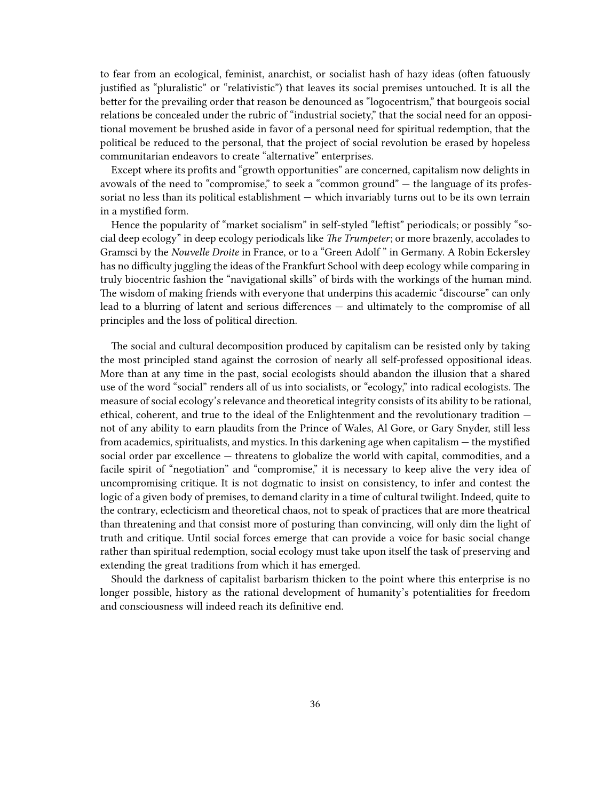to fear from an ecological, feminist, anarchist, or socialist hash of hazy ideas (often fatuously justified as "pluralistic" or "relativistic") that leaves its social premises untouched. It is all the better for the prevailing order that reason be denounced as "logocentrism," that bourgeois social relations be concealed under the rubric of "industrial society," that the social need for an oppositional movement be brushed aside in favor of a personal need for spiritual redemption, that the political be reduced to the personal, that the project of social revolution be erased by hopeless communitarian endeavors to create "alternative" enterprises.

Except where its profits and "growth opportunities" are concerned, capitalism now delights in avowals of the need to "compromise," to seek a "common ground" — the language of its professoriat no less than its political establishment — which invariably turns out to be its own terrain in a mystified form.

Hence the popularity of "market socialism" in self-styled "leftist" periodicals; or possibly "social deep ecology" in deep ecology periodicals like *The Trumpeter*; or more brazenly, accolades to Gramsci by the *Nouvelle Droite* in France, or to a "Green Adolf " in Germany. A Robin Eckersley has no difficulty juggling the ideas of the Frankfurt School with deep ecology while comparing in truly biocentric fashion the "navigational skills" of birds with the workings of the human mind. The wisdom of making friends with everyone that underpins this academic "discourse" can only lead to a blurring of latent and serious differences — and ultimately to the compromise of all principles and the loss of political direction.

The social and cultural decomposition produced by capitalism can be resisted only by taking the most principled stand against the corrosion of nearly all self-professed oppositional ideas. More than at any time in the past, social ecologists should abandon the illusion that a shared use of the word "social" renders all of us into socialists, or "ecology," into radical ecologists. The measure of social ecology's relevance and theoretical integrity consists of its ability to be rational, ethical, coherent, and true to the ideal of the Enlightenment and the revolutionary tradition not of any ability to earn plaudits from the Prince of Wales, Al Gore, or Gary Snyder, still less from academics, spiritualists, and mystics. In this darkening age when capitalism — the mystified social order par excellence — threatens to globalize the world with capital, commodities, and a facile spirit of "negotiation" and "compromise," it is necessary to keep alive the very idea of uncompromising critique. It is not dogmatic to insist on consistency, to infer and contest the logic of a given body of premises, to demand clarity in a time of cultural twilight. Indeed, quite to the contrary, eclecticism and theoretical chaos, not to speak of practices that are more theatrical than threatening and that consist more of posturing than convincing, will only dim the light of truth and critique. Until social forces emerge that can provide a voice for basic social change rather than spiritual redemption, social ecology must take upon itself the task of preserving and extending the great traditions from which it has emerged.

Should the darkness of capitalist barbarism thicken to the point where this enterprise is no longer possible, history as the rational development of humanity's potentialities for freedom and consciousness will indeed reach its definitive end.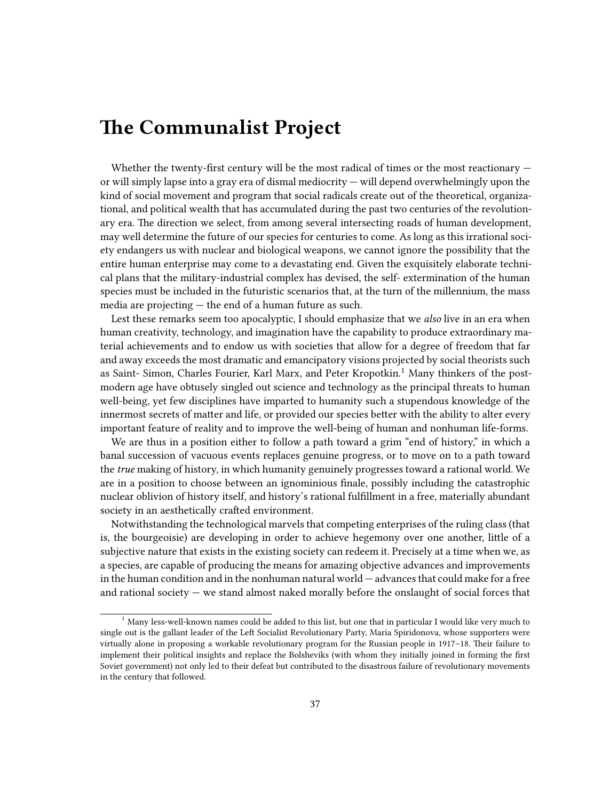### <span id="page-36-0"></span>**The Communalist Project**

Whether the twenty-first century will be the most radical of times or the most reactionary  $$ or will simply lapse into a gray era of dismal mediocrity — will depend overwhelmingly upon the kind of social movement and program that social radicals create out of the theoretical, organizational, and political wealth that has accumulated during the past two centuries of the revolutionary era. The direction we select, from among several intersecting roads of human development, may well determine the future of our species for centuries to come. As long as this irrational society endangers us with nuclear and biological weapons, we cannot ignore the possibility that the entire human enterprise may come to a devastating end. Given the exquisitely elaborate technical plans that the military-industrial complex has devised, the self- extermination of the human species must be included in the futuristic scenarios that, at the turn of the millennium, the mass media are projecting — the end of a human future as such.

Lest these remarks seem too apocalyptic, I should emphasize that we *also* live in an era when human creativity, technology, and imagination have the capability to produce extraordinary material achievements and to endow us with societies that allow for a degree of freedom that far and away exceeds the most dramatic and emancipatory visions projected by social theorists such as Saint- Simon, Charles Fourier, Karl Marx, and Peter Kropotkin.<sup>1</sup> Many thinkers of the postmodern age have obtusely singled out science and technology as the principal threats to human well-being, yet few disciplines have imparted to humanity such a stupendous knowledge of the innermost secrets of matter and life, or provided our species better with the ability to alter every important feature of reality and to improve the well-being of human and nonhuman life-forms.

We are thus in a position either to follow a path toward a grim "end of history," in which a banal succession of vacuous events replaces genuine progress, or to move on to a path toward the *true* making of history, in which humanity genuinely progresses toward a rational world. We are in a position to choose between an ignominious finale, possibly including the catastrophic nuclear oblivion of history itself, and history's rational fulfillment in a free, materially abundant society in an aesthetically crafted environment.

Notwithstanding the technological marvels that competing enterprises of the ruling class (that is, the bourgeoisie) are developing in order to achieve hegemony over one another, little of a subjective nature that exists in the existing society can redeem it. Precisely at a time when we, as a species, are capable of producing the means for amazing objective advances and improvements in the human condition and in the nonhuman natural world — advances that could make for a free and rational society — we stand almost naked morally before the onslaught of social forces that

 $1$  Many less-well-known names could be added to this list, but one that in particular I would like very much to single out is the gallant leader of the Left Socialist Revolutionary Party, Maria Spiridonova, whose supporters were virtually alone in proposing a workable revolutionary program for the Russian people in 1917–18. Their failure to implement their political insights and replace the Bolsheviks (with whom they initially joined in forming the first Soviet government) not only led to their defeat but contributed to the disastrous failure of revolutionary movements in the century that followed.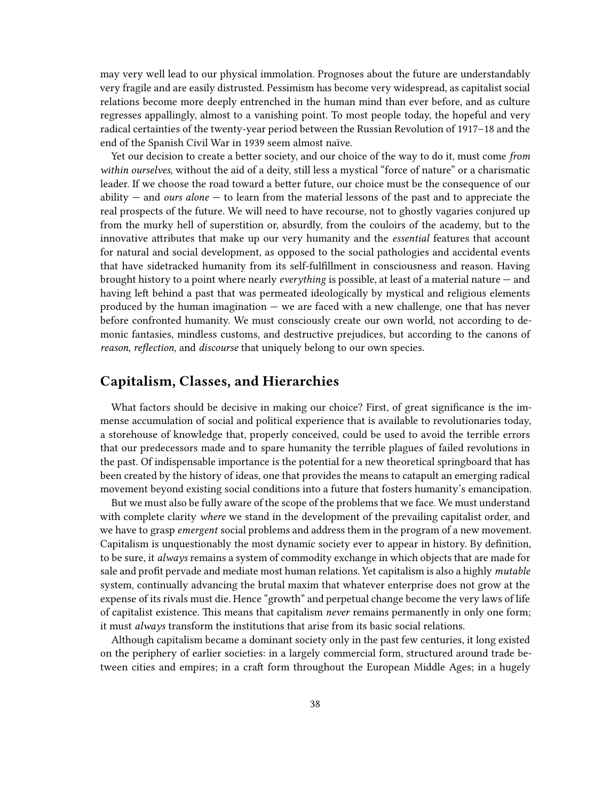may very well lead to our physical immolation. Prognoses about the future are understandably very fragile and are easily distrusted. Pessimism has become very widespread, as capitalist social relations become more deeply entrenched in the human mind than ever before, and as culture regresses appallingly, almost to a vanishing point. To most people today, the hopeful and very radical certainties of the twenty-year period between the Russian Revolution of 1917–18 and the end of the Spanish Civil War in 1939 seem almost naïve.

Yet our decision to create a better society, and our choice of the way to do it, must come *from within ourselves*, without the aid of a deity, still less a mystical "force of nature" or a charismatic leader. If we choose the road toward a better future, our choice must be the consequence of our ability — and *ours alone* — to learn from the material lessons of the past and to appreciate the real prospects of the future. We will need to have recourse, not to ghostly vagaries conjured up from the murky hell of superstition or, absurdly, from the couloirs of the academy, but to the innovative attributes that make up our very humanity and the *essential* features that account for natural and social development, as opposed to the social pathologies and accidental events that have sidetracked humanity from its self-fulfillment in consciousness and reason. Having brought history to a point where nearly *everything* is possible, at least of a material nature — and having left behind a past that was permeated ideologically by mystical and religious elements produced by the human imagination  $-$  we are faced with a new challenge, one that has never before confronted humanity. We must consciously create our own world, not according to demonic fantasies, mindless customs, and destructive prejudices, but according to the canons of *reason*, *reflection*, and *discourse* that uniquely belong to our own species.

#### <span id="page-37-0"></span>**Capitalism, Classes, and Hierarchies**

What factors should be decisive in making our choice? First, of great significance is the immense accumulation of social and political experience that is available to revolutionaries today, a storehouse of knowledge that, properly conceived, could be used to avoid the terrible errors that our predecessors made and to spare humanity the terrible plagues of failed revolutions in the past. Of indispensable importance is the potential for a new theoretical springboard that has been created by the history of ideas, one that provides the means to catapult an emerging radical movement beyond existing social conditions into a future that fosters humanity's emancipation.

But we must also be fully aware of the scope of the problems that we face. We must understand with complete clarity *where* we stand in the development of the prevailing capitalist order, and we have to grasp *emergent* social problems and address them in the program of a new movement. Capitalism is unquestionably the most dynamic society ever to appear in history. By definition, to be sure, it *always* remains a system of commodity exchange in which objects that are made for sale and profit pervade and mediate most human relations. Yet capitalism is also a highly *mutable* system, continually advancing the brutal maxim that whatever enterprise does not grow at the expense of its rivals must die. Hence "growth" and perpetual change become the very laws of life of capitalist existence. This means that capitalism *never* remains permanently in only one form; it must *always* transform the institutions that arise from its basic social relations.

Although capitalism became a dominant society only in the past few centuries, it long existed on the periphery of earlier societies: in a largely commercial form, structured around trade between cities and empires; in a craft form throughout the European Middle Ages; in a hugely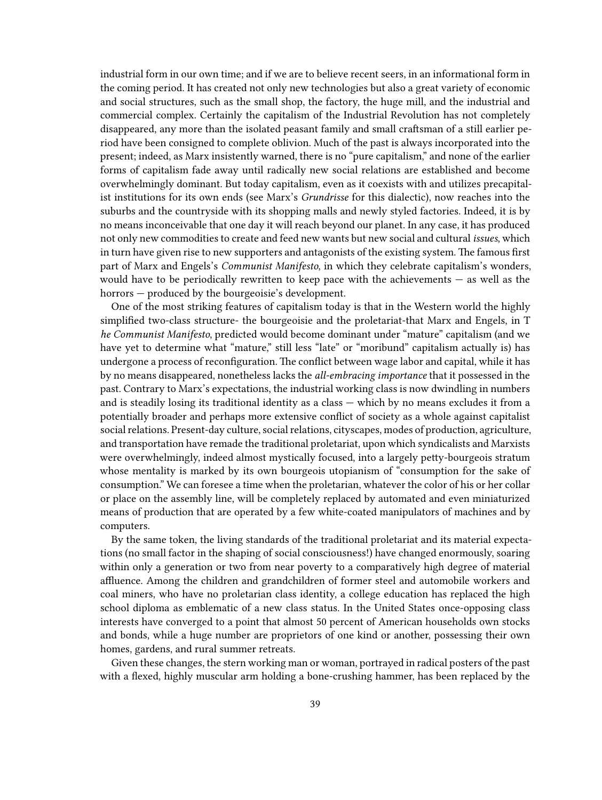industrial form in our own time; and if we are to believe recent seers, in an informational form in the coming period. It has created not only new technologies but also a great variety of economic and social structures, such as the small shop, the factory, the huge mill, and the industrial and commercial complex. Certainly the capitalism of the Industrial Revolution has not completely disappeared, any more than the isolated peasant family and small craftsman of a still earlier period have been consigned to complete oblivion. Much of the past is always incorporated into the present; indeed, as Marx insistently warned, there is no "pure capitalism," and none of the earlier forms of capitalism fade away until radically new social relations are established and become overwhelmingly dominant. But today capitalism, even as it coexists with and utilizes precapitalist institutions for its own ends (see Marx's *Grundrisse* for this dialectic), now reaches into the suburbs and the countryside with its shopping malls and newly styled factories. Indeed, it is by no means inconceivable that one day it will reach beyond our planet. In any case, it has produced not only new commodities to create and feed new wants but new social and cultural *issues*, which in turn have given rise to new supporters and antagonists of the existing system. The famous first part of Marx and Engels's *Communist Manifesto*, in which they celebrate capitalism's wonders, would have to be periodically rewritten to keep pace with the achievements — as well as the horrors — produced by the bourgeoisie's development.

One of the most striking features of capitalism today is that in the Western world the highly simplified two-class structure- the bourgeoisie and the proletariat-that Marx and Engels, in T *he Communist Manifesto*, predicted would become dominant under "mature" capitalism (and we have yet to determine what "mature," still less "late" or "moribund" capitalism actually is) has undergone a process of reconfiguration. The conflict between wage labor and capital, while it has by no means disappeared, nonetheless lacks the *all-embracing importance* that it possessed in the past. Contrary to Marx's expectations, the industrial working class is now dwindling in numbers and is steadily losing its traditional identity as a class — which by no means excludes it from a potentially broader and perhaps more extensive conflict of society as a whole against capitalist social relations. Present-day culture, social relations, cityscapes, modes of production, agriculture, and transportation have remade the traditional proletariat, upon which syndicalists and Marxists were overwhelmingly, indeed almost mystically focused, into a largely petty-bourgeois stratum whose mentality is marked by its own bourgeois utopianism of "consumption for the sake of consumption." We can foresee a time when the proletarian, whatever the color of his or her collar or place on the assembly line, will be completely replaced by automated and even miniaturized means of production that are operated by a few white-coated manipulators of machines and by computers.

By the same token, the living standards of the traditional proletariat and its material expectations (no small factor in the shaping of social consciousness!) have changed enormously, soaring within only a generation or two from near poverty to a comparatively high degree of material affluence. Among the children and grandchildren of former steel and automobile workers and coal miners, who have no proletarian class identity, a college education has replaced the high school diploma as emblematic of a new class status. In the United States once-opposing class interests have converged to a point that almost 50 percent of American households own stocks and bonds, while a huge number are proprietors of one kind or another, possessing their own homes, gardens, and rural summer retreats.

Given these changes, the stern working man or woman, portrayed in radical posters of the past with a flexed, highly muscular arm holding a bone-crushing hammer, has been replaced by the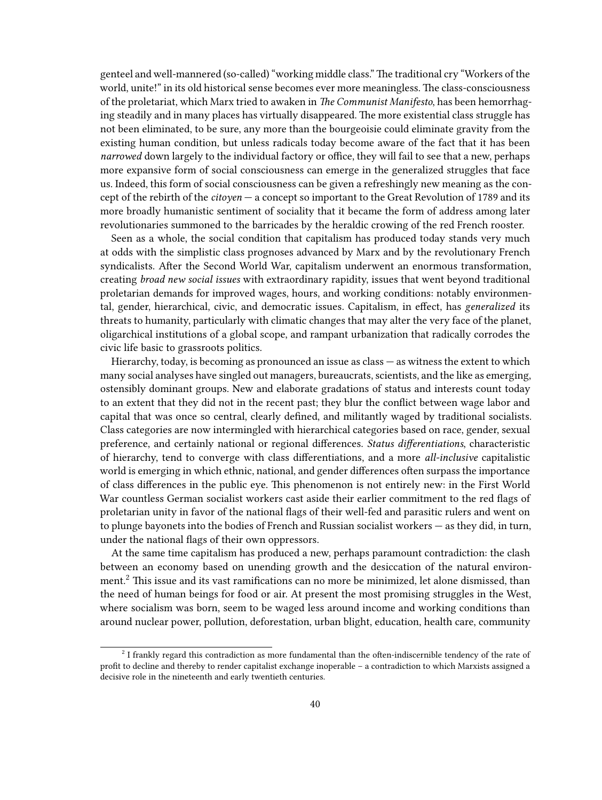genteel and well-mannered (so-called) "working middle class."The traditional cry "Workers of the world, unite!" in its old historical sense becomes ever more meaningless. The class-consciousness of the proletariat, which Marx tried to awaken in *The Communist Manifesto*, has been hemorrhaging steadily and in many places has virtually disappeared. The more existential class struggle has not been eliminated, to be sure, any more than the bourgeoisie could eliminate gravity from the existing human condition, but unless radicals today become aware of the fact that it has been *narrowed* down largely to the individual factory or office, they will fail to see that a new, perhaps more expansive form of social consciousness can emerge in the generalized struggles that face us. Indeed, this form of social consciousness can be given a refreshingly new meaning as the concept of the rebirth of the *citoyen* — a concept so important to the Great Revolution of 1789 and its more broadly humanistic sentiment of sociality that it became the form of address among later revolutionaries summoned to the barricades by the heraldic crowing of the red French rooster.

Seen as a whole, the social condition that capitalism has produced today stands very much at odds with the simplistic class prognoses advanced by Marx and by the revolutionary French syndicalists. After the Second World War, capitalism underwent an enormous transformation, creating *broad new social issues* with extraordinary rapidity, issues that went beyond traditional proletarian demands for improved wages, hours, and working conditions: notably environmental, gender, hierarchical, civic, and democratic issues. Capitalism, in effect, has *generalized* its threats to humanity, particularly with climatic changes that may alter the very face of the planet, oligarchical institutions of a global scope, and rampant urbanization that radically corrodes the civic life basic to grassroots politics.

Hierarchy, today, is becoming as pronounced an issue as class — as witness the extent to which many social analyses have singled out managers, bureaucrats, scientists, and the like as emerging, ostensibly dominant groups. New and elaborate gradations of status and interests count today to an extent that they did not in the recent past; they blur the conflict between wage labor and capital that was once so central, clearly defined, and militantly waged by traditional socialists. Class categories are now intermingled with hierarchical categories based on race, gender, sexual preference, and certainly national or regional differences. *Status differentiations*, characteristic of hierarchy, tend to converge with class differentiations, and a more *all-inclusive* capitalistic world is emerging in which ethnic, national, and gender differences often surpass the importance of class differences in the public eye. This phenomenon is not entirely new: in the First World War countless German socialist workers cast aside their earlier commitment to the red flags of proletarian unity in favor of the national flags of their well-fed and parasitic rulers and went on to plunge bayonets into the bodies of French and Russian socialist workers — as they did, in turn, under the national flags of their own oppressors.

At the same time capitalism has produced a new, perhaps paramount contradiction: the clash between an economy based on unending growth and the desiccation of the natural environment.<sup>2</sup> This issue and its vast ramifications can no more be minimized, let alone dismissed, than the need of human beings for food or air. At present the most promising struggles in the West, where socialism was born, seem to be waged less around income and working conditions than around nuclear power, pollution, deforestation, urban blight, education, health care, community

<sup>&</sup>lt;sup>2</sup> I frankly regard this contradiction as more fundamental than the often-indiscernible tendency of the rate of profit to decline and thereby to render capitalist exchange inoperable – a contradiction to which Marxists assigned a decisive role in the nineteenth and early twentieth centuries.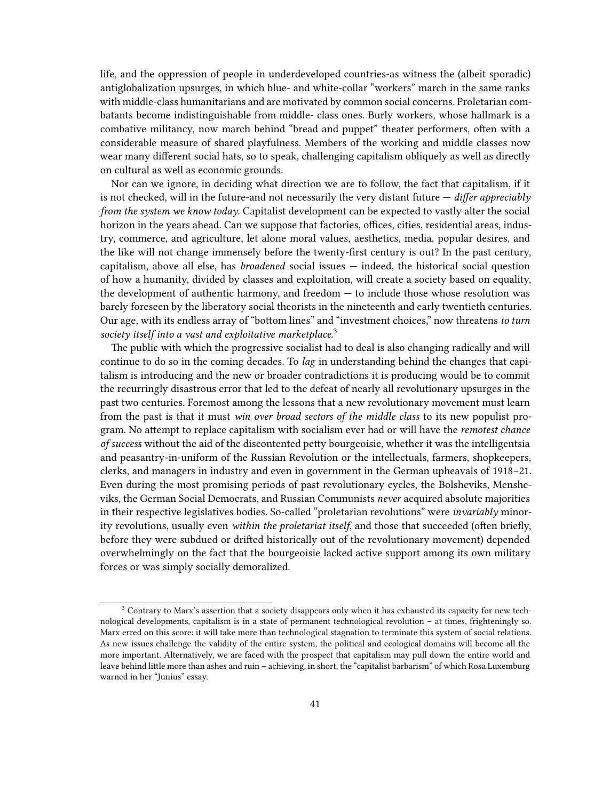life, and the oppression of people in underdeveloped countries-as witness the (albeit sporadic) antiglobalization upsurges, in which blue- and white-collar "workers" march in the same ranks with middle-class humanitarians and are motivated by common social concerns. Proletarian combatants become indistinguishable from middle- class ones. Burly workers, whose hallmark is a combative militancy, now march behind "bread and puppet" theater performers, often with a considerable measure of shared playfulness. Members of the working and middle classes now wear many different social hats, so to speak, challenging capitalism obliquely as well as directly on cultural as well as economic grounds.

Nor can we ignore, in deciding what direction we are to follow, the fact that capitalism, if it is not checked, will in the future-and not necessarily the very distant future — *differ appreciably from the system we know today*. Capitalist development can be expected to vastly alter the social horizon in the years ahead. Can we suppose that factories, offices, cities, residential areas, industry, commerce, and agriculture, let alone moral values, aesthetics, media, popular desires, and the like will not change immensely before the twenty-first century is out? In the past century, capitalism, above all else, has *broadened* social issues — indeed, the historical social question of how a humanity, divided by classes and exploitation, will create a society based on equality, the development of authentic harmony, and freedom — to include those whose resolution was barely foreseen by the liberatory social theorists in the nineteenth and early twentieth centuries. Our age, with its endless array of "bottom lines" and "investment choices," now threatens *to turn society itself into a vast and exploitative marketplace.*<sup>3</sup>

The public with which the progressive socialist had to deal is also changing radically and will continue to do so in the coming decades. To *lag* in understanding behind the changes that capitalism is introducing and the new or broader contradictions it is producing would be to commit the recurringly disastrous error that led to the defeat of nearly all revolutionary upsurges in the past two centuries. Foremost among the lessons that a new revolutionary movement must learn from the past is that it must *win over broad sectors of the middle class* to its new populist program. No attempt to replace capitalism with socialism ever had or will have the *remotest chance of success* without the aid of the discontented petty bourgeoisie, whether it was the intelligentsia and peasantry-in-uniform of the Russian Revolution or the intellectuals, farmers, shopkeepers, clerks, and managers in industry and even in government in the German upheavals of 1918–21. Even during the most promising periods of past revolutionary cycles, the Bolsheviks, Mensheviks, the German Social Democrats, and Russian Communists *never* acquired absolute majorities in their respective legislatives bodies. So-called "proletarian revolutions" were *invariably* minority revolutions, usually even *within the proletariat itself*, and those that succeeded (often briefly, before they were subdued or drifted historically out of the revolutionary movement) depended overwhelmingly on the fact that the bourgeoisie lacked active support among its own military forces or was simply socially demoralized.

<sup>3</sup> Contrary to Marx's assertion that a society disappears only when it has exhausted its capacity for new technological developments, capitalism is in a state of permanent technological revolution – at times, frighteningly so. Marx erred on this score: it will take more than technological stagnation to terminate this system of social relations. As new issues challenge the validity of the entire system, the political and ecological domains will become all the more important. Alternatively, we are faced with the prospect that capitalism may pull down the entire world and leave behind little more than ashes and ruin – achieving, in short, the "capitalist barbarism" of which Rosa Luxemburg warned in her "Junius" essay.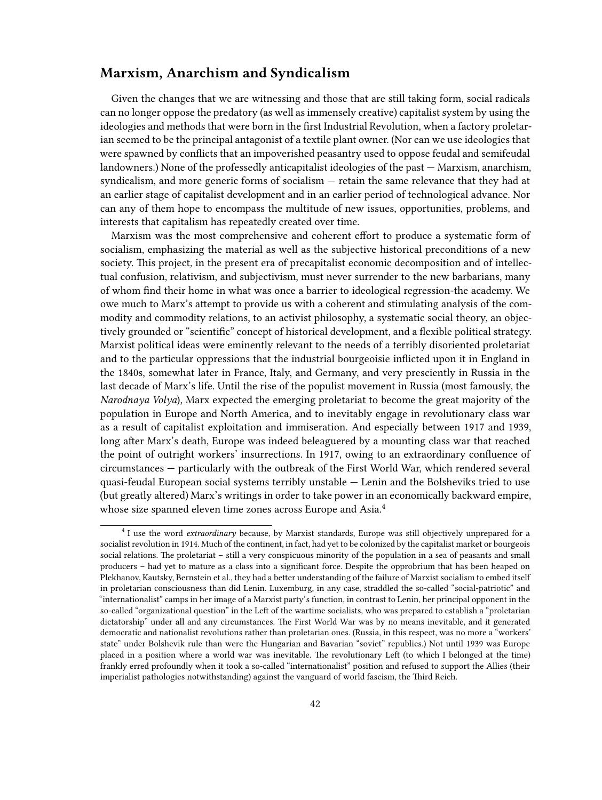#### <span id="page-41-0"></span>**Marxism, Anarchism and Syndicalism**

Given the changes that we are witnessing and those that are still taking form, social radicals can no longer oppose the predatory (as well as immensely creative) capitalist system by using the ideologies and methods that were born in the first Industrial Revolution, when a factory proletarian seemed to be the principal antagonist of a textile plant owner. (Nor can we use ideologies that were spawned by conflicts that an impoverished peasantry used to oppose feudal and semifeudal landowners.) None of the professedly anticapitalist ideologies of the past — Marxism, anarchism, syndicalism, and more generic forms of socialism — retain the same relevance that they had at an earlier stage of capitalist development and in an earlier period of technological advance. Nor can any of them hope to encompass the multitude of new issues, opportunities, problems, and interests that capitalism has repeatedly created over time.

Marxism was the most comprehensive and coherent effort to produce a systematic form of socialism, emphasizing the material as well as the subjective historical preconditions of a new society. This project, in the present era of precapitalist economic decomposition and of intellectual confusion, relativism, and subjectivism, must never surrender to the new barbarians, many of whom find their home in what was once a barrier to ideological regression-the academy. We owe much to Marx's attempt to provide us with a coherent and stimulating analysis of the commodity and commodity relations, to an activist philosophy, a systematic social theory, an objectively grounded or "scientific" concept of historical development, and a flexible political strategy. Marxist political ideas were eminently relevant to the needs of a terribly disoriented proletariat and to the particular oppressions that the industrial bourgeoisie inflicted upon it in England in the 1840s, somewhat later in France, Italy, and Germany, and very presciently in Russia in the last decade of Marx's life. Until the rise of the populist movement in Russia (most famously, the *Narodnaya Volya*), Marx expected the emerging proletariat to become the great majority of the population in Europe and North America, and to inevitably engage in revolutionary class war as a result of capitalist exploitation and immiseration. And especially between 1917 and 1939, long after Marx's death, Europe was indeed beleaguered by a mounting class war that reached the point of outright workers' insurrections. In 1917, owing to an extraordinary confluence of circumstances — particularly with the outbreak of the First World War, which rendered several quasi-feudal European social systems terribly unstable — Lenin and the Bolsheviks tried to use (but greatly altered) Marx's writings in order to take power in an economically backward empire, whose size spanned eleven time zones across Europe and Asia.<sup>4</sup>

<sup>4</sup> I use the word *extraordinary* because, by Marxist standards, Europe was still objectively unprepared for a socialist revolution in 1914. Much of the continent, in fact, had yet to be colonized by the capitalist market or bourgeois social relations. The proletariat – still a very conspicuous minority of the population in a sea of peasants and small producers – had yet to mature as a class into a significant force. Despite the opprobrium that has been heaped on Plekhanov, Kautsky, Bernstein et al., they had a better understanding of the failure of Marxist socialism to embed itself in proletarian consciousness than did Lenin. Luxemburg, in any case, straddled the so-called "social-patriotic" and "internationalist" camps in her image of a Marxist party's function, in contrast to Lenin, her principal opponent in the so-called "organizational question" in the Left of the wartime socialists, who was prepared to establish a "proletarian dictatorship" under all and any circumstances. The First World War was by no means inevitable, and it generated democratic and nationalist revolutions rather than proletarian ones. (Russia, in this respect, was no more a "workers' state" under Bolshevik rule than were the Hungarian and Bavarian "soviet" republics.) Not until 1939 was Europe placed in a position where a world war was inevitable. The revolutionary Left (to which I belonged at the time) frankly erred profoundly when it took a so-called "internationalist" position and refused to support the Allies (their imperialist pathologies notwithstanding) against the vanguard of world fascism, the Third Reich.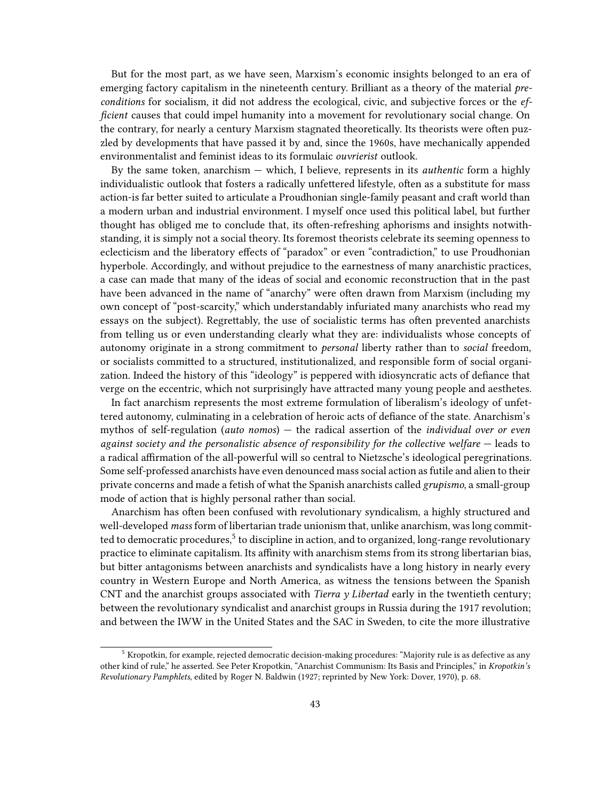But for the most part, as we have seen, Marxism's economic insights belonged to an era of emerging factory capitalism in the nineteenth century. Brilliant as a theory of the material *preconditions* for socialism, it did not address the ecological, civic, and subjective forces or the *efficient* causes that could impel humanity into a movement for revolutionary social change. On the contrary, for nearly a century Marxism stagnated theoretically. Its theorists were often puzzled by developments that have passed it by and, since the 1960s, have mechanically appended environmentalist and feminist ideas to its formulaic *ouvrierist* outlook.

By the same token, anarchism — which, I believe, represents in its *authentic* form a highly individualistic outlook that fosters a radically unfettered lifestyle, often as a substitute for mass action-is far better suited to articulate a Proudhonian single-family peasant and craft world than a modern urban and industrial environment. I myself once used this political label, but further thought has obliged me to conclude that, its often-refreshing aphorisms and insights notwithstanding, it is simply not a social theory. Its foremost theorists celebrate its seeming openness to eclecticism and the liberatory effects of "paradox" or even "contradiction," to use Proudhonian hyperbole. Accordingly, and without prejudice to the earnestness of many anarchistic practices, a case can made that many of the ideas of social and economic reconstruction that in the past have been advanced in the name of "anarchy" were often drawn from Marxism (including my own concept of "post-scarcity," which understandably infuriated many anarchists who read my essays on the subject). Regrettably, the use of socialistic terms has often prevented anarchists from telling us or even understanding clearly what they are: individualists whose concepts of autonomy originate in a strong commitment to *personal* liberty rather than to *social* freedom, or socialists committed to a structured, institutionalized, and responsible form of social organization. Indeed the history of this "ideology" is peppered with idiosyncratic acts of defiance that verge on the eccentric, which not surprisingly have attracted many young people and aesthetes.

In fact anarchism represents the most extreme formulation of liberalism's ideology of unfettered autonomy, culminating in a celebration of heroic acts of defiance of the state. Anarchism's mythos of self-regulation (*auto nomos*) — the radical assertion of the *individual over or even against society and the personalistic absence of responsibility for the collective welfare* — leads to a radical affirmation of the all-powerful will so central to Nietzsche's ideological peregrinations. Some self-professed anarchists have even denounced mass social action as futile and alien to their private concerns and made a fetish of what the Spanish anarchists called *grupismo*, a small-group mode of action that is highly personal rather than social.

Anarchism has often been confused with revolutionary syndicalism, a highly structured and well-developed *mass* form of libertarian trade unionism that, unlike anarchism, was long committed to democratic procedures,<sup>5</sup> to discipline in action, and to organized, long-range revolutionary practice to eliminate capitalism. Its affinity with anarchism stems from its strong libertarian bias, but bitter antagonisms between anarchists and syndicalists have a long history in nearly every country in Western Europe and North America, as witness the tensions between the Spanish CNT and the anarchist groups associated with *Tierra y Libertad* early in the twentieth century; between the revolutionary syndicalist and anarchist groups in Russia during the 1917 revolution; and between the IWW in the United States and the SAC in Sweden, to cite the more illustrative

 $^{\rm 5}$  Kropotkin, for example, rejected democratic decision-making procedures: "Majority rule is as defective as any other kind of rule," he asserted. See Peter Kropotkin, "Anarchist Communism: Its Basis and Principles," in *Kropotkin's Revolutionary Pamphlets*, edited by Roger N. Baldwin (1927; reprinted by New York: Dover, 1970), p. 68.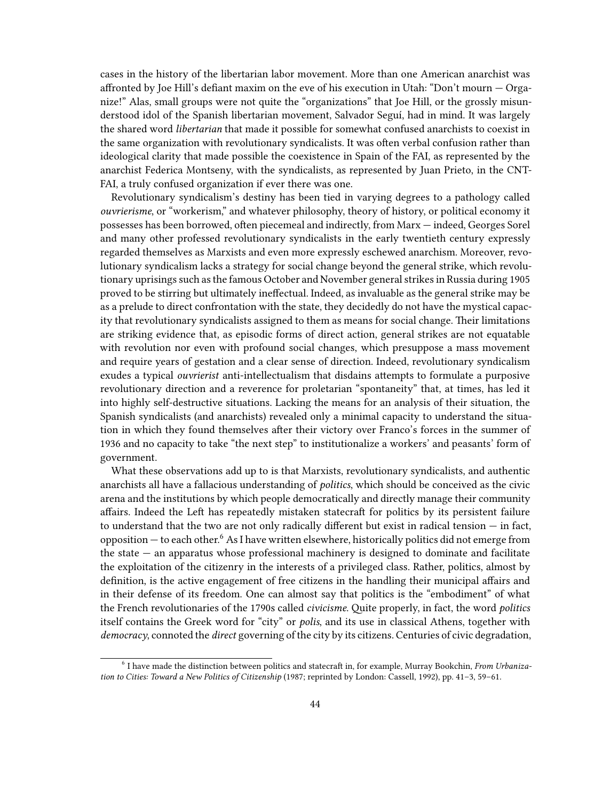cases in the history of the libertarian labor movement. More than one American anarchist was affronted by Joe Hill's defiant maxim on the eve of his execution in Utah: "Don't mourn — Organize!" Alas, small groups were not quite the "organizations" that Joe Hill, or the grossly misunderstood idol of the Spanish libertarian movement, Salvador Seguí, had in mind. It was largely the shared word *libertarian* that made it possible for somewhat confused anarchists to coexist in the same organization with revolutionary syndicalists. It was often verbal confusion rather than ideological clarity that made possible the coexistence in Spain of the FAI, as represented by the anarchist Federica Montseny, with the syndicalists, as represented by Juan Prieto, in the CNT-FAI, a truly confused organization if ever there was one.

Revolutionary syndicalism's destiny has been tied in varying degrees to a pathology called *ouvrierisme*, or "workerism," and whatever philosophy, theory of history, or political economy it possesses has been borrowed, often piecemeal and indirectly, from Marx — indeed, Georges Sorel and many other professed revolutionary syndicalists in the early twentieth century expressly regarded themselves as Marxists and even more expressly eschewed anarchism. Moreover, revolutionary syndicalism lacks a strategy for social change beyond the general strike, which revolutionary uprisings such as the famous October and November general strikes in Russia during 1905 proved to be stirring but ultimately ineffectual. Indeed, as invaluable as the general strike may be as a prelude to direct confrontation with the state, they decidedly do not have the mystical capacity that revolutionary syndicalists assigned to them as means for social change. Their limitations are striking evidence that, as episodic forms of direct action, general strikes are not equatable with revolution nor even with profound social changes, which presuppose a mass movement and require years of gestation and a clear sense of direction. Indeed, revolutionary syndicalism exudes a typical *ouvrierist* anti-intellectualism that disdains attempts to formulate a purposive revolutionary direction and a reverence for proletarian "spontaneity" that, at times, has led it into highly self-destructive situations. Lacking the means for an analysis of their situation, the Spanish syndicalists (and anarchists) revealed only a minimal capacity to understand the situation in which they found themselves after their victory over Franco's forces in the summer of 1936 and no capacity to take "the next step" to institutionalize a workers' and peasants' form of government.

What these observations add up to is that Marxists, revolutionary syndicalists, and authentic anarchists all have a fallacious understanding of *politics*, which should be conceived as the civic arena and the institutions by which people democratically and directly manage their community affairs. Indeed the Left has repeatedly mistaken statecraft for politics by its persistent failure to understand that the two are not only radically different but exist in radical tension — in fact, opposition  $-$  to each other.<sup>6</sup> As I have written elsewhere, historically politics did not emerge from the state — an apparatus whose professional machinery is designed to dominate and facilitate the exploitation of the citizenry in the interests of a privileged class. Rather, politics, almost by definition, is the active engagement of free citizens in the handling their municipal affairs and in their defense of its freedom. One can almost say that politics is the "embodiment" of what the French revolutionaries of the 1790s called *civicisme*. Quite properly, in fact, the word *politics* itself contains the Greek word for "city" or *polis*, and its use in classical Athens, together with *democracy*, connoted the *direct* governing of the city by its citizens. Centuries of civic degradation,

<sup>6</sup> I have made the distinction between politics and statecraft in, for example, Murray Bookchin, *From Urbanization to Cities: Toward a New Politics of Citizenship* (1987; reprinted by London: Cassell, 1992), pp. 41–3, 59–61.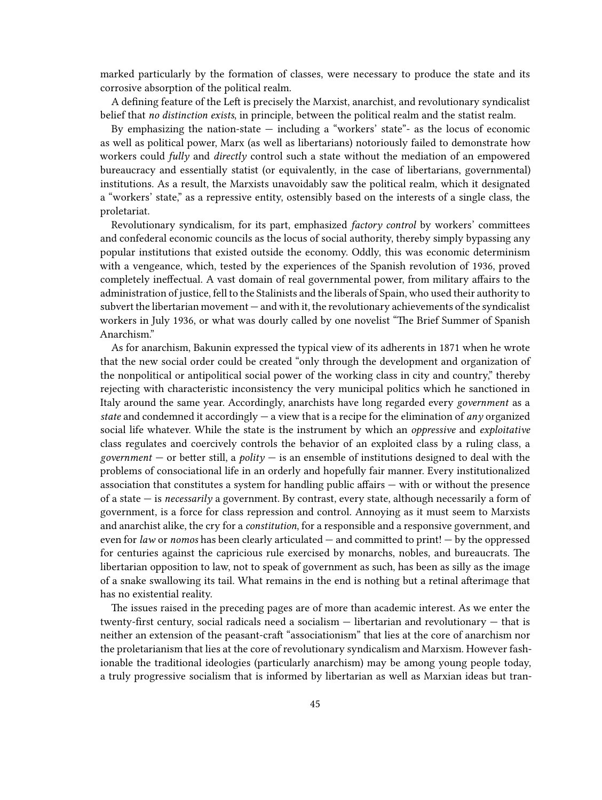marked particularly by the formation of classes, were necessary to produce the state and its corrosive absorption of the political realm.

A defining feature of the Left is precisely the Marxist, anarchist, and revolutionary syndicalist belief that *no distinction exists*, in principle, between the political realm and the statist realm.

By emphasizing the nation-state  $-$  including a "workers' state"- as the locus of economic as well as political power, Marx (as well as libertarians) notoriously failed to demonstrate how workers could *fully* and *directly* control such a state without the mediation of an empowered bureaucracy and essentially statist (or equivalently, in the case of libertarians, governmental) institutions. As a result, the Marxists unavoidably saw the political realm, which it designated a "workers' state," as a repressive entity, ostensibly based on the interests of a single class, the proletariat.

Revolutionary syndicalism, for its part, emphasized *factory control* by workers' committees and confederal economic councils as the locus of social authority, thereby simply bypassing any popular institutions that existed outside the economy. Oddly, this was economic determinism with a vengeance, which, tested by the experiences of the Spanish revolution of 1936, proved completely ineffectual. A vast domain of real governmental power, from military affairs to the administration of justice, fell to the Stalinists and the liberals of Spain, who used their authority to subvert the libertarian movement — and with it, the revolutionary achievements of the syndicalist workers in July 1936, or what was dourly called by one novelist "The Brief Summer of Spanish Anarchism."

As for anarchism, Bakunin expressed the typical view of its adherents in 1871 when he wrote that the new social order could be created "only through the development and organization of the nonpolitical or antipolitical social power of the working class in city and country," thereby rejecting with characteristic inconsistency the very municipal politics which he sanctioned in Italy around the same year. Accordingly, anarchists have long regarded every *government* as a *state* and condemned it accordingly — a view that is a recipe for the elimination of *any* organized social life whatever. While the state is the instrument by which an *oppressive* and *exploitative* class regulates and coercively controls the behavior of an exploited class by a ruling class, a *government* — or better still, a *polity* — is an ensemble of institutions designed to deal with the problems of consociational life in an orderly and hopefully fair manner. Every institutionalized association that constitutes a system for handling public affairs — with or without the presence of a state — is *necessarily* a government. By contrast, every state, although necessarily a form of government, is a force for class repression and control. Annoying as it must seem to Marxists and anarchist alike, the cry for a *constitution*, for a responsible and a responsive government, and even for *law* or *nomos* has been clearly articulated — and committed to print! — by the oppressed for centuries against the capricious rule exercised by monarchs, nobles, and bureaucrats. The libertarian opposition to law, not to speak of government as such, has been as silly as the image of a snake swallowing its tail. What remains in the end is nothing but a retinal afterimage that has no existential reality.

The issues raised in the preceding pages are of more than academic interest. As we enter the twenty-first century, social radicals need a socialism — libertarian and revolutionary — that is neither an extension of the peasant-craft "associationism" that lies at the core of anarchism nor the proletarianism that lies at the core of revolutionary syndicalism and Marxism. However fashionable the traditional ideologies (particularly anarchism) may be among young people today, a truly progressive socialism that is informed by libertarian as well as Marxian ideas but tran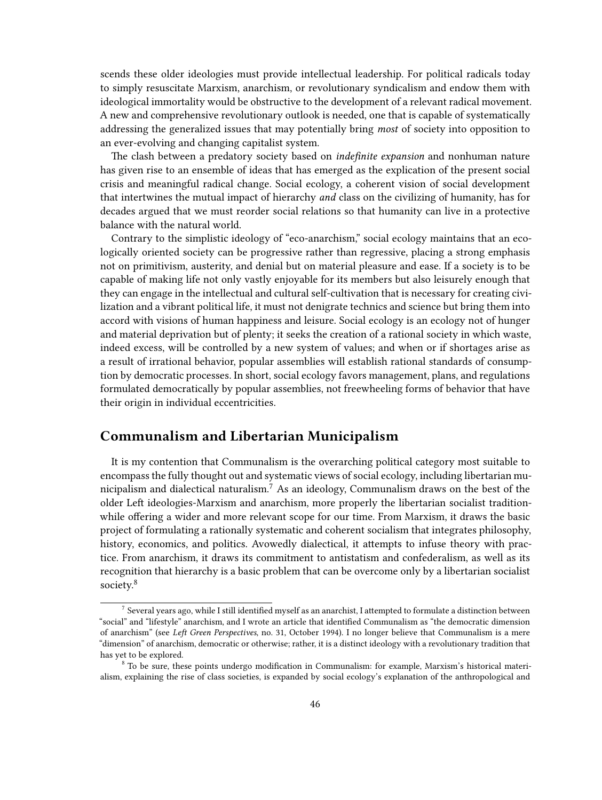scends these older ideologies must provide intellectual leadership. For political radicals today to simply resuscitate Marxism, anarchism, or revolutionary syndicalism and endow them with ideological immortality would be obstructive to the development of a relevant radical movement. A new and comprehensive revolutionary outlook is needed, one that is capable of systematically addressing the generalized issues that may potentially bring *most* of society into opposition to an ever-evolving and changing capitalist system.

The clash between a predatory society based on *indefinite expansion* and nonhuman nature has given rise to an ensemble of ideas that has emerged as the explication of the present social crisis and meaningful radical change. Social ecology, a coherent vision of social development that intertwines the mutual impact of hierarchy *and* class on the civilizing of humanity, has for decades argued that we must reorder social relations so that humanity can live in a protective balance with the natural world.

Contrary to the simplistic ideology of "eco-anarchism," social ecology maintains that an ecologically oriented society can be progressive rather than regressive, placing a strong emphasis not on primitivism, austerity, and denial but on material pleasure and ease. If a society is to be capable of making life not only vastly enjoyable for its members but also leisurely enough that they can engage in the intellectual and cultural self-cultivation that is necessary for creating civilization and a vibrant political life, it must not denigrate technics and science but bring them into accord with visions of human happiness and leisure. Social ecology is an ecology not of hunger and material deprivation but of plenty; it seeks the creation of a rational society in which waste, indeed excess, will be controlled by a new system of values; and when or if shortages arise as a result of irrational behavior, popular assemblies will establish rational standards of consumption by democratic processes. In short, social ecology favors management, plans, and regulations formulated democratically by popular assemblies, not freewheeling forms of behavior that have their origin in individual eccentricities.

#### <span id="page-45-0"></span>**Communalism and Libertarian Municipalism**

It is my contention that Communalism is the overarching political category most suitable to encompass the fully thought out and systematic views of social ecology, including libertarian municipalism and dialectical naturalism.<sup>7</sup> As an ideology, Communalism draws on the best of the older Left ideologies-Marxism and anarchism, more properly the libertarian socialist traditionwhile offering a wider and more relevant scope for our time. From Marxism, it draws the basic project of formulating a rationally systematic and coherent socialism that integrates philosophy, history, economics, and politics. Avowedly dialectical, it attempts to infuse theory with practice. From anarchism, it draws its commitment to antistatism and confederalism, as well as its recognition that hierarchy is a basic problem that can be overcome only by a libertarian socialist society.<sup>8</sup>

 $^7$  Several years ago, while I still identified myself as an anarchist, I attempted to formulate a distinction between "social" and "lifestyle" anarchism, and I wrote an article that identified Communalism as "the democratic dimension of anarchism" (see *Left Green Perspectives*, no. 31, October 1994). I no longer believe that Communalism is a mere "dimension" of anarchism, democratic or otherwise; rather, it is a distinct ideology with a revolutionary tradition that has yet to be explored.

<sup>8</sup> To be sure, these points undergo modification in Communalism: for example, Marxism's historical materialism, explaining the rise of class societies, is expanded by social ecology's explanation of the anthropological and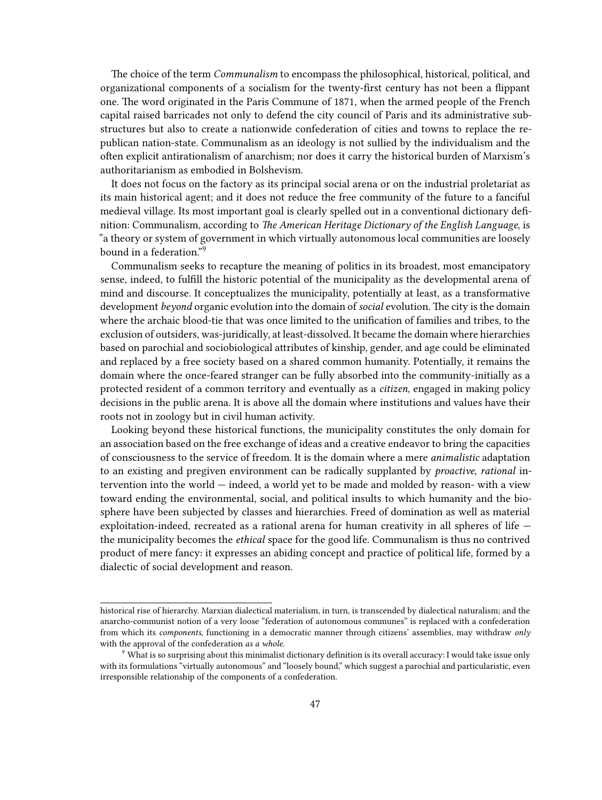The choice of the term *Communalism* to encompass the philosophical, historical, political, and organizational components of a socialism for the twenty-first century has not been a flippant one. The word originated in the Paris Commune of 1871, when the armed people of the French capital raised barricades not only to defend the city council of Paris and its administrative substructures but also to create a nationwide confederation of cities and towns to replace the republican nation-state. Communalism as an ideology is not sullied by the individualism and the often explicit antirationalism of anarchism; nor does it carry the historical burden of Marxism's authoritarianism as embodied in Bolshevism.

It does not focus on the factory as its principal social arena or on the industrial proletariat as its main historical agent; and it does not reduce the free community of the future to a fanciful medieval village. Its most important goal is clearly spelled out in a conventional dictionary definition: Communalism, according to *The American Heritage Dictionary of the English Language*, is "a theory or system of government in which virtually autonomous local communities are loosely bound in a federation."<sup>9</sup>

Communalism seeks to recapture the meaning of politics in its broadest, most emancipatory sense, indeed, to fulfill the historic potential of the municipality as the developmental arena of mind and discourse. It conceptualizes the municipality, potentially at least, as a transformative development *beyond* organic evolution into the domain of *social* evolution. The city is the domain where the archaic blood-tie that was once limited to the unification of families and tribes, to the exclusion of outsiders, was-juridically, at least-dissolved. It became the domain where hierarchies based on parochial and sociobiological attributes of kinship, gender, and age could be eliminated and replaced by a free society based on a shared common humanity. Potentially, it remains the domain where the once-feared stranger can be fully absorbed into the community-initially as a protected resident of a common territory and eventually as a *citizen*, engaged in making policy decisions in the public arena. It is above all the domain where institutions and values have their roots not in zoology but in civil human activity.

Looking beyond these historical functions, the municipality constitutes the only domain for an association based on the free exchange of ideas and a creative endeavor to bring the capacities of consciousness to the service of freedom. It is the domain where a mere *animalistic* adaptation to an existing and pregiven environment can be radically supplanted by *proactive*, *rational* intervention into the world — indeed, a world yet to be made and molded by reason- with a view toward ending the environmental, social, and political insults to which humanity and the biosphere have been subjected by classes and hierarchies. Freed of domination as well as material exploitation-indeed, recreated as a rational arena for human creativity in all spheres of life the municipality becomes the *ethical* space for the good life. Communalism is thus no contrived product of mere fancy: it expresses an abiding concept and practice of political life, formed by a dialectic of social development and reason.

historical rise of hierarchy. Marxian dialectical materialism, in turn, is transcended by dialectical naturalism; and the anarcho-communist notion of a very loose "federation of autonomous communes" is replaced with a confederation from which its *components*, functioning in a democratic manner through citizens' assemblies, may withdraw *only* with the approval of the confederation *as a whole*.

<sup>&</sup>lt;sup>9</sup> What is so surprising about this minimalist dictionary definition is its overall accuracy: I would take issue only with its formulations "virtually autonomous" and "loosely bound," which suggest a parochial and particularistic, even irresponsible relationship of the components of a confederation.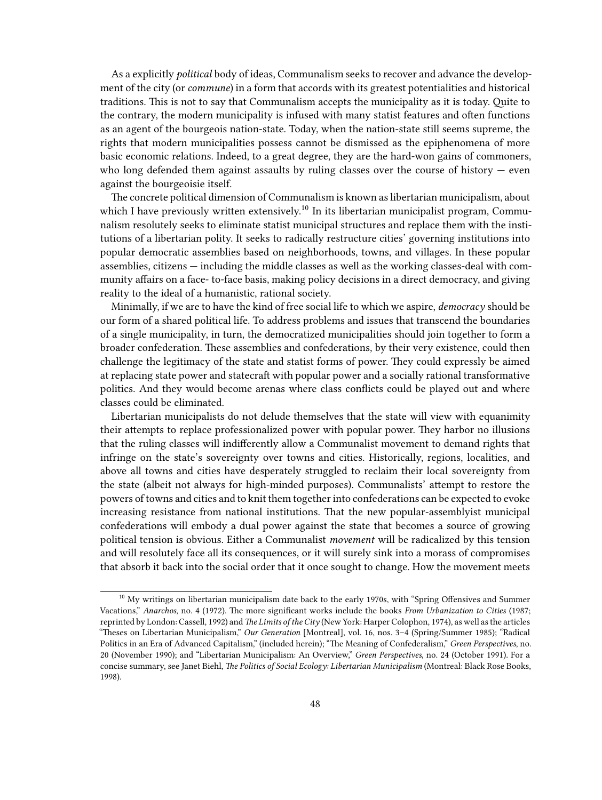As a explicitly *political* body of ideas, Communalism seeks to recover and advance the development of the city (or *commune*) in a form that accords with its greatest potentialities and historical traditions. This is not to say that Communalism accepts the municipality as it is today. Quite to the contrary, the modern municipality is infused with many statist features and often functions as an agent of the bourgeois nation-state. Today, when the nation-state still seems supreme, the rights that modern municipalities possess cannot be dismissed as the epiphenomena of more basic economic relations. Indeed, to a great degree, they are the hard-won gains of commoners, who long defended them against assaults by ruling classes over the course of history  $-$  even against the bourgeoisie itself.

The concrete political dimension of Communalism is known as libertarian municipalism, about which I have previously written extensively.<sup>10</sup> In its libertarian municipalist program, Communalism resolutely seeks to eliminate statist municipal structures and replace them with the institutions of a libertarian polity. It seeks to radically restructure cities' governing institutions into popular democratic assemblies based on neighborhoods, towns, and villages. In these popular assemblies, citizens — including the middle classes as well as the working classes-deal with community affairs on a face- to-face basis, making policy decisions in a direct democracy, and giving reality to the ideal of a humanistic, rational society.

Minimally, if we are to have the kind of free social life to which we aspire, *democracy* should be our form of a shared political life. To address problems and issues that transcend the boundaries of a single municipality, in turn, the democratized municipalities should join together to form a broader confederation. These assemblies and confederations, by their very existence, could then challenge the legitimacy of the state and statist forms of power. They could expressly be aimed at replacing state power and statecraft with popular power and a socially rational transformative politics. And they would become arenas where class conflicts could be played out and where classes could be eliminated.

Libertarian municipalists do not delude themselves that the state will view with equanimity their attempts to replace professionalized power with popular power. They harbor no illusions that the ruling classes will indifferently allow a Communalist movement to demand rights that infringe on the state's sovereignty over towns and cities. Historically, regions, localities, and above all towns and cities have desperately struggled to reclaim their local sovereignty from the state (albeit not always for high-minded purposes). Communalists' attempt to restore the powers of towns and cities and to knit them together into confederations can be expected to evoke increasing resistance from national institutions. That the new popular-assemblyist municipal confederations will embody a dual power against the state that becomes a source of growing political tension is obvious. Either a Communalist *movement* will be radicalized by this tension and will resolutely face all its consequences, or it will surely sink into a morass of compromises that absorb it back into the social order that it once sought to change. How the movement meets

 $10$  My writings on libertarian municipalism date back to the early 1970s, with "Spring Offensives and Summer Vacations," *Anarchos*, no. 4 (1972). The more significant works include the books *From Urbanization to Cities* (1987; reprinted by London: Cassell, 1992) and *The Limits of the City* (New York: Harper Colophon, 1974), as well as the articles "Theses on Libertarian Municipalism," *Our Generation* [Montreal], vol. 16, nos. 3–4 (Spring/Summer 1985); "Radical Politics in an Era of Advanced Capitalism," (included herein); "The Meaning of Confederalism," *Green Perspectives*, no. 20 (November 1990); and "Libertarian Municipalism: An Overview," *Green Perspectives*, no. 24 (October 1991). For a concise summary, see Janet Biehl, *The Politics of Social Ecology: Libertarian Municipalism* (Montreal: Black Rose Books, 1998).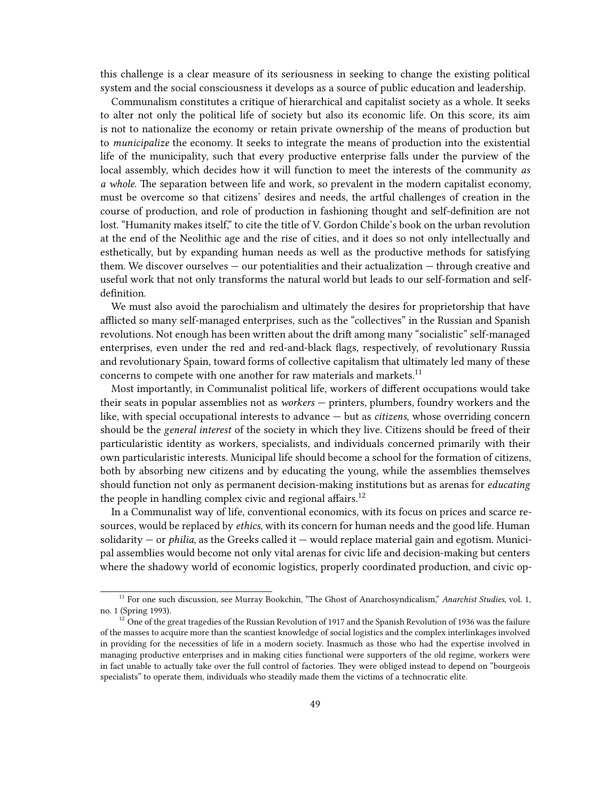this challenge is a clear measure of its seriousness in seeking to change the existing political system and the social consciousness it develops as a source of public education and leadership.

Communalism constitutes a critique of hierarchical and capitalist society as a whole. It seeks to alter not only the political life of society but also its economic life. On this score, its aim is not to nationalize the economy or retain private ownership of the means of production but to *municipalize* the economy. It seeks to integrate the means of production into the existential life of the municipality, such that every productive enterprise falls under the purview of the local assembly, which decides how it will function to meet the interests of the community *as a whole*. The separation between life and work, so prevalent in the modern capitalist economy, must be overcome so that citizens' desires and needs, the artful challenges of creation in the course of production, and role of production in fashioning thought and self-definition are not lost. "Humanity makes itself," to cite the title of V. Gordon Childe's book on the urban revolution at the end of the Neolithic age and the rise of cities, and it does so not only intellectually and esthetically, but by expanding human needs as well as the productive methods for satisfying them. We discover ourselves — our potentialities and their actualization — through creative and useful work that not only transforms the natural world but leads to our self-formation and selfdefinition.

We must also avoid the parochialism and ultimately the desires for proprietorship that have afflicted so many self-managed enterprises, such as the "collectives" in the Russian and Spanish revolutions. Not enough has been written about the drift among many "socialistic" self-managed enterprises, even under the red and red-and-black flags, respectively, of revolutionary Russia and revolutionary Spain, toward forms of collective capitalism that ultimately led many of these concerns to compete with one another for raw materials and markets.<sup>11</sup>

Most importantly, in Communalist political life, workers of different occupations would take their seats in popular assemblies not as *workers* — printers, plumbers, foundry workers and the like, with special occupational interests to advance — but as *citizens*, whose overriding concern should be the *general interest* of the society in which they live. Citizens should be freed of their particularistic identity as workers, specialists, and individuals concerned primarily with their own particularistic interests. Municipal life should become a school for the formation of citizens, both by absorbing new citizens and by educating the young, while the assemblies themselves should function not only as permanent decision-making institutions but as arenas for *educating* the people in handling complex civic and regional affairs.<sup>12</sup>

In a Communalist way of life, conventional economics, with its focus on prices and scarce resources, would be replaced by *ethics*, with its concern for human needs and the good life. Human solidarity  $-$  or *philia*, as the Greeks called it  $-$  would replace material gain and egotism. Municipal assemblies would become not only vital arenas for civic life and decision-making but centers where the shadowy world of economic logistics, properly coordinated production, and civic op-

<sup>11</sup> For one such discussion, see Murray Bookchin, "The Ghost of Anarchosyndicalism," *Anarchist Studies*, vol. 1, no. 1 (Spring 1993).

 $12$  One of the great tragedies of the Russian Revolution of 1917 and the Spanish Revolution of 1936 was the failure of the masses to acquire more than the scantiest knowledge of social logistics and the complex interlinkages involved in providing for the necessities of life in a modern society. Inasmuch as those who had the expertise involved in managing productive enterprises and in making cities functional were supporters of the old regime, workers were in fact unable to actually take over the full control of factories. They were obliged instead to depend on "bourgeois specialists" to operate them, individuals who steadily made them the victims of a technocratic elite.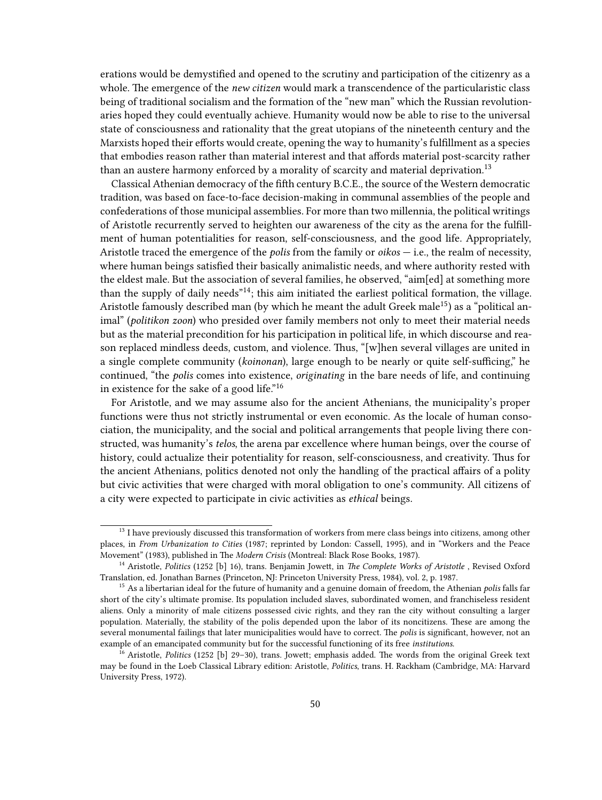erations would be demystified and opened to the scrutiny and participation of the citizenry as a whole. The emergence of the *new citizen* would mark a transcendence of the particularistic class being of traditional socialism and the formation of the "new man" which the Russian revolutionaries hoped they could eventually achieve. Humanity would now be able to rise to the universal state of consciousness and rationality that the great utopians of the nineteenth century and the Marxists hoped their efforts would create, opening the way to humanity's fulfillment as a species that embodies reason rather than material interest and that affords material post-scarcity rather than an austere harmony enforced by a morality of scarcity and material deprivation.<sup>13</sup>

Classical Athenian democracy of the fifth century B.C.E., the source of the Western democratic tradition, was based on face-to-face decision-making in communal assemblies of the people and confederations of those municipal assemblies. For more than two millennia, the political writings of Aristotle recurrently served to heighten our awareness of the city as the arena for the fulfillment of human potentialities for reason, self-consciousness, and the good life. Appropriately, Aristotle traced the emergence of the *polis* from the family or *oikos* — i.e., the realm of necessity, where human beings satisfied their basically animalistic needs, and where authority rested with the eldest male. But the association of several families, he observed, "aim[ed] at something more than the supply of daily needs"<sup>14</sup>; this aim initiated the earliest political formation, the village. Aristotle famously described man (by which he meant the adult Greek male<sup>15</sup>) as a "political animal" (*politikon zoon*) who presided over family members not only to meet their material needs but as the material precondition for his participation in political life, in which discourse and reason replaced mindless deeds, custom, and violence. Thus, "[w]hen several villages are united in a single complete community (*koinonan*), large enough to be nearly or quite self-sufficing," he continued, "the *polis* comes into existence, *originating* in the bare needs of life, and continuing in existence for the sake of a good life."<sup>16</sup>

For Aristotle, and we may assume also for the ancient Athenians, the municipality's proper functions were thus not strictly instrumental or even economic. As the locale of human consociation, the municipality, and the social and political arrangements that people living there constructed, was humanity's *telos*, the arena par excellence where human beings, over the course of history, could actualize their potentiality for reason, self-consciousness, and creativity. Thus for the ancient Athenians, politics denoted not only the handling of the practical affairs of a polity but civic activities that were charged with moral obligation to one's community. All citizens of a city were expected to participate in civic activities as *ethical* beings.

<sup>&</sup>lt;sup>13</sup> I have previously discussed this transformation of workers from mere class beings into citizens, among other places, in *From Urbanization to Cities* (1987; reprinted by London: Cassell, 1995), and in "Workers and the Peace Movement" (1983), published in The *Modern Crisis* (Montreal: Black Rose Books, 1987).

<sup>14</sup> Aristotle, *Politics* (1252 [b] 16), trans. Benjamin Jowett, in *The Complete Works of Aristotle* , Revised Oxford Translation, ed. Jonathan Barnes (Princeton, NJ: Princeton University Press, 1984), vol. 2, p. 1987.

<sup>15</sup> As a libertarian ideal for the future of humanity and a genuine domain of freedom, the Athenian *polis* falls far short of the city's ultimate promise. Its population included slaves, subordinated women, and franchiseless resident aliens. Only a minority of male citizens possessed civic rights, and they ran the city without consulting a larger population. Materially, the stability of the polis depended upon the labor of its noncitizens. These are among the several monumental failings that later municipalities would have to correct. The *polis* is significant, however, not an example of an emancipated community but for the successful functioning of its free *institutions*.

<sup>&</sup>lt;sup>16</sup> Aristotle, *Politics* (1252 [b] 29-30), trans. Jowett; emphasis added. The words from the original Greek text may be found in the Loeb Classical Library edition: Aristotle, *Politics*, trans. H. Rackham (Cambridge, MA: Harvard University Press, 1972).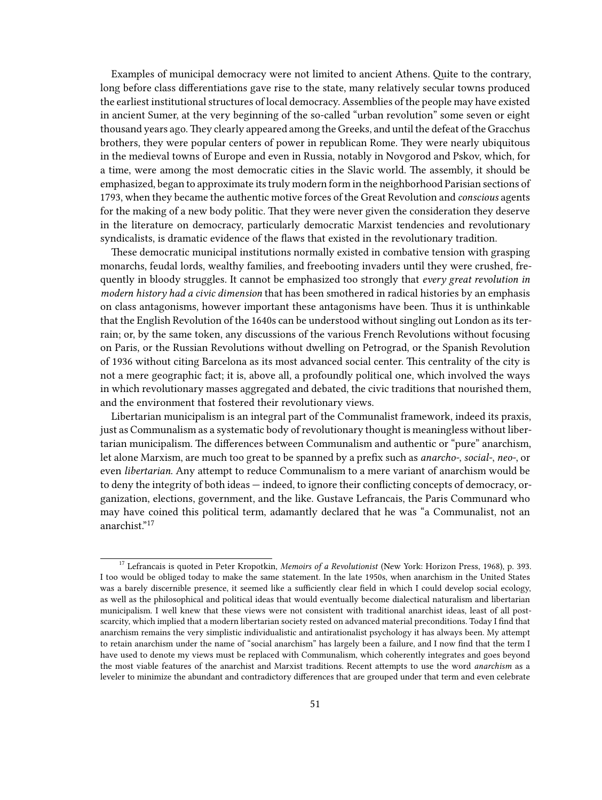Examples of municipal democracy were not limited to ancient Athens. Quite to the contrary, long before class differentiations gave rise to the state, many relatively secular towns produced the earliest institutional structures of local democracy. Assemblies of the people may have existed in ancient Sumer, at the very beginning of the so-called "urban revolution" some seven or eight thousand years ago.They clearly appeared among the Greeks, and until the defeat of the Gracchus brothers, they were popular centers of power in republican Rome. They were nearly ubiquitous in the medieval towns of Europe and even in Russia, notably in Novgorod and Pskov, which, for a time, were among the most democratic cities in the Slavic world. The assembly, it should be emphasized, began to approximate its truly modern form in the neighborhood Parisian sections of 1793, when they became the authentic motive forces of the Great Revolution and *conscious* agents for the making of a new body politic. That they were never given the consideration they deserve in the literature on democracy, particularly democratic Marxist tendencies and revolutionary syndicalists, is dramatic evidence of the flaws that existed in the revolutionary tradition.

These democratic municipal institutions normally existed in combative tension with grasping monarchs, feudal lords, wealthy families, and freebooting invaders until they were crushed, frequently in bloody struggles. It cannot be emphasized too strongly that *every great revolution in modern history had a civic dimension* that has been smothered in radical histories by an emphasis on class antagonisms, however important these antagonisms have been. Thus it is unthinkable that the English Revolution of the 1640s can be understood without singling out London as its terrain; or, by the same token, any discussions of the various French Revolutions without focusing on Paris, or the Russian Revolutions without dwelling on Petrograd, or the Spanish Revolution of 1936 without citing Barcelona as its most advanced social center. This centrality of the city is not a mere geographic fact; it is, above all, a profoundly political one, which involved the ways in which revolutionary masses aggregated and debated, the civic traditions that nourished them, and the environment that fostered their revolutionary views.

Libertarian municipalism is an integral part of the Communalist framework, indeed its praxis, just as Communalism as a systematic body of revolutionary thought is meaningless without libertarian municipalism. The differences between Communalism and authentic or "pure" anarchism, let alone Marxism, are much too great to be spanned by a prefix such as *anarcho-*, *social-*, *neo-*, or even *libertarian*. Any attempt to reduce Communalism to a mere variant of anarchism would be to deny the integrity of both ideas — indeed, to ignore their conflicting concepts of democracy, organization, elections, government, and the like. Gustave Lefrancais, the Paris Communard who may have coined this political term, adamantly declared that he was "a Communalist, not an anarchist."<sup>17</sup>

<sup>&</sup>lt;sup>17</sup> Lefrancais is quoted in Peter Kropotkin, *Memoirs of a Revolutionist* (New York: Horizon Press, 1968), p. 393. I too would be obliged today to make the same statement. In the late 1950s, when anarchism in the United States was a barely discernible presence, it seemed like a sufficiently clear field in which I could develop social ecology, as well as the philosophical and political ideas that would eventually become dialectical naturalism and libertarian municipalism. I well knew that these views were not consistent with traditional anarchist ideas, least of all postscarcity, which implied that a modern libertarian society rested on advanced material preconditions. Today I find that anarchism remains the very simplistic individualistic and antirationalist psychology it has always been. My attempt to retain anarchism under the name of "social anarchism" has largely been a failure, and I now find that the term I have used to denote my views must be replaced with Communalism, which coherently integrates and goes beyond the most viable features of the anarchist and Marxist traditions. Recent attempts to use the word *anarchism* as a leveler to minimize the abundant and contradictory differences that are grouped under that term and even celebrate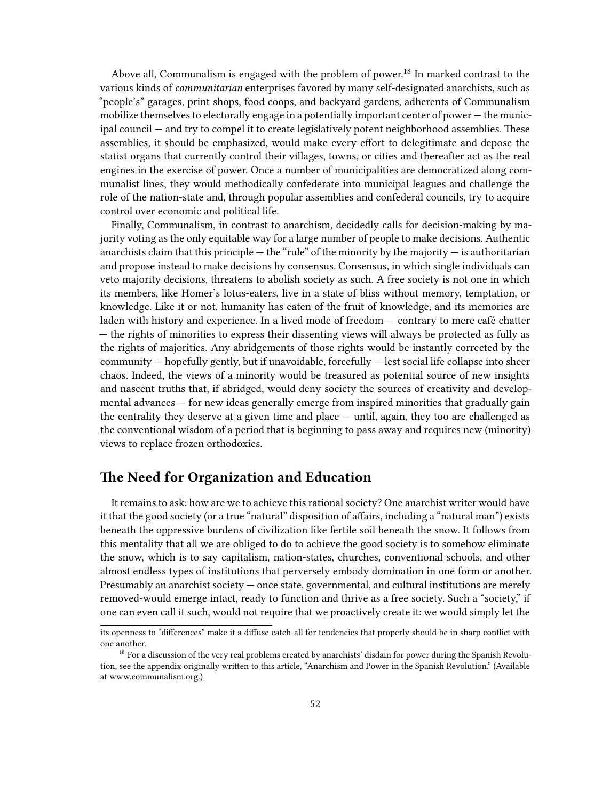Above all, Communalism is engaged with the problem of power.<sup>18</sup> In marked contrast to the various kinds of *communitarian* enterprises favored by many self-designated anarchists, such as "people's" garages, print shops, food coops, and backyard gardens, adherents of Communalism mobilize themselves to electorally engage in a potentially important center of power — the municipal council — and try to compel it to create legislatively potent neighborhood assemblies. These assemblies, it should be emphasized, would make every effort to delegitimate and depose the statist organs that currently control their villages, towns, or cities and thereafter act as the real engines in the exercise of power. Once a number of municipalities are democratized along communalist lines, they would methodically confederate into municipal leagues and challenge the role of the nation-state and, through popular assemblies and confederal councils, try to acquire control over economic and political life.

Finally, Communalism, in contrast to anarchism, decidedly calls for decision-making by majority voting as the only equitable way for a large number of people to make decisions. Authentic anarchists claim that this principle — the "rule" of the minority by the majority — is authoritarian and propose instead to make decisions by consensus. Consensus, in which single individuals can veto majority decisions, threatens to abolish society as such. A free society is not one in which its members, like Homer's lotus-eaters, live in a state of bliss without memory, temptation, or knowledge. Like it or not, humanity has eaten of the fruit of knowledge, and its memories are laden with history and experience. In a lived mode of freedom — contrary to mere café chatter — the rights of minorities to express their dissenting views will always be protected as fully as the rights of majorities. Any abridgements of those rights would be instantly corrected by the community — hopefully gently, but if unavoidable, forcefully — lest social life collapse into sheer chaos. Indeed, the views of a minority would be treasured as potential source of new insights and nascent truths that, if abridged, would deny society the sources of creativity and developmental advances — for new ideas generally emerge from inspired minorities that gradually gain the centrality they deserve at a given time and place — until, again, they too are challenged as the conventional wisdom of a period that is beginning to pass away and requires new (minority) views to replace frozen orthodoxies.

#### <span id="page-51-0"></span>**The Need for Organization and Education**

It remains to ask: how are we to achieve this rational society? One anarchist writer would have it that the good society (or a true "natural" disposition of affairs, including a "natural man") exists beneath the oppressive burdens of civilization like fertile soil beneath the snow. It follows from this mentality that all we are obliged to do to achieve the good society is to somehow eliminate the snow, which is to say capitalism, nation-states, churches, conventional schools, and other almost endless types of institutions that perversely embody domination in one form or another. Presumably an anarchist society — once state, governmental, and cultural institutions are merely removed-would emerge intact, ready to function and thrive as a free society. Such a "society," if one can even call it such, would not require that we proactively create it: we would simply let the

its openness to "differences" make it a diffuse catch-all for tendencies that properly should be in sharp conflict with one another.

 $18$  For a discussion of the very real problems created by anarchists' disdain for power during the Spanish Revolution, see the appendix originally written to this article, "Anarchism and Power in the Spanish Revolution." (Available at [www.communalism.org](http://www.communalism.org).)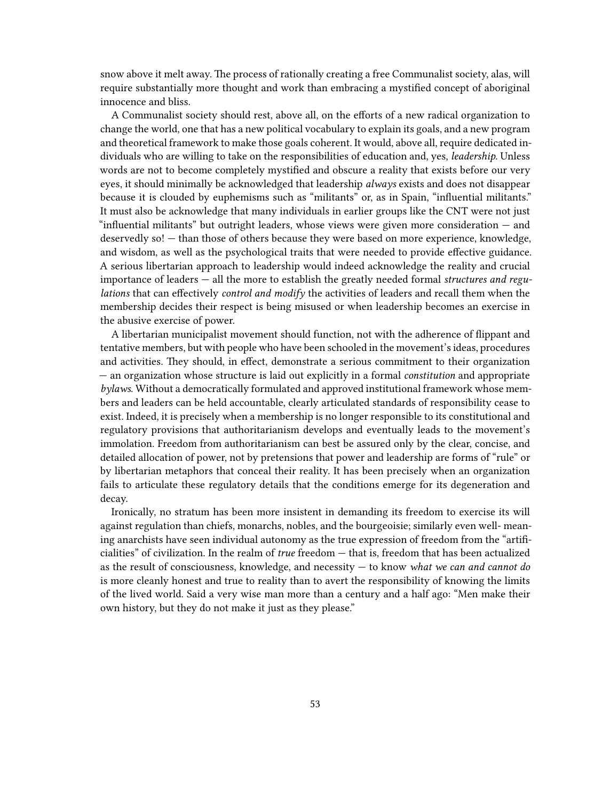snow above it melt away. The process of rationally creating a free Communalist society, alas, will require substantially more thought and work than embracing a mystified concept of aboriginal innocence and bliss.

A Communalist society should rest, above all, on the efforts of a new radical organization to change the world, one that has a new political vocabulary to explain its goals, and a new program and theoretical framework to make those goals coherent. It would, above all, require dedicated individuals who are willing to take on the responsibilities of education and, yes, *leadership*. Unless words are not to become completely mystified and obscure a reality that exists before our very eyes, it should minimally be acknowledged that leadership *always* exists and does not disappear because it is clouded by euphemisms such as "militants" or, as in Spain, "influential militants." It must also be acknowledge that many individuals in earlier groups like the CNT were not just "influential militants" but outright leaders, whose views were given more consideration — and deservedly so! — than those of others because they were based on more experience, knowledge, and wisdom, as well as the psychological traits that were needed to provide effective guidance. A serious libertarian approach to leadership would indeed acknowledge the reality and crucial importance of leaders — all the more to establish the greatly needed formal *structures and regulations* that can effectively *control and modify* the activities of leaders and recall them when the membership decides their respect is being misused or when leadership becomes an exercise in the abusive exercise of power.

A libertarian municipalist movement should function, not with the adherence of flippant and tentative members, but with people who have been schooled in the movement's ideas, procedures and activities. They should, in effect, demonstrate a serious commitment to their organization — an organization whose structure is laid out explicitly in a formal *constitution* and appropriate *bylaws*. Without a democratically formulated and approved institutional framework whose members and leaders can be held accountable, clearly articulated standards of responsibility cease to exist. Indeed, it is precisely when a membership is no longer responsible to its constitutional and regulatory provisions that authoritarianism develops and eventually leads to the movement's immolation. Freedom from authoritarianism can best be assured only by the clear, concise, and detailed allocation of power, not by pretensions that power and leadership are forms of "rule" or by libertarian metaphors that conceal their reality. It has been precisely when an organization fails to articulate these regulatory details that the conditions emerge for its degeneration and decay.

Ironically, no stratum has been more insistent in demanding its freedom to exercise its will against regulation than chiefs, monarchs, nobles, and the bourgeoisie; similarly even well- meaning anarchists have seen individual autonomy as the true expression of freedom from the "artificialities" of civilization. In the realm of *true* freedom — that is, freedom that has been actualized as the result of consciousness, knowledge, and necessity — to know *what we can and cannot do* is more cleanly honest and true to reality than to avert the responsibility of knowing the limits of the lived world. Said a very wise man more than a century and a half ago: "Men make their own history, but they do not make it just as they please."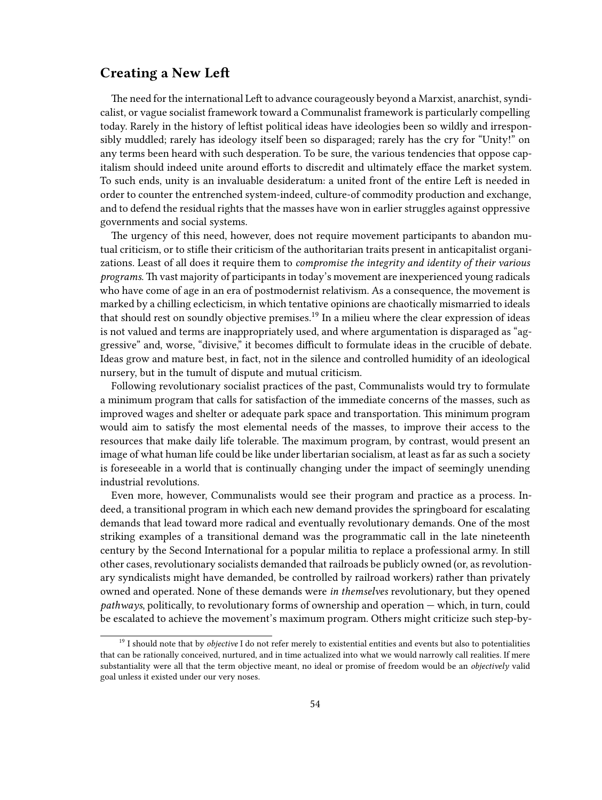#### <span id="page-53-0"></span>**Creating a New Left**

The need for the international Left to advance courageously beyond a Marxist, anarchist, syndicalist, or vague socialist framework toward a Communalist framework is particularly compelling today. Rarely in the history of leftist political ideas have ideologies been so wildly and irresponsibly muddled; rarely has ideology itself been so disparaged; rarely has the cry for "Unity!" on any terms been heard with such desperation. To be sure, the various tendencies that oppose capitalism should indeed unite around efforts to discredit and ultimately efface the market system. To such ends, unity is an invaluable desideratum: a united front of the entire Left is needed in order to counter the entrenched system-indeed, culture-of commodity production and exchange, and to defend the residual rights that the masses have won in earlier struggles against oppressive governments and social systems.

The urgency of this need, however, does not require movement participants to abandon mutual criticism, or to stifle their criticism of the authoritarian traits present in anticapitalist organizations. Least of all does it require them to *compromise the integrity and identity of their various programs*. Th vast majority of participants in today's movement are inexperienced young radicals who have come of age in an era of postmodernist relativism. As a consequence, the movement is marked by a chilling eclecticism, in which tentative opinions are chaotically mismarried to ideals that should rest on soundly objective premises.<sup>19</sup> In a milieu where the clear expression of ideas is not valued and terms are inappropriately used, and where argumentation is disparaged as "aggressive" and, worse, "divisive," it becomes difficult to formulate ideas in the crucible of debate. Ideas grow and mature best, in fact, not in the silence and controlled humidity of an ideological nursery, but in the tumult of dispute and mutual criticism.

Following revolutionary socialist practices of the past, Communalists would try to formulate a minimum program that calls for satisfaction of the immediate concerns of the masses, such as improved wages and shelter or adequate park space and transportation. This minimum program would aim to satisfy the most elemental needs of the masses, to improve their access to the resources that make daily life tolerable. The maximum program, by contrast, would present an image of what human life could be like under libertarian socialism, at least as far as such a society is foreseeable in a world that is continually changing under the impact of seemingly unending industrial revolutions.

Even more, however, Communalists would see their program and practice as a process. Indeed, a transitional program in which each new demand provides the springboard for escalating demands that lead toward more radical and eventually revolutionary demands. One of the most striking examples of a transitional demand was the programmatic call in the late nineteenth century by the Second International for a popular militia to replace a professional army. In still other cases, revolutionary socialists demanded that railroads be publicly owned (or, as revolutionary syndicalists might have demanded, be controlled by railroad workers) rather than privately owned and operated. None of these demands were *in themselves* revolutionary, but they opened *pathways*, politically, to revolutionary forms of ownership and operation — which, in turn, could be escalated to achieve the movement's maximum program. Others might criticize such step-by-

<sup>&</sup>lt;sup>19</sup> I should note that by *objective* I do not refer merely to existential entities and events but also to potentialities that can be rationally conceived, nurtured, and in time actualized into what we would narrowly call realities. If mere substantiality were all that the term objective meant, no ideal or promise of freedom would be an *objectively* valid goal unless it existed under our very noses.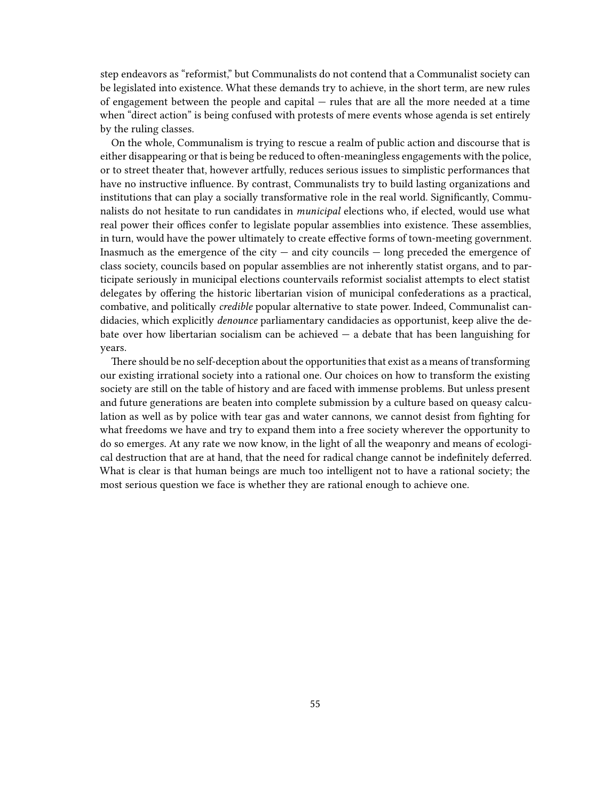step endeavors as "reformist," but Communalists do not contend that a Communalist society can be legislated into existence. What these demands try to achieve, in the short term, are new rules of engagement between the people and capital — rules that are all the more needed at a time when "direct action" is being confused with protests of mere events whose agenda is set entirely by the ruling classes.

On the whole, Communalism is trying to rescue a realm of public action and discourse that is either disappearing or that is being be reduced to often-meaningless engagements with the police, or to street theater that, however artfully, reduces serious issues to simplistic performances that have no instructive influence. By contrast, Communalists try to build lasting organizations and institutions that can play a socially transformative role in the real world. Significantly, Communalists do not hesitate to run candidates in *municipal* elections who, if elected, would use what real power their offices confer to legislate popular assemblies into existence. These assemblies, in turn, would have the power ultimately to create effective forms of town-meeting government. Inasmuch as the emergence of the city  $-$  and city councils  $-$  long preceded the emergence of class society, councils based on popular assemblies are not inherently statist organs, and to participate seriously in municipal elections countervails reformist socialist attempts to elect statist delegates by offering the historic libertarian vision of municipal confederations as a practical, combative, and politically *credible* popular alternative to state power. Indeed, Communalist candidacies, which explicitly *denounce* parliamentary candidacies as opportunist, keep alive the debate over how libertarian socialism can be achieved  $-$  a debate that has been languishing for years.

There should be no self-deception about the opportunities that exist as a means of transforming our existing irrational society into a rational one. Our choices on how to transform the existing society are still on the table of history and are faced with immense problems. But unless present and future generations are beaten into complete submission by a culture based on queasy calculation as well as by police with tear gas and water cannons, we cannot desist from fighting for what freedoms we have and try to expand them into a free society wherever the opportunity to do so emerges. At any rate we now know, in the light of all the weaponry and means of ecological destruction that are at hand, that the need for radical change cannot be indefinitely deferred. What is clear is that human beings are much too intelligent not to have a rational society; the most serious question we face is whether they are rational enough to achieve one.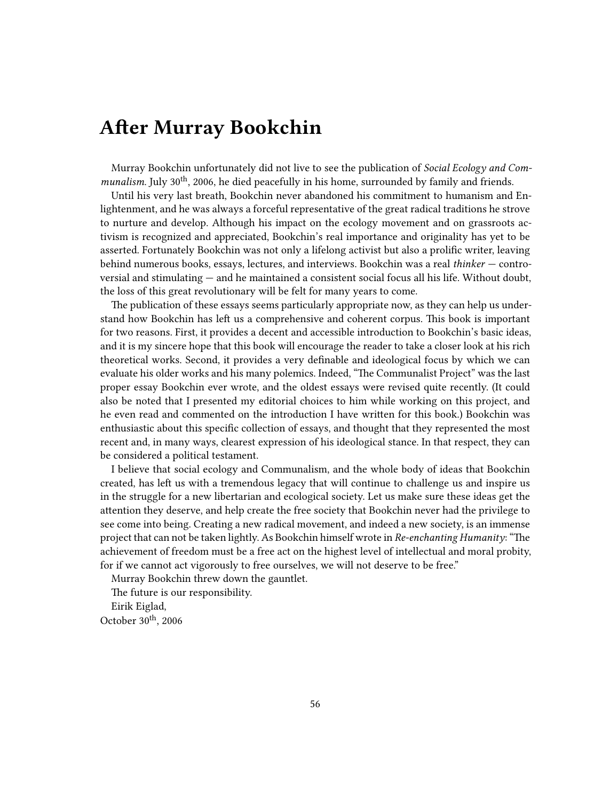### <span id="page-55-0"></span>**After Murray Bookchin**

Murray Bookchin unfortunately did not live to see the publication of *Social Ecology and Communalism*. July 30<sup>th</sup>, 2006, he died peacefully in his home, surrounded by family and friends.

Until his very last breath, Bookchin never abandoned his commitment to humanism and Enlightenment, and he was always a forceful representative of the great radical traditions he strove to nurture and develop. Although his impact on the ecology movement and on grassroots activism is recognized and appreciated, Bookchin's real importance and originality has yet to be asserted. Fortunately Bookchin was not only a lifelong activist but also a prolific writer, leaving behind numerous books, essays, lectures, and interviews. Bookchin was a real *thinker* — controversial and stimulating — and he maintained a consistent social focus all his life. Without doubt, the loss of this great revolutionary will be felt for many years to come.

The publication of these essays seems particularly appropriate now, as they can help us understand how Bookchin has left us a comprehensive and coherent corpus. This book is important for two reasons. First, it provides a decent and accessible introduction to Bookchin's basic ideas, and it is my sincere hope that this book will encourage the reader to take a closer look at his rich theoretical works. Second, it provides a very definable and ideological focus by which we can evaluate his older works and his many polemics. Indeed, "The Communalist Project" was the last proper essay Bookchin ever wrote, and the oldest essays were revised quite recently. (It could also be noted that I presented my editorial choices to him while working on this project, and he even read and commented on the introduction I have written for this book.) Bookchin was enthusiastic about this specific collection of essays, and thought that they represented the most recent and, in many ways, clearest expression of his ideological stance. In that respect, they can be considered a political testament.

I believe that social ecology and Communalism, and the whole body of ideas that Bookchin created, has left us with a tremendous legacy that will continue to challenge us and inspire us in the struggle for a new libertarian and ecological society. Let us make sure these ideas get the attention they deserve, and help create the free society that Bookchin never had the privilege to see come into being. Creating a new radical movement, and indeed a new society, is an immense project that can not be taken lightly. As Bookchin himself wrote in *Re-enchanting Humanity*: "The achievement of freedom must be a free act on the highest level of intellectual and moral probity, for if we cannot act vigorously to free ourselves, we will not deserve to be free."

Murray Bookchin threw down the gauntlet.

The future is our responsibility.

Eirik Eiglad,

October  $30<sup>th</sup>$ , 2006